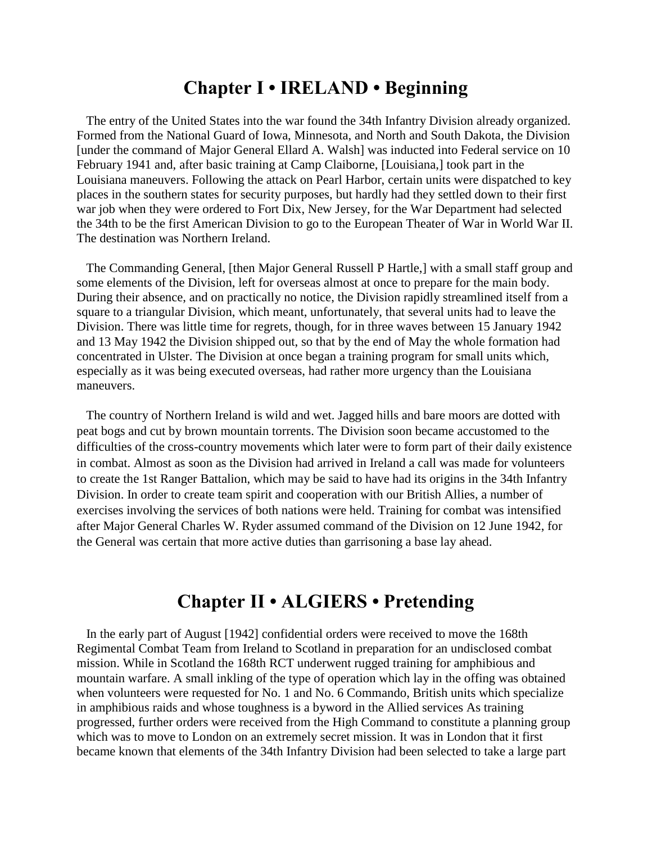### **Chapter I • IRELAND • Beginning**

 The entry of the United States into the war found the 34th Infantry Division already organized. Formed from the National Guard of Iowa, Minnesota, and North and South Dakota, the Division [under the command of Major General Ellard A. Walsh] was inducted into Federal service on 10 February 1941 and, after basic training at Camp Claiborne, [Louisiana,] took part in the Louisiana maneuvers. Following the attack on Pearl Harbor, certain units were dispatched to key places in the southern states for security purposes, but hardly had they settled down to their first war job when they were ordered to Fort Dix, New Jersey, for the War Department had selected the 34th to be the first American Division to go to the European Theater of War in World War II. The destination was Northern Ireland.

 The Commanding General, [then Major General Russell P Hartle,] with a small staff group and some elements of the Division, left for overseas almost at once to prepare for the main body. During their absence, and on practically no notice, the Division rapidly streamlined itself from a square to a triangular Division, which meant, unfortunately, that several units had to leave the Division. There was little time for regrets, though, for in three waves between 15 January 1942 and 13 May 1942 the Division shipped out, so that by the end of May the whole formation had concentrated in Ulster. The Division at once began a training program for small units which, especially as it was being executed overseas, had rather more urgency than the Louisiana maneuvers.

 The country of Northern Ireland is wild and wet. Jagged hills and bare moors are dotted with peat bogs and cut by brown mountain torrents. The Division soon became accustomed to the difficulties of the cross-country movements which later were to form part of their daily existence in combat. Almost as soon as the Division had arrived in Ireland a call was made for volunteers to create the 1st Ranger Battalion, which may be said to have had its origins in the 34th Infantry Division. In order to create team spirit and cooperation with our British Allies, a number of exercises involving the services of both nations were held. Training for combat was intensified after Major General Charles W. Ryder assumed command of the Division on 12 June 1942, for the General was certain that more active duties than garrisoning a base lay ahead.

## **Chapter II • ALGIERS • Pretending**

 In the early part of August [1942] confidential orders were received to move the 168th Regimental Combat Team from Ireland to Scotland in preparation for an undisclosed combat mission. While in Scotland the 168th RCT underwent rugged training for amphibious and mountain warfare. A small inkling of the type of operation which lay in the offing was obtained when volunteers were requested for No. 1 and No. 6 Commando, British units which specialize in amphibious raids and whose toughness is a byword in the Allied services As training progressed, further orders were received from the High Command to constitute a planning group which was to move to London on an extremely secret mission. It was in London that it first became known that elements of the 34th Infantry Division had been selected to take a large part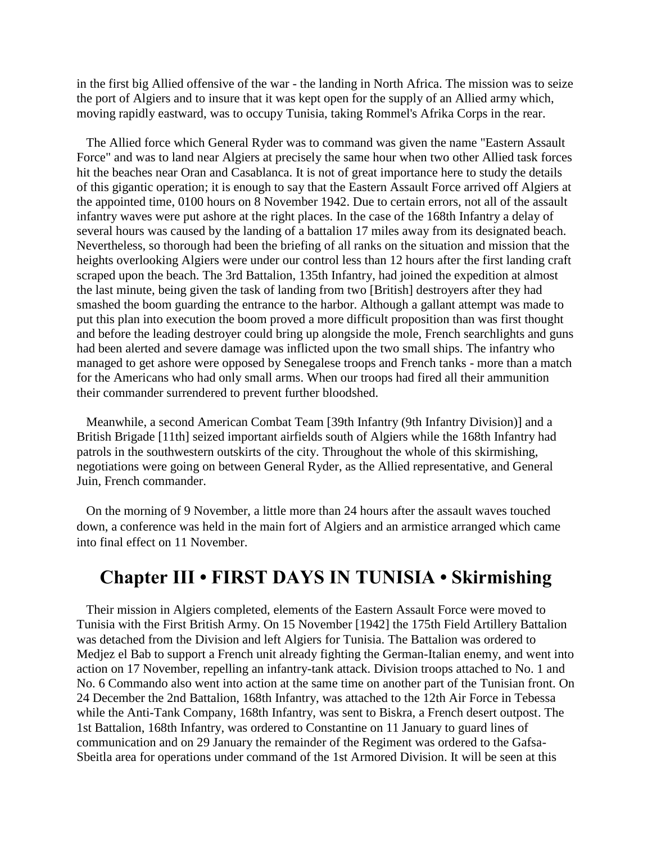in the first big Allied offensive of the war - the landing in North Africa. The mission was to seize the port of Algiers and to insure that it was kept open for the supply of an Allied army which, moving rapidly eastward, was to occupy Tunisia, taking Rommel's Afrika Corps in the rear.

 The Allied force which General Ryder was to command was given the name "Eastern Assault Force" and was to land near Algiers at precisely the same hour when two other Allied task forces hit the beaches near Oran and Casablanca. It is not of great importance here to study the details of this gigantic operation; it is enough to say that the Eastern Assault Force arrived off Algiers at the appointed time, 0100 hours on 8 November 1942. Due to certain errors, not all of the assault infantry waves were put ashore at the right places. In the case of the 168th Infantry a delay of several hours was caused by the landing of a battalion 17 miles away from its designated beach. Nevertheless, so thorough had been the briefing of all ranks on the situation and mission that the heights overlooking Algiers were under our control less than 12 hours after the first landing craft scraped upon the beach. The 3rd Battalion, 135th Infantry, had joined the expedition at almost the last minute, being given the task of landing from two [British] destroyers after they had smashed the boom guarding the entrance to the harbor. Although a gallant attempt was made to put this plan into execution the boom proved a more difficult proposition than was first thought and before the leading destroyer could bring up alongside the mole, French searchlights and guns had been alerted and severe damage was inflicted upon the two small ships. The infantry who managed to get ashore were opposed by Senegalese troops and French tanks - more than a match for the Americans who had only small arms. When our troops had fired all their ammunition their commander surrendered to prevent further bloodshed.

 Meanwhile, a second American Combat Team [39th Infantry (9th Infantry Division)] and a British Brigade [11th] seized important airfields south of Algiers while the 168th Infantry had patrols in the southwestern outskirts of the city. Throughout the whole of this skirmishing, negotiations were going on between General Ryder, as the Allied representative, and General Juin, French commander.

 On the morning of 9 November, a little more than 24 hours after the assault waves touched down, a conference was held in the main fort of Algiers and an armistice arranged which came into final effect on 11 November.

## **Chapter III • FIRST DAYS IN TUNISIA • Skirmishing**

 Their mission in Algiers completed, elements of the Eastern Assault Force were moved to Tunisia with the First British Army. On 15 November [1942] the 175th Field Artillery Battalion was detached from the Division and left Algiers for Tunisia. The Battalion was ordered to Medjez el Bab to support a French unit already fighting the German-Italian enemy, and went into action on 17 November, repelling an infantry-tank attack. Division troops attached to No. 1 and No. 6 Commando also went into action at the same time on another part of the Tunisian front. On 24 December the 2nd Battalion, 168th Infantry, was attached to the 12th Air Force in Tebessa while the Anti-Tank Company, 168th Infantry, was sent to Biskra, a French desert outpost. The 1st Battalion, 168th Infantry, was ordered to Constantine on 11 January to guard lines of communication and on 29 January the remainder of the Regiment was ordered to the Gafsa-Sbeitla area for operations under command of the 1st Armored Division. It will be seen at this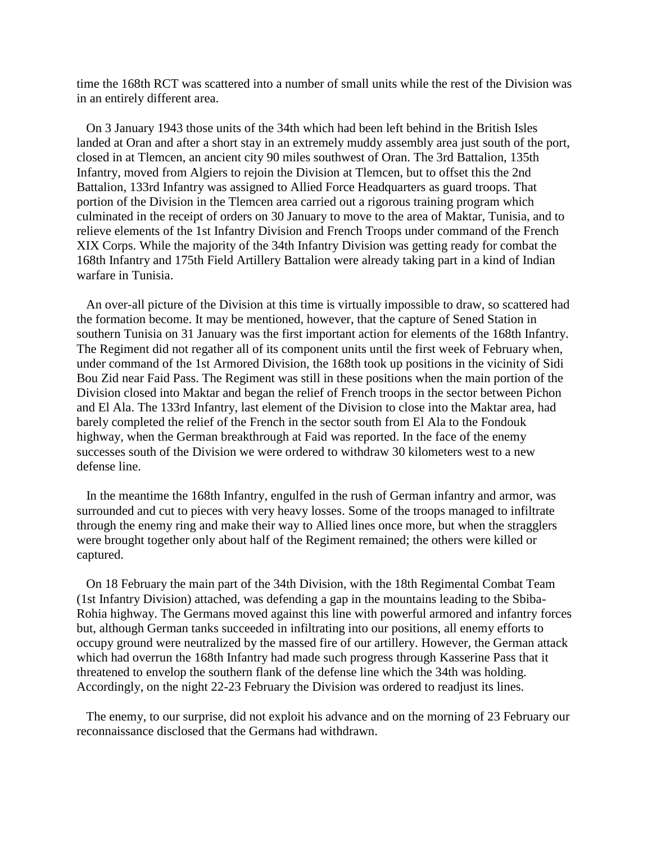time the 168th RCT was scattered into a number of small units while the rest of the Division was in an entirely different area.

 On 3 January 1943 those units of the 34th which had been left behind in the British Isles landed at Oran and after a short stay in an extremely muddy assembly area just south of the port, closed in at Tlemcen, an ancient city 90 miles southwest of Oran. The 3rd Battalion, 135th Infantry, moved from Algiers to rejoin the Division at Tlemcen, but to offset this the 2nd Battalion, 133rd Infantry was assigned to Allied Force Headquarters as guard troops. That portion of the Division in the Tlemcen area carried out a rigorous training program which culminated in the receipt of orders on 30 January to move to the area of Maktar, Tunisia, and to relieve elements of the 1st Infantry Division and French Troops under command of the French XIX Corps. While the majority of the 34th Infantry Division was getting ready for combat the 168th Infantry and 175th Field Artillery Battalion were already taking part in a kind of Indian warfare in Tunisia.

 An over-all picture of the Division at this time is virtually impossible to draw, so scattered had the formation become. It may be mentioned, however, that the capture of Sened Station in southern Tunisia on 31 January was the first important action for elements of the 168th Infantry. The Regiment did not regather all of its component units until the first week of February when, under command of the 1st Armored Division, the 168th took up positions in the vicinity of Sidi Bou Zid near Faid Pass. The Regiment was still in these positions when the main portion of the Division closed into Maktar and began the relief of French troops in the sector between Pichon and El Ala. The 133rd Infantry, last element of the Division to close into the Maktar area, had barely completed the relief of the French in the sector south from El Ala to the Fondouk highway, when the German breakthrough at Faid was reported. In the face of the enemy successes south of the Division we were ordered to withdraw 30 kilometers west to a new defense line.

 In the meantime the 168th Infantry, engulfed in the rush of German infantry and armor, was surrounded and cut to pieces with very heavy losses. Some of the troops managed to infiltrate through the enemy ring and make their way to Allied lines once more, but when the stragglers were brought together only about half of the Regiment remained; the others were killed or captured.

 On 18 February the main part of the 34th Division, with the 18th Regimental Combat Team (1st Infantry Division) attached, was defending a gap in the mountains leading to the Sbiba-Rohia highway. The Germans moved against this line with powerful armored and infantry forces but, although German tanks succeeded in infiltrating into our positions, all enemy efforts to occupy ground were neutralized by the massed fire of our artillery. However, the German attack which had overrun the 168th Infantry had made such progress through Kasserine Pass that it threatened to envelop the southern flank of the defense line which the 34th was holding. Accordingly, on the night 22-23 February the Division was ordered to readjust its lines.

 The enemy, to our surprise, did not exploit his advance and on the morning of 23 February our reconnaissance disclosed that the Germans had withdrawn.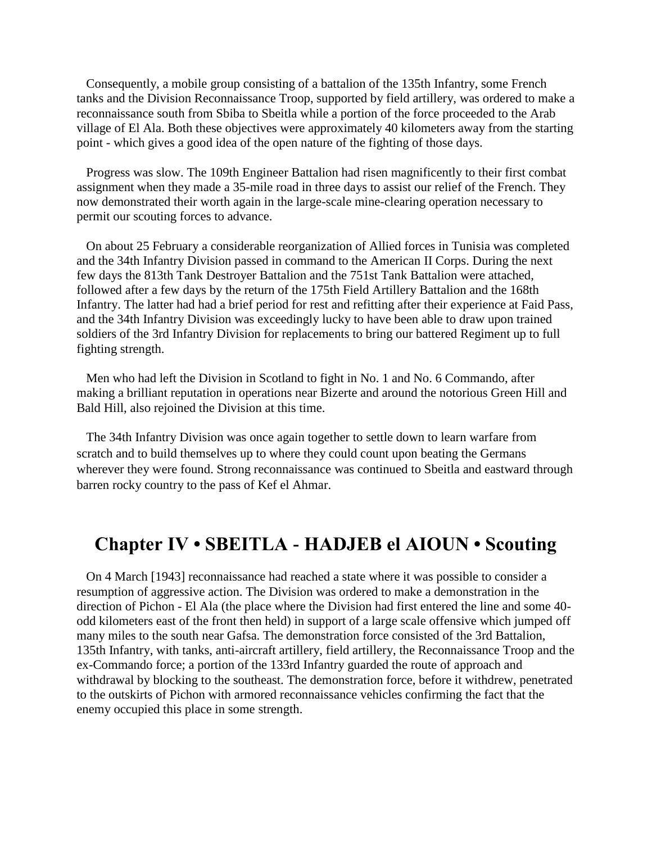Consequently, a mobile group consisting of a battalion of the 135th Infantry, some French tanks and the Division Reconnaissance Troop, supported by field artillery, was ordered to make a reconnaissance south from Sbiba to Sbeitla while a portion of the force proceeded to the Arab village of El Ala. Both these objectives were approximately 40 kilometers away from the starting point - which gives a good idea of the open nature of the fighting of those days.

 Progress was slow. The 109th Engineer Battalion had risen magnificently to their first combat assignment when they made a 35-mile road in three days to assist our relief of the French. They now demonstrated their worth again in the large-scale mine-clearing operation necessary to permit our scouting forces to advance.

 On about 25 February a considerable reorganization of Allied forces in Tunisia was completed and the 34th Infantry Division passed in command to the American II Corps. During the next few days the 813th Tank Destroyer Battalion and the 751st Tank Battalion were attached, followed after a few days by the return of the 175th Field Artillery Battalion and the 168th Infantry. The latter had had a brief period for rest and refitting after their experience at Faid Pass, and the 34th Infantry Division was exceedingly lucky to have been able to draw upon trained soldiers of the 3rd Infantry Division for replacements to bring our battered Regiment up to full fighting strength.

 Men who had left the Division in Scotland to fight in No. 1 and No. 6 Commando, after making a brilliant reputation in operations near Bizerte and around the notorious Green Hill and Bald Hill, also rejoined the Division at this time.

 The 34th Infantry Division was once again together to settle down to learn warfare from scratch and to build themselves up to where they could count upon beating the Germans wherever they were found. Strong reconnaissance was continued to Sbeitla and eastward through barren rocky country to the pass of Kef el Ahmar.

### **Chapter IV • SBEITLA - HADJEB el AIOUN • Scouting**

 On 4 March [1943] reconnaissance had reached a state where it was possible to consider a resumption of aggressive action. The Division was ordered to make a demonstration in the direction of Pichon - El Ala (the place where the Division had first entered the line and some 40 odd kilometers east of the front then held) in support of a large scale offensive which jumped off many miles to the south near Gafsa. The demonstration force consisted of the 3rd Battalion, 135th Infantry, with tanks, anti-aircraft artillery, field artillery, the Reconnaissance Troop and the ex-Commando force; a portion of the 133rd Infantry guarded the route of approach and withdrawal by blocking to the southeast. The demonstration force, before it withdrew, penetrated to the outskirts of Pichon with armored reconnaissance vehicles confirming the fact that the enemy occupied this place in some strength.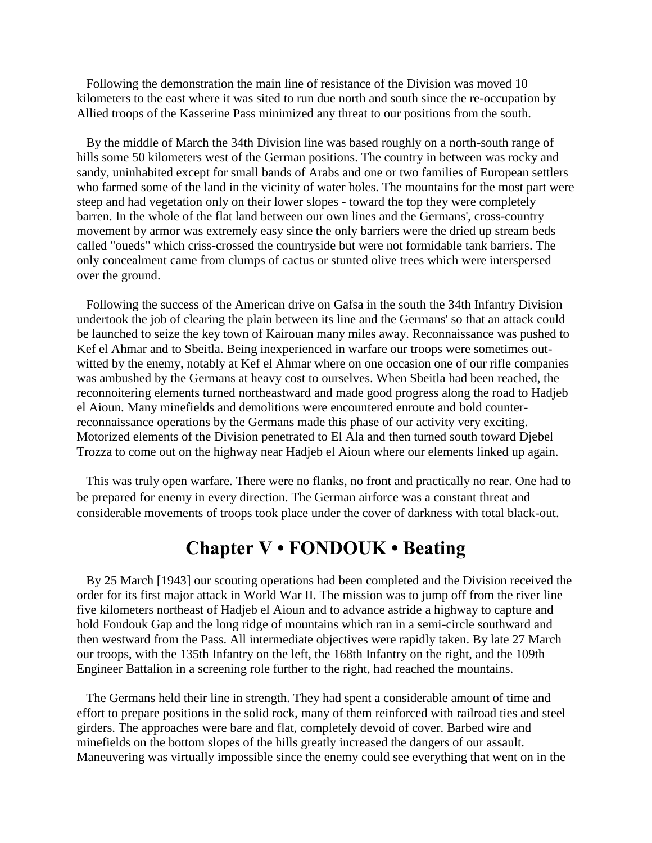Following the demonstration the main line of resistance of the Division was moved 10 kilometers to the east where it was sited to run due north and south since the re-occupation by Allied troops of the Kasserine Pass minimized any threat to our positions from the south.

 By the middle of March the 34th Division line was based roughly on a north-south range of hills some 50 kilometers west of the German positions. The country in between was rocky and sandy, uninhabited except for small bands of Arabs and one or two families of European settlers who farmed some of the land in the vicinity of water holes. The mountains for the most part were steep and had vegetation only on their lower slopes - toward the top they were completely barren. In the whole of the flat land between our own lines and the Germans', cross-country movement by armor was extremely easy since the only barriers were the dried up stream beds called "oueds" which criss-crossed the countryside but were not formidable tank barriers. The only concealment came from clumps of cactus or stunted olive trees which were interspersed over the ground.

 Following the success of the American drive on Gafsa in the south the 34th Infantry Division undertook the job of clearing the plain between its line and the Germans' so that an attack could be launched to seize the key town of Kairouan many miles away. Reconnaissance was pushed to Kef el Ahmar and to Sbeitla. Being inexperienced in warfare our troops were sometimes outwitted by the enemy, notably at Kef el Ahmar where on one occasion one of our rifle companies was ambushed by the Germans at heavy cost to ourselves. When Sbeitla had been reached, the reconnoitering elements turned northeastward and made good progress along the road to Hadjeb el Aioun. Many minefields and demolitions were encountered enroute and bold counterreconnaissance operations by the Germans made this phase of our activity very exciting. Motorized elements of the Division penetrated to El Ala and then turned south toward Djebel Trozza to come out on the highway near Hadjeb el Aioun where our elements linked up again.

 This was truly open warfare. There were no flanks, no front and practically no rear. One had to be prepared for enemy in every direction. The German airforce was a constant threat and considerable movements of troops took place under the cover of darkness with total black-out.

## **Chapter V • FONDOUK • Beating**

 By 25 March [1943] our scouting operations had been completed and the Division received the order for its first major attack in World War II. The mission was to jump off from the river line five kilometers northeast of Hadjeb el Aioun and to advance astride a highway to capture and hold Fondouk Gap and the long ridge of mountains which ran in a semi-circle southward and then westward from the Pass. All intermediate objectives were rapidly taken. By late 27 March our troops, with the 135th Infantry on the left, the 168th Infantry on the right, and the 109th Engineer Battalion in a screening role further to the right, had reached the mountains.

 The Germans held their line in strength. They had spent a considerable amount of time and effort to prepare positions in the solid rock, many of them reinforced with railroad ties and steel girders. The approaches were bare and flat, completely devoid of cover. Barbed wire and minefields on the bottom slopes of the hills greatly increased the dangers of our assault. Maneuvering was virtually impossible since the enemy could see everything that went on in the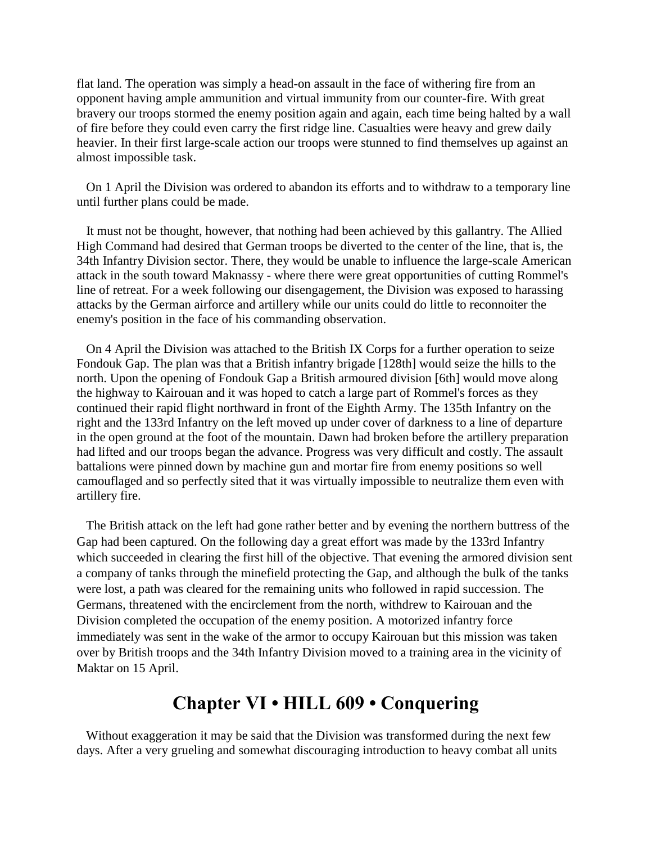flat land. The operation was simply a head-on assault in the face of withering fire from an opponent having ample ammunition and virtual immunity from our counter-fire. With great bravery our troops stormed the enemy position again and again, each time being halted by a wall of fire before they could even carry the first ridge line. Casualties were heavy and grew daily heavier. In their first large-scale action our troops were stunned to find themselves up against an almost impossible task.

 On 1 April the Division was ordered to abandon its efforts and to withdraw to a temporary line until further plans could be made.

 It must not be thought, however, that nothing had been achieved by this gallantry. The Allied High Command had desired that German troops be diverted to the center of the line, that is, the 34th Infantry Division sector. There, they would be unable to influence the large-scale American attack in the south toward Maknassy - where there were great opportunities of cutting Rommel's line of retreat. For a week following our disengagement, the Division was exposed to harassing attacks by the German airforce and artillery while our units could do little to reconnoiter the enemy's position in the face of his commanding observation.

 On 4 April the Division was attached to the British IX Corps for a further operation to seize Fondouk Gap. The plan was that a British infantry brigade [128th] would seize the hills to the north. Upon the opening of Fondouk Gap a British armoured division [6th] would move along the highway to Kairouan and it was hoped to catch a large part of Rommel's forces as they continued their rapid flight northward in front of the Eighth Army. The 135th Infantry on the right and the 133rd Infantry on the left moved up under cover of darkness to a line of departure in the open ground at the foot of the mountain. Dawn had broken before the artillery preparation had lifted and our troops began the advance. Progress was very difficult and costly. The assault battalions were pinned down by machine gun and mortar fire from enemy positions so well camouflaged and so perfectly sited that it was virtually impossible to neutralize them even with artillery fire.

 The British attack on the left had gone rather better and by evening the northern buttress of the Gap had been captured. On the following day a great effort was made by the 133rd Infantry which succeeded in clearing the first hill of the objective. That evening the armored division sent a company of tanks through the minefield protecting the Gap, and although the bulk of the tanks were lost, a path was cleared for the remaining units who followed in rapid succession. The Germans, threatened with the encirclement from the north, withdrew to Kairouan and the Division completed the occupation of the enemy position. A motorized infantry force immediately was sent in the wake of the armor to occupy Kairouan but this mission was taken over by British troops and the 34th Infantry Division moved to a training area in the vicinity of Maktar on 15 April.

## **Chapter VI • HILL 609 • Conquering**

 Without exaggeration it may be said that the Division was transformed during the next few days. After a very grueling and somewhat discouraging introduction to heavy combat all units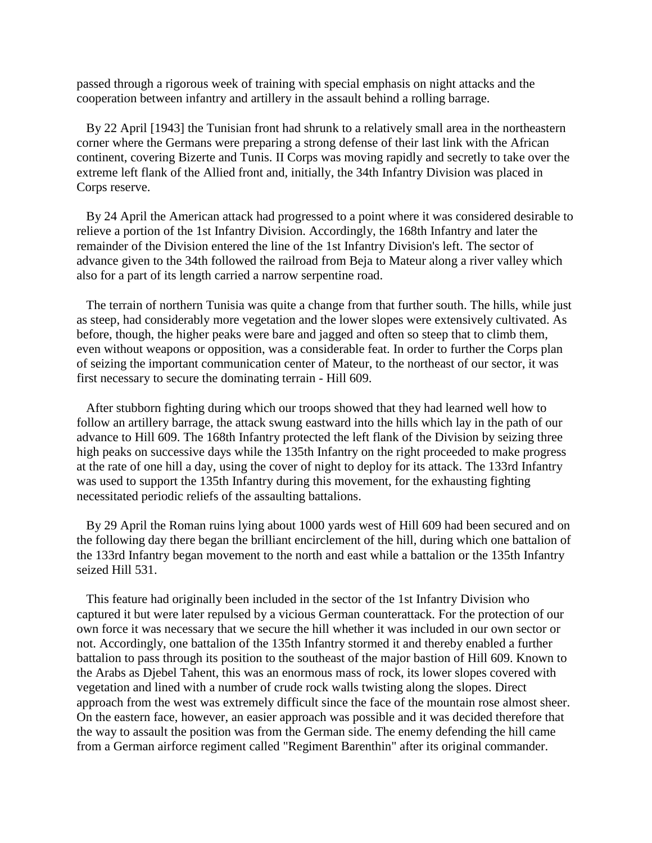passed through a rigorous week of training with special emphasis on night attacks and the cooperation between infantry and artillery in the assault behind a rolling barrage.

 By 22 April [1943] the Tunisian front had shrunk to a relatively small area in the northeastern corner where the Germans were preparing a strong defense of their last link with the African continent, covering Bizerte and Tunis. II Corps was moving rapidly and secretly to take over the extreme left flank of the Allied front and, initially, the 34th Infantry Division was placed in Corps reserve.

 By 24 April the American attack had progressed to a point where it was considered desirable to relieve a portion of the 1st Infantry Division. Accordingly, the 168th Infantry and later the remainder of the Division entered the line of the 1st Infantry Division's left. The sector of advance given to the 34th followed the railroad from Beja to Mateur along a river valley which also for a part of its length carried a narrow serpentine road.

 The terrain of northern Tunisia was quite a change from that further south. The hills, while just as steep, had considerably more vegetation and the lower slopes were extensively cultivated. As before, though, the higher peaks were bare and jagged and often so steep that to climb them, even without weapons or opposition, was a considerable feat. In order to further the Corps plan of seizing the important communication center of Mateur, to the northeast of our sector, it was first necessary to secure the dominating terrain - Hill 609.

 After stubborn fighting during which our troops showed that they had learned well how to follow an artillery barrage, the attack swung eastward into the hills which lay in the path of our advance to Hill 609. The 168th Infantry protected the left flank of the Division by seizing three high peaks on successive days while the 135th Infantry on the right proceeded to make progress at the rate of one hill a day, using the cover of night to deploy for its attack. The 133rd Infantry was used to support the 135th Infantry during this movement, for the exhausting fighting necessitated periodic reliefs of the assaulting battalions.

 By 29 April the Roman ruins lying about 1000 yards west of Hill 609 had been secured and on the following day there began the brilliant encirclement of the hill, during which one battalion of the 133rd Infantry began movement to the north and east while a battalion or the 135th Infantry seized Hill 531.

 This feature had originally been included in the sector of the 1st Infantry Division who captured it but were later repulsed by a vicious German counterattack. For the protection of our own force it was necessary that we secure the hill whether it was included in our own sector or not. Accordingly, one battalion of the 135th Infantry stormed it and thereby enabled a further battalion to pass through its position to the southeast of the major bastion of Hill 609. Known to the Arabs as Djebel Tahent, this was an enormous mass of rock, its lower slopes covered with vegetation and lined with a number of crude rock walls twisting along the slopes. Direct approach from the west was extremely difficult since the face of the mountain rose almost sheer. On the eastern face, however, an easier approach was possible and it was decided therefore that the way to assault the position was from the German side. The enemy defending the hill came from a German airforce regiment called "Regiment Barenthin" after its original commander.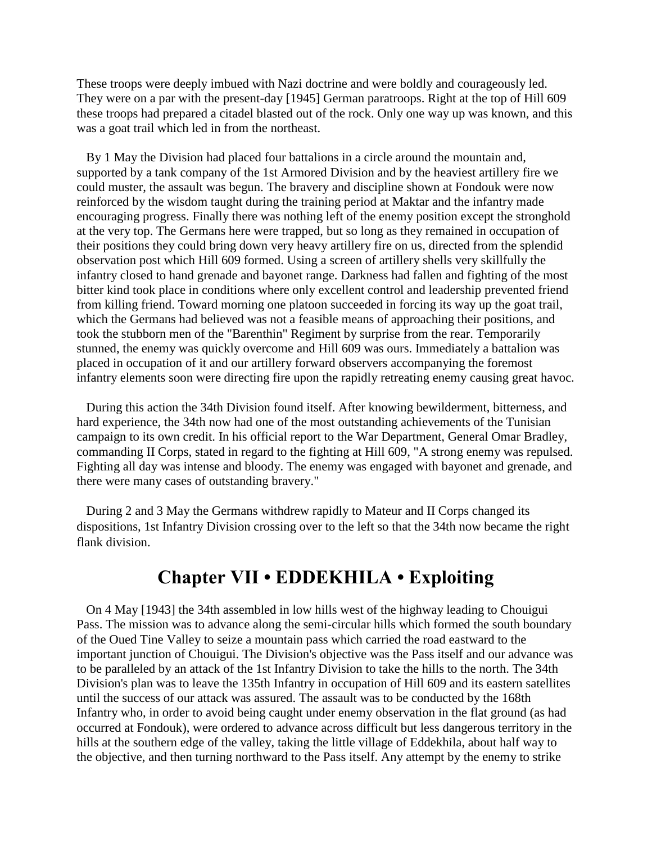These troops were deeply imbued with Nazi doctrine and were boldly and courageously led. They were on a par with the present-day [1945] German paratroops. Right at the top of Hill 609 these troops had prepared a citadel blasted out of the rock. Only one way up was known, and this was a goat trail which led in from the northeast.

 By 1 May the Division had placed four battalions in a circle around the mountain and, supported by a tank company of the 1st Armored Division and by the heaviest artillery fire we could muster, the assault was begun. The bravery and discipline shown at Fondouk were now reinforced by the wisdom taught during the training period at Maktar and the infantry made encouraging progress. Finally there was nothing left of the enemy position except the stronghold at the very top. The Germans here were trapped, but so long as they remained in occupation of their positions they could bring down very heavy artillery fire on us, directed from the splendid observation post which Hill 609 formed. Using a screen of artillery shells very skillfully the infantry closed to hand grenade and bayonet range. Darkness had fallen and fighting of the most bitter kind took place in conditions where only excellent control and leadership prevented friend from killing friend. Toward morning one platoon succeeded in forcing its way up the goat trail, which the Germans had believed was not a feasible means of approaching their positions, and took the stubborn men of the "Barenthin" Regiment by surprise from the rear. Temporarily stunned, the enemy was quickly overcome and Hill 609 was ours. Immediately a battalion was placed in occupation of it and our artillery forward observers accompanying the foremost infantry elements soon were directing fire upon the rapidly retreating enemy causing great havoc.

 During this action the 34th Division found itself. After knowing bewilderment, bitterness, and hard experience, the 34th now had one of the most outstanding achievements of the Tunisian campaign to its own credit. In his official report to the War Department, General Omar Bradley, commanding II Corps, stated in regard to the fighting at Hill 609, "A strong enemy was repulsed. Fighting all day was intense and bloody. The enemy was engaged with bayonet and grenade, and there were many cases of outstanding bravery."

 During 2 and 3 May the Germans withdrew rapidly to Mateur and II Corps changed its dispositions, 1st Infantry Division crossing over to the left so that the 34th now became the right flank division.

### **Chapter VII • EDDEKHILA • Exploiting**

 On 4 May [1943] the 34th assembled in low hills west of the highway leading to Chouigui Pass. The mission was to advance along the semi-circular hills which formed the south boundary of the Oued Tine Valley to seize a mountain pass which carried the road eastward to the important junction of Chouigui. The Division's objective was the Pass itself and our advance was to be paralleled by an attack of the 1st Infantry Division to take the hills to the north. The 34th Division's plan was to leave the 135th Infantry in occupation of Hill 609 and its eastern satellites until the success of our attack was assured. The assault was to be conducted by the 168th Infantry who, in order to avoid being caught under enemy observation in the flat ground (as had occurred at Fondouk), were ordered to advance across difficult but less dangerous territory in the hills at the southern edge of the valley, taking the little village of Eddekhila, about half way to the objective, and then turning northward to the Pass itself. Any attempt by the enemy to strike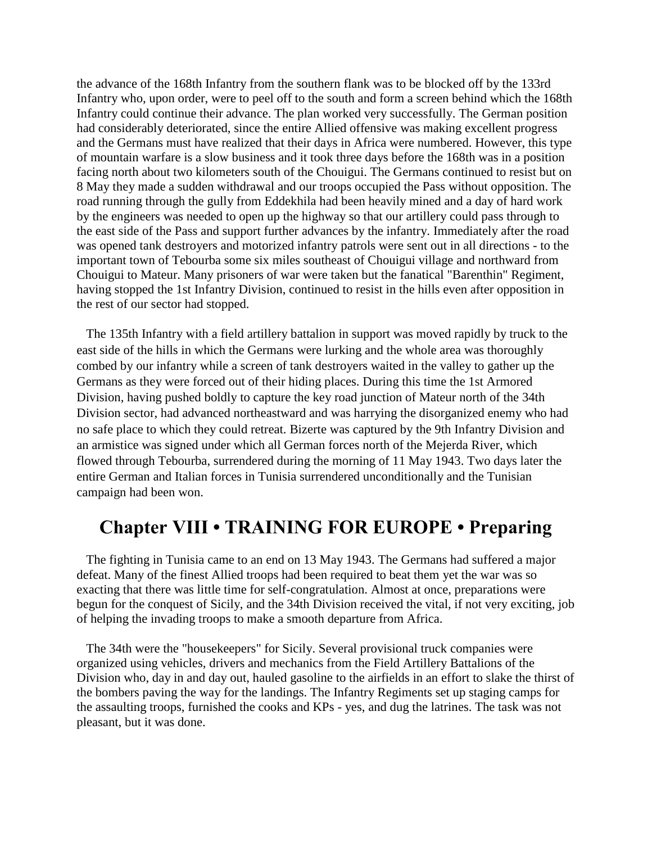the advance of the 168th Infantry from the southern flank was to be blocked off by the 133rd Infantry who, upon order, were to peel off to the south and form a screen behind which the 168th Infantry could continue their advance. The plan worked very successfully. The German position had considerably deteriorated, since the entire Allied offensive was making excellent progress and the Germans must have realized that their days in Africa were numbered. However, this type of mountain warfare is a slow business and it took three days before the 168th was in a position facing north about two kilometers south of the Chouigui. The Germans continued to resist but on 8 May they made a sudden withdrawal and our troops occupied the Pass without opposition. The road running through the gully from Eddekhila had been heavily mined and a day of hard work by the engineers was needed to open up the highway so that our artillery could pass through to the east side of the Pass and support further advances by the infantry. Immediately after the road was opened tank destroyers and motorized infantry patrols were sent out in all directions - to the important town of Tebourba some six miles southeast of Chouigui village and northward from Chouigui to Mateur. Many prisoners of war were taken but the fanatical "Barenthin" Regiment, having stopped the 1st Infantry Division, continued to resist in the hills even after opposition in the rest of our sector had stopped.

 The 135th Infantry with a field artillery battalion in support was moved rapidly by truck to the east side of the hills in which the Germans were lurking and the whole area was thoroughly combed by our infantry while a screen of tank destroyers waited in the valley to gather up the Germans as they were forced out of their hiding places. During this time the 1st Armored Division, having pushed boldly to capture the key road junction of Mateur north of the 34th Division sector, had advanced northeastward and was harrying the disorganized enemy who had no safe place to which they could retreat. Bizerte was captured by the 9th Infantry Division and an armistice was signed under which all German forces north of the Mejerda River, which flowed through Tebourba, surrendered during the morning of 11 May 1943. Two days later the entire German and Italian forces in Tunisia surrendered unconditionally and the Tunisian campaign had been won.

## **Chapter VIII • TRAINING FOR EUROPE • Preparing**

 The fighting in Tunisia came to an end on 13 May 1943. The Germans had suffered a major defeat. Many of the finest Allied troops had been required to beat them yet the war was so exacting that there was little time for self-congratulation. Almost at once, preparations were begun for the conquest of Sicily, and the 34th Division received the vital, if not very exciting, job of helping the invading troops to make a smooth departure from Africa.

 The 34th were the "housekeepers" for Sicily. Several provisional truck companies were organized using vehicles, drivers and mechanics from the Field Artillery Battalions of the Division who, day in and day out, hauled gasoline to the airfields in an effort to slake the thirst of the bombers paving the way for the landings. The Infantry Regiments set up staging camps for the assaulting troops, furnished the cooks and KPs - yes, and dug the latrines. The task was not pleasant, but it was done.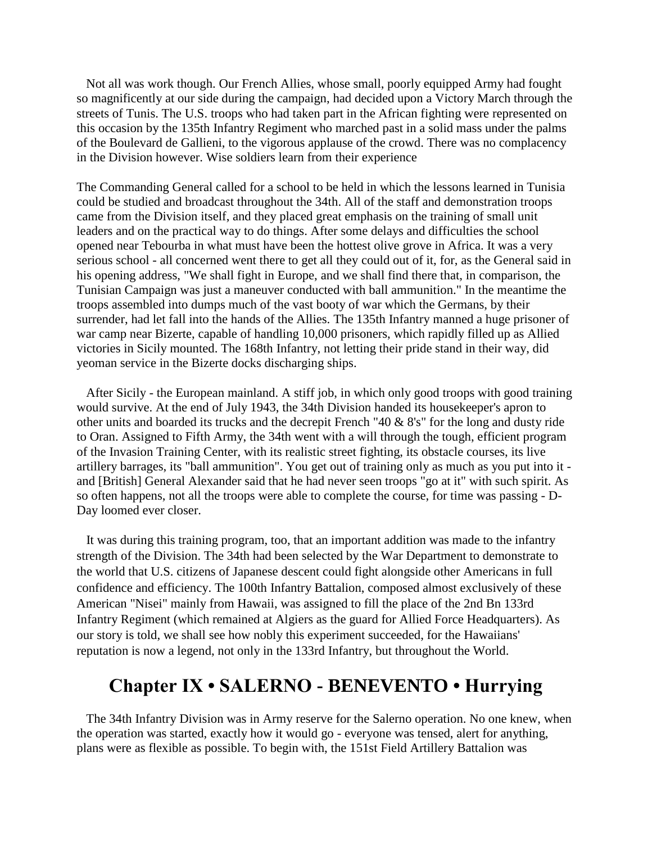Not all was work though. Our French Allies, whose small, poorly equipped Army had fought so magnificently at our side during the campaign, had decided upon a Victory March through the streets of Tunis. The U.S. troops who had taken part in the African fighting were represented on this occasion by the 135th Infantry Regiment who marched past in a solid mass under the palms of the Boulevard de Gallieni, to the vigorous applause of the crowd. There was no complacency in the Division however. Wise soldiers learn from their experience

The Commanding General called for a school to be held in which the lessons learned in Tunisia could be studied and broadcast throughout the 34th. All of the staff and demonstration troops came from the Division itself, and they placed great emphasis on the training of small unit leaders and on the practical way to do things. After some delays and difficulties the school opened near Tebourba in what must have been the hottest olive grove in Africa. It was a very serious school - all concerned went there to get all they could out of it, for, as the General said in his opening address, "We shall fight in Europe, and we shall find there that, in comparison, the Tunisian Campaign was just a maneuver conducted with ball ammunition." In the meantime the troops assembled into dumps much of the vast booty of war which the Germans, by their surrender, had let fall into the hands of the Allies. The 135th Infantry manned a huge prisoner of war camp near Bizerte, capable of handling 10,000 prisoners, which rapidly filled up as Allied victories in Sicily mounted. The 168th Infantry, not letting their pride stand in their way, did yeoman service in the Bizerte docks discharging ships.

 After Sicily - the European mainland. A stiff job, in which only good troops with good training would survive. At the end of July 1943, the 34th Division handed its housekeeper's apron to other units and boarded its trucks and the decrepit French "40 & 8's" for the long and dusty ride to Oran. Assigned to Fifth Army, the 34th went with a will through the tough, efficient program of the Invasion Training Center, with its realistic street fighting, its obstacle courses, its live artillery barrages, its "ball ammunition". You get out of training only as much as you put into it and [British] General Alexander said that he had never seen troops "go at it" with such spirit. As so often happens, not all the troops were able to complete the course, for time was passing - D-Day loomed ever closer.

 It was during this training program, too, that an important addition was made to the infantry strength of the Division. The 34th had been selected by the War Department to demonstrate to the world that U.S. citizens of Japanese descent could fight alongside other Americans in full confidence and efficiency. The 100th Infantry Battalion, composed almost exclusively of these American "Nisei" mainly from Hawaii, was assigned to fill the place of the 2nd Bn 133rd Infantry Regiment (which remained at Algiers as the guard for Allied Force Headquarters). As our story is told, we shall see how nobly this experiment succeeded, for the Hawaiians' reputation is now a legend, not only in the 133rd Infantry, but throughout the World.

## **Chapter IX • SALERNO - BENEVENTO • Hurrying**

 The 34th Infantry Division was in Army reserve for the Salerno operation. No one knew, when the operation was started, exactly how it would go - everyone was tensed, alert for anything, plans were as flexible as possible. To begin with, the 151st Field Artillery Battalion was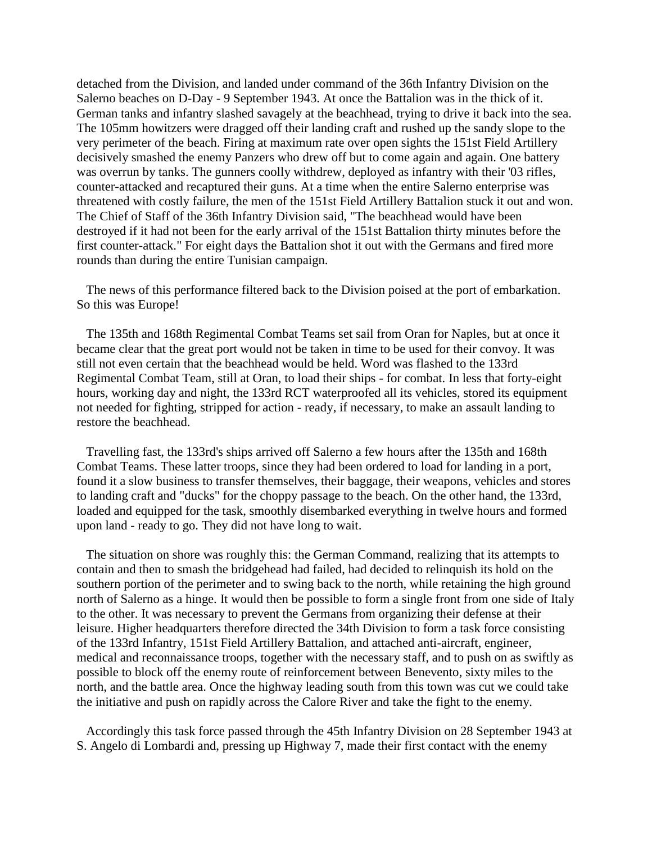detached from the Division, and landed under command of the 36th Infantry Division on the Salerno beaches on D-Day - 9 September 1943. At once the Battalion was in the thick of it. German tanks and infantry slashed savagely at the beachhead, trying to drive it back into the sea. The 105mm howitzers were dragged off their landing craft and rushed up the sandy slope to the very perimeter of the beach. Firing at maximum rate over open sights the 151st Field Artillery decisively smashed the enemy Panzers who drew off but to come again and again. One battery was overrun by tanks. The gunners coolly withdrew, deployed as infantry with their '03 rifles, counter-attacked and recaptured their guns. At a time when the entire Salerno enterprise was threatened with costly failure, the men of the 151st Field Artillery Battalion stuck it out and won. The Chief of Staff of the 36th Infantry Division said, "The beachhead would have been destroyed if it had not been for the early arrival of the 151st Battalion thirty minutes before the first counter-attack." For eight days the Battalion shot it out with the Germans and fired more rounds than during the entire Tunisian campaign.

 The news of this performance filtered back to the Division poised at the port of embarkation. So this was Europe!

 The 135th and 168th Regimental Combat Teams set sail from Oran for Naples, but at once it became clear that the great port would not be taken in time to be used for their convoy. It was still not even certain that the beachhead would be held. Word was flashed to the 133rd Regimental Combat Team, still at Oran, to load their ships - for combat. In less that forty-eight hours, working day and night, the 133rd RCT waterproofed all its vehicles, stored its equipment not needed for fighting, stripped for action - ready, if necessary, to make an assault landing to restore the beachhead.

 Travelling fast, the 133rd's ships arrived off Salerno a few hours after the 135th and 168th Combat Teams. These latter troops, since they had been ordered to load for landing in a port, found it a slow business to transfer themselves, their baggage, their weapons, vehicles and stores to landing craft and "ducks" for the choppy passage to the beach. On the other hand, the 133rd, loaded and equipped for the task, smoothly disembarked everything in twelve hours and formed upon land - ready to go. They did not have long to wait.

 The situation on shore was roughly this: the German Command, realizing that its attempts to contain and then to smash the bridgehead had failed, had decided to relinquish its hold on the southern portion of the perimeter and to swing back to the north, while retaining the high ground north of Salerno as a hinge. It would then be possible to form a single front from one side of Italy to the other. It was necessary to prevent the Germans from organizing their defense at their leisure. Higher headquarters therefore directed the 34th Division to form a task force consisting of the 133rd Infantry, 151st Field Artillery Battalion, and attached anti-aircraft, engineer, medical and reconnaissance troops, together with the necessary staff, and to push on as swiftly as possible to block off the enemy route of reinforcement between Benevento, sixty miles to the north, and the battle area. Once the highway leading south from this town was cut we could take the initiative and push on rapidly across the Calore River and take the fight to the enemy.

 Accordingly this task force passed through the 45th Infantry Division on 28 September 1943 at S. Angelo di Lombardi and, pressing up Highway 7, made their first contact with the enemy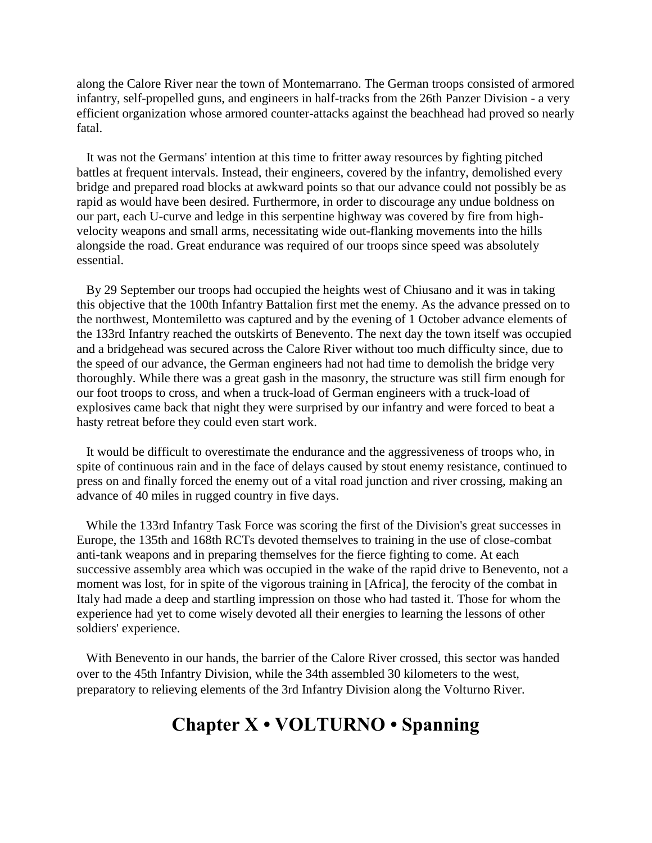along the Calore River near the town of Montemarrano. The German troops consisted of armored infantry, self-propelled guns, and engineers in half-tracks from the 26th Panzer Division - a very efficient organization whose armored counter-attacks against the beachhead had proved so nearly fatal.

 It was not the Germans' intention at this time to fritter away resources by fighting pitched battles at frequent intervals. Instead, their engineers, covered by the infantry, demolished every bridge and prepared road blocks at awkward points so that our advance could not possibly be as rapid as would have been desired. Furthermore, in order to discourage any undue boldness on our part, each U-curve and ledge in this serpentine highway was covered by fire from highvelocity weapons and small arms, necessitating wide out-flanking movements into the hills alongside the road. Great endurance was required of our troops since speed was absolutely essential.

 By 29 September our troops had occupied the heights west of Chiusano and it was in taking this objective that the 100th Infantry Battalion first met the enemy. As the advance pressed on to the northwest, Montemiletto was captured and by the evening of 1 October advance elements of the 133rd Infantry reached the outskirts of Benevento. The next day the town itself was occupied and a bridgehead was secured across the Calore River without too much difficulty since, due to the speed of our advance, the German engineers had not had time to demolish the bridge very thoroughly. While there was a great gash in the masonry, the structure was still firm enough for our foot troops to cross, and when a truck-load of German engineers with a truck-load of explosives came back that night they were surprised by our infantry and were forced to beat a hasty retreat before they could even start work.

 It would be difficult to overestimate the endurance and the aggressiveness of troops who, in spite of continuous rain and in the face of delays caused by stout enemy resistance, continued to press on and finally forced the enemy out of a vital road junction and river crossing, making an advance of 40 miles in rugged country in five days.

 While the 133rd Infantry Task Force was scoring the first of the Division's great successes in Europe, the 135th and 168th RCTs devoted themselves to training in the use of close-combat anti-tank weapons and in preparing themselves for the fierce fighting to come. At each successive assembly area which was occupied in the wake of the rapid drive to Benevento, not a moment was lost, for in spite of the vigorous training in [Africa], the ferocity of the combat in Italy had made a deep and startling impression on those who had tasted it. Those for whom the experience had yet to come wisely devoted all their energies to learning the lessons of other soldiers' experience.

 With Benevento in our hands, the barrier of the Calore River crossed, this sector was handed over to the 45th Infantry Division, while the 34th assembled 30 kilometers to the west, preparatory to relieving elements of the 3rd Infantry Division along the Volturno River.

## **Chapter X • VOLTURNO • Spanning**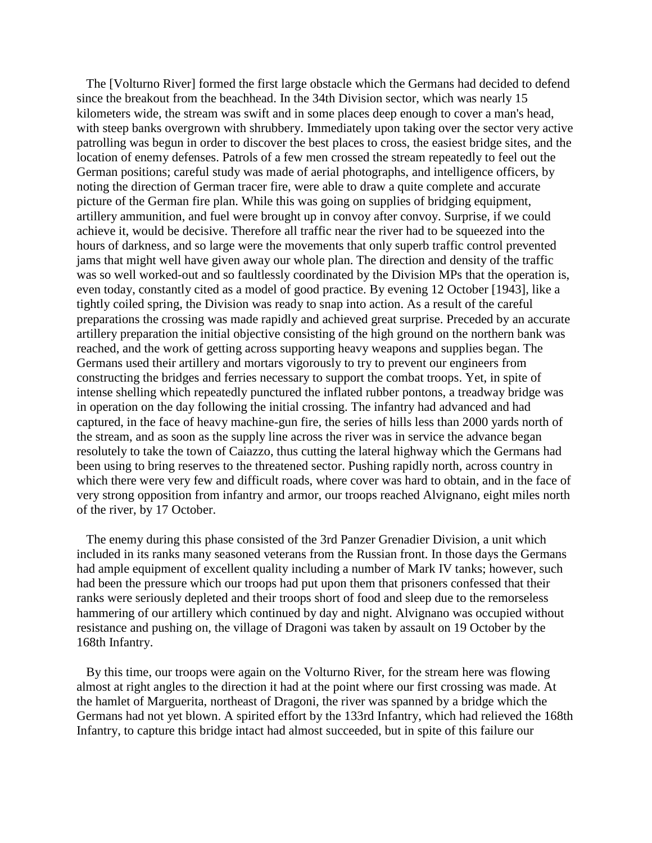The [Volturno River] formed the first large obstacle which the Germans had decided to defend since the breakout from the beachhead. In the 34th Division sector, which was nearly 15 kilometers wide, the stream was swift and in some places deep enough to cover a man's head, with steep banks overgrown with shrubbery. Immediately upon taking over the sector very active patrolling was begun in order to discover the best places to cross, the easiest bridge sites, and the location of enemy defenses. Patrols of a few men crossed the stream repeatedly to feel out the German positions; careful study was made of aerial photographs, and intelligence officers, by noting the direction of German tracer fire, were able to draw a quite complete and accurate picture of the German fire plan. While this was going on supplies of bridging equipment, artillery ammunition, and fuel were brought up in convoy after convoy. Surprise, if we could achieve it, would be decisive. Therefore all traffic near the river had to be squeezed into the hours of darkness, and so large were the movements that only superb traffic control prevented jams that might well have given away our whole plan. The direction and density of the traffic was so well worked-out and so faultlessly coordinated by the Division MPs that the operation is, even today, constantly cited as a model of good practice. By evening 12 October [1943], like a tightly coiled spring, the Division was ready to snap into action. As a result of the careful preparations the crossing was made rapidly and achieved great surprise. Preceded by an accurate artillery preparation the initial objective consisting of the high ground on the northern bank was reached, and the work of getting across supporting heavy weapons and supplies began. The Germans used their artillery and mortars vigorously to try to prevent our engineers from constructing the bridges and ferries necessary to support the combat troops. Yet, in spite of intense shelling which repeatedly punctured the inflated rubber pontons, a treadway bridge was in operation on the day following the initial crossing. The infantry had advanced and had captured, in the face of heavy machine-gun fire, the series of hills less than 2000 yards north of the stream, and as soon as the supply line across the river was in service the advance began resolutely to take the town of Caiazzo, thus cutting the lateral highway which the Germans had been using to bring reserves to the threatened sector. Pushing rapidly north, across country in which there were very few and difficult roads, where cover was hard to obtain, and in the face of very strong opposition from infantry and armor, our troops reached Alvignano, eight miles north of the river, by 17 October.

 The enemy during this phase consisted of the 3rd Panzer Grenadier Division, a unit which included in its ranks many seasoned veterans from the Russian front. In those days the Germans had ample equipment of excellent quality including a number of Mark IV tanks; however, such had been the pressure which our troops had put upon them that prisoners confessed that their ranks were seriously depleted and their troops short of food and sleep due to the remorseless hammering of our artillery which continued by day and night. Alvignano was occupied without resistance and pushing on, the village of Dragoni was taken by assault on 19 October by the 168th Infantry.

 By this time, our troops were again on the Volturno River, for the stream here was flowing almost at right angles to the direction it had at the point where our first crossing was made. At the hamlet of Marguerita, northeast of Dragoni, the river was spanned by a bridge which the Germans had not yet blown. A spirited effort by the 133rd Infantry, which had relieved the 168th Infantry, to capture this bridge intact had almost succeeded, but in spite of this failure our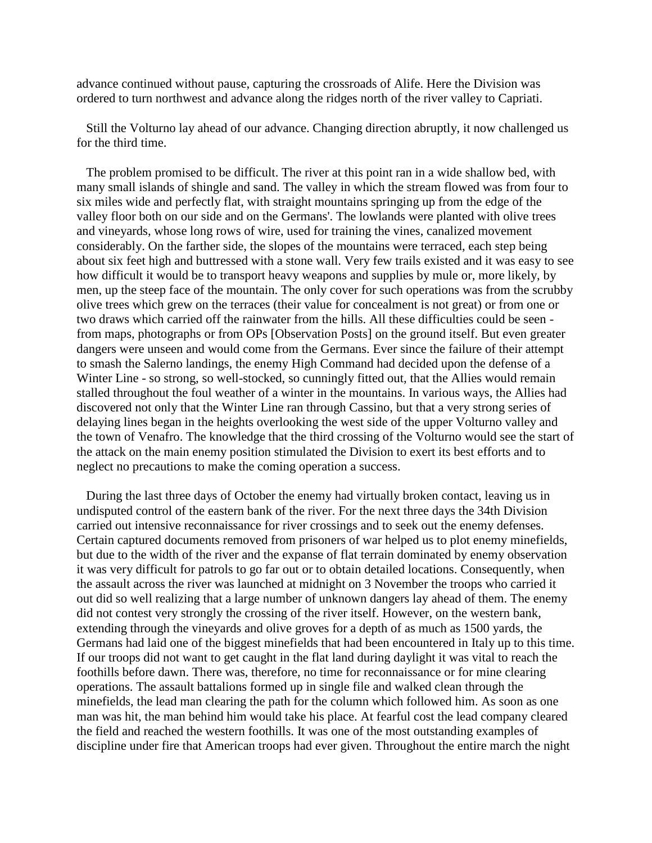advance continued without pause, capturing the crossroads of Alife. Here the Division was ordered to turn northwest and advance along the ridges north of the river valley to Capriati.

 Still the Volturno lay ahead of our advance. Changing direction abruptly, it now challenged us for the third time.

 The problem promised to be difficult. The river at this point ran in a wide shallow bed, with many small islands of shingle and sand. The valley in which the stream flowed was from four to six miles wide and perfectly flat, with straight mountains springing up from the edge of the valley floor both on our side and on the Germans'. The lowlands were planted with olive trees and vineyards, whose long rows of wire, used for training the vines, canalized movement considerably. On the farther side, the slopes of the mountains were terraced, each step being about six feet high and buttressed with a stone wall. Very few trails existed and it was easy to see how difficult it would be to transport heavy weapons and supplies by mule or, more likely, by men, up the steep face of the mountain. The only cover for such operations was from the scrubby olive trees which grew on the terraces (their value for concealment is not great) or from one or two draws which carried off the rainwater from the hills. All these difficulties could be seen from maps, photographs or from OPs [Observation Posts] on the ground itself. But even greater dangers were unseen and would come from the Germans. Ever since the failure of their attempt to smash the Salerno landings, the enemy High Command had decided upon the defense of a Winter Line - so strong, so well-stocked, so cunningly fitted out, that the Allies would remain stalled throughout the foul weather of a winter in the mountains. In various ways, the Allies had discovered not only that the Winter Line ran through Cassino, but that a very strong series of delaying lines began in the heights overlooking the west side of the upper Volturno valley and the town of Venafro. The knowledge that the third crossing of the Volturno would see the start of the attack on the main enemy position stimulated the Division to exert its best efforts and to neglect no precautions to make the coming operation a success.

 During the last three days of October the enemy had virtually broken contact, leaving us in undisputed control of the eastern bank of the river. For the next three days the 34th Division carried out intensive reconnaissance for river crossings and to seek out the enemy defenses. Certain captured documents removed from prisoners of war helped us to plot enemy minefields, but due to the width of the river and the expanse of flat terrain dominated by enemy observation it was very difficult for patrols to go far out or to obtain detailed locations. Consequently, when the assault across the river was launched at midnight on 3 November the troops who carried it out did so well realizing that a large number of unknown dangers lay ahead of them. The enemy did not contest very strongly the crossing of the river itself. However, on the western bank, extending through the vineyards and olive groves for a depth of as much as 1500 yards, the Germans had laid one of the biggest minefields that had been encountered in Italy up to this time. If our troops did not want to get caught in the flat land during daylight it was vital to reach the foothills before dawn. There was, therefore, no time for reconnaissance or for mine clearing operations. The assault battalions formed up in single file and walked clean through the minefields, the lead man clearing the path for the column which followed him. As soon as one man was hit, the man behind him would take his place. At fearful cost the lead company cleared the field and reached the western foothills. It was one of the most outstanding examples of discipline under fire that American troops had ever given. Throughout the entire march the night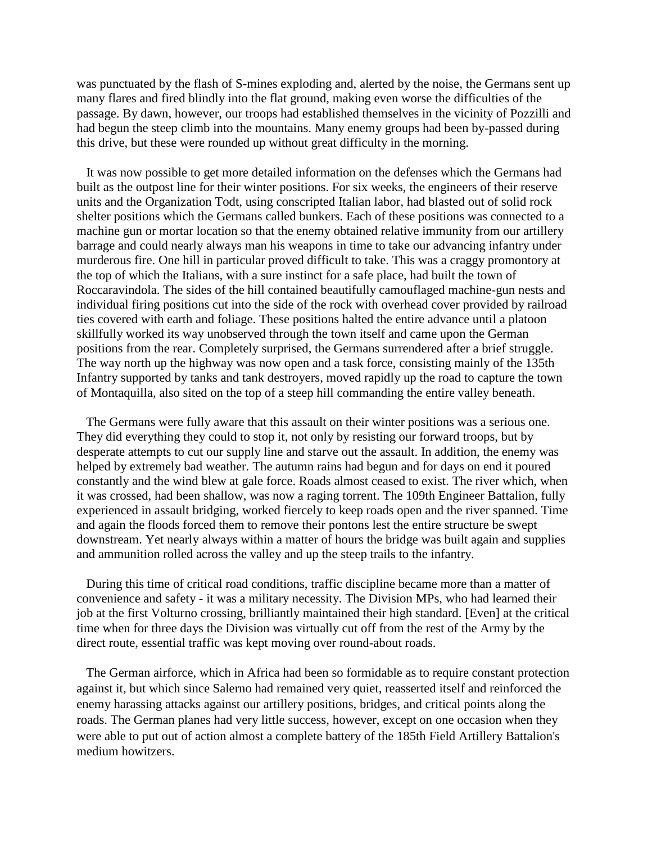was punctuated by the flash of S-mines exploding and, alerted by the noise, the Germans sent up many flares and fired blindly into the flat ground, making even worse the difficulties of the passage. By dawn, however, our troops had established themselves in the vicinity of Pozzilli and had begun the steep climb into the mountains. Many enemy groups had been by-passed during this drive, but these were rounded up without great difficulty in the morning.

 It was now possible to get more detailed information on the defenses which the Germans had built as the outpost line for their winter positions. For six weeks, the engineers of their reserve units and the Organization Todt, using conscripted Italian labor, had blasted out of solid rock shelter positions which the Germans called bunkers. Each of these positions was connected to a machine gun or mortar location so that the enemy obtained relative immunity from our artillery barrage and could nearly always man his weapons in time to take our advancing infantry under murderous fire. One hill in particular proved difficult to take. This was a craggy promontory at the top of which the Italians, with a sure instinct for a safe place, had built the town of Roccaravindola. The sides of the hill contained beautifully camouflaged machine-gun nests and individual firing positions cut into the side of the rock with overhead cover provided by railroad ties covered with earth and foliage. These positions halted the entire advance until a platoon skillfully worked its way unobserved through the town itself and came upon the German positions from the rear. Completely surprised, the Germans surrendered after a brief struggle. The way north up the highway was now open and a task force, consisting mainly of the 135th Infantry supported by tanks and tank destroyers, moved rapidly up the road to capture the town of Montaquilla, also sited on the top of a steep hill commanding the entire valley beneath.

 The Germans were fully aware that this assault on their winter positions was a serious one. They did everything they could to stop it, not only by resisting our forward troops, but by desperate attempts to cut our supply line and starve out the assault. In addition, the enemy was helped by extremely bad weather. The autumn rains had begun and for days on end it poured constantly and the wind blew at gale force. Roads almost ceased to exist. The river which, when it was crossed, had been shallow, was now a raging torrent. The 109th Engineer Battalion, fully experienced in assault bridging, worked fiercely to keep roads open and the river spanned. Time and again the floods forced them to remove their pontons lest the entire structure be swept downstream. Yet nearly always within a matter of hours the bridge was built again and supplies and ammunition rolled across the valley and up the steep trails to the infantry.

 During this time of critical road conditions, traffic discipline became more than a matter of convenience and safety - it was a military necessity. The Division MPs, who had learned their job at the first Volturno crossing, brilliantly maintained their high standard. [Even] at the critical time when for three days the Division was virtually cut off from the rest of the Army by the direct route, essential traffic was kept moving over round-about roads.

 The German airforce, which in Africa had been so formidable as to require constant protection against it, but which since Salerno had remained very quiet, reasserted itself and reinforced the enemy harassing attacks against our artillery positions, bridges, and critical points along the roads. The German planes had very little success, however, except on one occasion when they were able to put out of action almost a complete battery of the 185th Field Artillery Battalion's medium howitzers.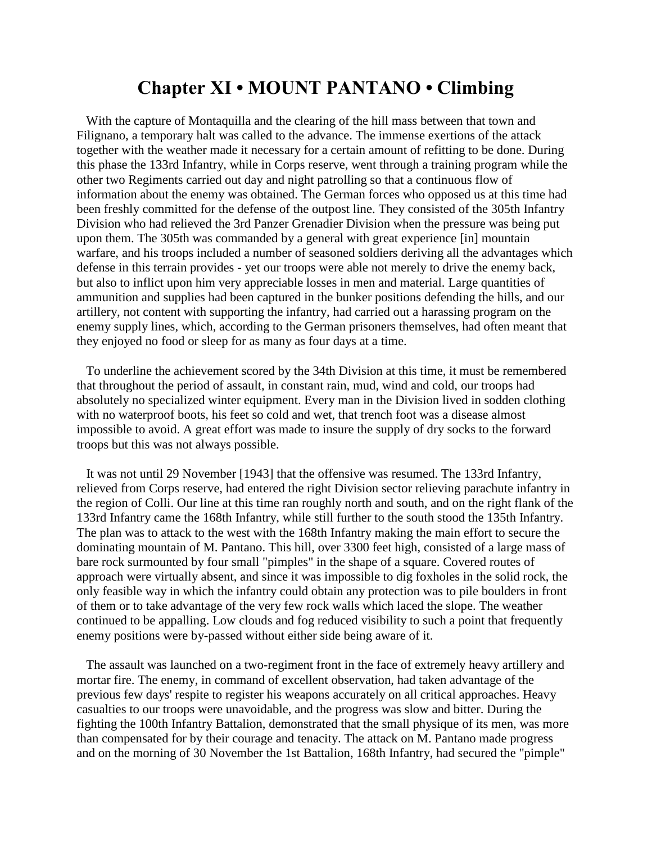## **Chapter XI • MOUNT PANTANO • Climbing**

 With the capture of Montaquilla and the clearing of the hill mass between that town and Filignano, a temporary halt was called to the advance. The immense exertions of the attack together with the weather made it necessary for a certain amount of refitting to be done. During this phase the 133rd Infantry, while in Corps reserve, went through a training program while the other two Regiments carried out day and night patrolling so that a continuous flow of information about the enemy was obtained. The German forces who opposed us at this time had been freshly committed for the defense of the outpost line. They consisted of the 305th Infantry Division who had relieved the 3rd Panzer Grenadier Division when the pressure was being put upon them. The 305th was commanded by a general with great experience [in] mountain warfare, and his troops included a number of seasoned soldiers deriving all the advantages which defense in this terrain provides - yet our troops were able not merely to drive the enemy back, but also to inflict upon him very appreciable losses in men and material. Large quantities of ammunition and supplies had been captured in the bunker positions defending the hills, and our artillery, not content with supporting the infantry, had carried out a harassing program on the enemy supply lines, which, according to the German prisoners themselves, had often meant that they enjoyed no food or sleep for as many as four days at a time.

 To underline the achievement scored by the 34th Division at this time, it must be remembered that throughout the period of assault, in constant rain, mud, wind and cold, our troops had absolutely no specialized winter equipment. Every man in the Division lived in sodden clothing with no waterproof boots, his feet so cold and wet, that trench foot was a disease almost impossible to avoid. A great effort was made to insure the supply of dry socks to the forward troops but this was not always possible.

 It was not until 29 November [1943] that the offensive was resumed. The 133rd Infantry, relieved from Corps reserve, had entered the right Division sector relieving parachute infantry in the region of Colli. Our line at this time ran roughly north and south, and on the right flank of the 133rd Infantry came the 168th Infantry, while still further to the south stood the 135th Infantry. The plan was to attack to the west with the 168th Infantry making the main effort to secure the dominating mountain of M. Pantano. This hill, over 3300 feet high, consisted of a large mass of bare rock surmounted by four small "pimples" in the shape of a square. Covered routes of approach were virtually absent, and since it was impossible to dig foxholes in the solid rock, the only feasible way in which the infantry could obtain any protection was to pile boulders in front of them or to take advantage of the very few rock walls which laced the slope. The weather continued to be appalling. Low clouds and fog reduced visibility to such a point that frequently enemy positions were by-passed without either side being aware of it.

 The assault was launched on a two-regiment front in the face of extremely heavy artillery and mortar fire. The enemy, in command of excellent observation, had taken advantage of the previous few days' respite to register his weapons accurately on all critical approaches. Heavy casualties to our troops were unavoidable, and the progress was slow and bitter. During the fighting the 100th Infantry Battalion, demonstrated that the small physique of its men, was more than compensated for by their courage and tenacity. The attack on M. Pantano made progress and on the morning of 30 November the 1st Battalion, 168th Infantry, had secured the "pimple"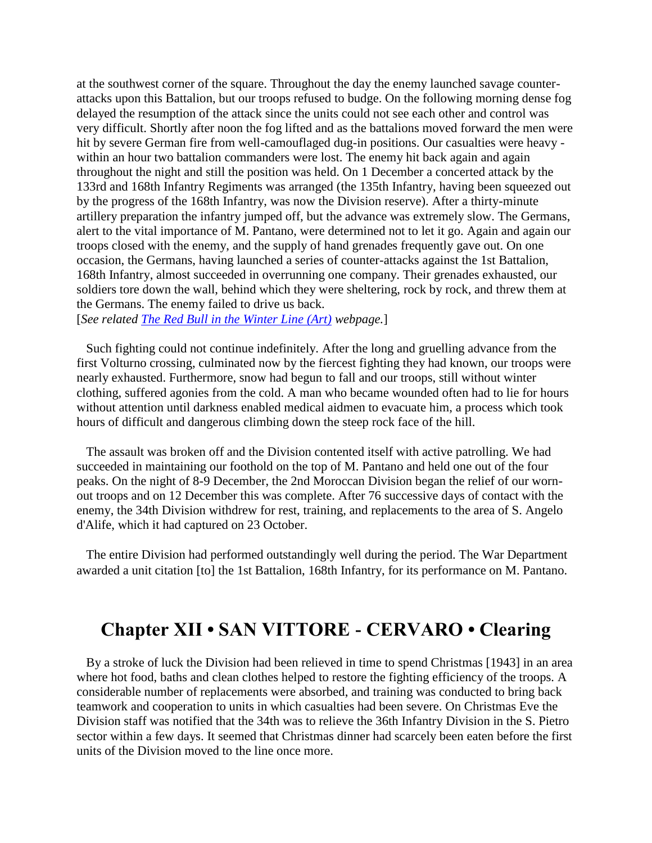at the southwest corner of the square. Throughout the day the enemy launched savage counterattacks upon this Battalion, but our troops refused to budge. On the following morning dense fog delayed the resumption of the attack since the units could not see each other and control was very difficult. Shortly after noon the fog lifted and as the battalions moved forward the men were hit by severe German fire from well-camouflaged dug-in positions. Our casualties were heavy within an hour two battalion commanders were lost. The enemy hit back again and again throughout the night and still the position was held. On 1 December a concerted attack by the 133rd and 168th Infantry Regiments was arranged (the 135th Infantry, having been squeezed out by the progress of the 168th Infantry, was now the Division reserve). After a thirty-minute artillery preparation the infantry jumped off, but the advance was extremely slow. The Germans, alert to the vital importance of M. Pantano, were determined not to let it go. Again and again our troops closed with the enemy, and the supply of hand grenades frequently gave out. On one occasion, the Germans, having launched a series of counter-attacks against the 1st Battalion, 168th Infantry, almost succeeded in overrunning one company. Their grenades exhausted, our soldiers tore down the wall, behind which they were sheltering, rock by rock, and threw them at the Germans. The enemy failed to drive us back.

[*See related [The Red Bull in the Winter Line \(Art\)](http://www.34infdiv.org/feature/34art.html) webpage.*]

 Such fighting could not continue indefinitely. After the long and gruelling advance from the first Volturno crossing, culminated now by the fiercest fighting they had known, our troops were nearly exhausted. Furthermore, snow had begun to fall and our troops, still without winter clothing, suffered agonies from the cold. A man who became wounded often had to lie for hours without attention until darkness enabled medical aidmen to evacuate him, a process which took hours of difficult and dangerous climbing down the steep rock face of the hill.

 The assault was broken off and the Division contented itself with active patrolling. We had succeeded in maintaining our foothold on the top of M. Pantano and held one out of the four peaks. On the night of 8-9 December, the 2nd Moroccan Division began the relief of our wornout troops and on 12 December this was complete. After 76 successive days of contact with the enemy, the 34th Division withdrew for rest, training, and replacements to the area of S. Angelo d'Alife, which it had captured on 23 October.

 The entire Division had performed outstandingly well during the period. The War Department awarded a unit citation [to] the 1st Battalion, 168th Infantry, for its performance on M. Pantano.

## **Chapter XII • SAN VITTORE - CERVARO • Clearing**

 By a stroke of luck the Division had been relieved in time to spend Christmas [1943] in an area where hot food, baths and clean clothes helped to restore the fighting efficiency of the troops. A considerable number of replacements were absorbed, and training was conducted to bring back teamwork and cooperation to units in which casualties had been severe. On Christmas Eve the Division staff was notified that the 34th was to relieve the 36th Infantry Division in the S. Pietro sector within a few days. It seemed that Christmas dinner had scarcely been eaten before the first units of the Division moved to the line once more.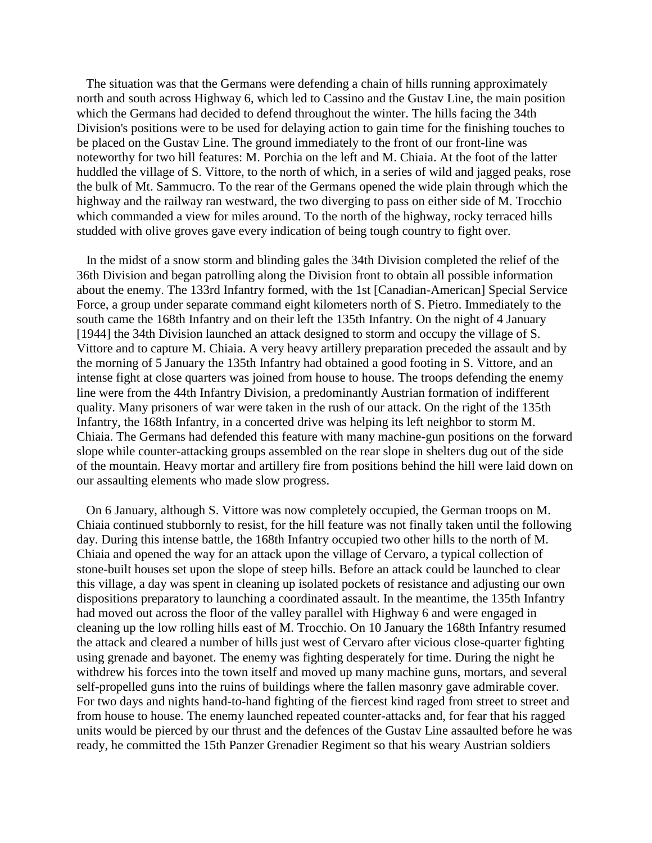The situation was that the Germans were defending a chain of hills running approximately north and south across Highway 6, which led to Cassino and the Gustav Line, the main position which the Germans had decided to defend throughout the winter. The hills facing the 34th Division's positions were to be used for delaying action to gain time for the finishing touches to be placed on the Gustav Line. The ground immediately to the front of our front-line was noteworthy for two hill features: M. Porchia on the left and M. Chiaia. At the foot of the latter huddled the village of S. Vittore, to the north of which, in a series of wild and jagged peaks, rose the bulk of Mt. Sammucro. To the rear of the Germans opened the wide plain through which the highway and the railway ran westward, the two diverging to pass on either side of M. Trocchio which commanded a view for miles around. To the north of the highway, rocky terraced hills studded with olive groves gave every indication of being tough country to fight over.

 In the midst of a snow storm and blinding gales the 34th Division completed the relief of the 36th Division and began patrolling along the Division front to obtain all possible information about the enemy. The 133rd Infantry formed, with the 1st [Canadian-American] Special Service Force, a group under separate command eight kilometers north of S. Pietro. Immediately to the south came the 168th Infantry and on their left the 135th Infantry. On the night of 4 January [1944] the 34th Division launched an attack designed to storm and occupy the village of S. Vittore and to capture M. Chiaia. A very heavy artillery preparation preceded the assault and by the morning of 5 January the 135th Infantry had obtained a good footing in S. Vittore, and an intense fight at close quarters was joined from house to house. The troops defending the enemy line were from the 44th Infantry Division, a predominantly Austrian formation of indifferent quality. Many prisoners of war were taken in the rush of our attack. On the right of the 135th Infantry, the 168th Infantry, in a concerted drive was helping its left neighbor to storm M. Chiaia. The Germans had defended this feature with many machine-gun positions on the forward slope while counter-attacking groups assembled on the rear slope in shelters dug out of the side of the mountain. Heavy mortar and artillery fire from positions behind the hill were laid down on our assaulting elements who made slow progress.

 On 6 January, although S. Vittore was now completely occupied, the German troops on M. Chiaia continued stubbornly to resist, for the hill feature was not finally taken until the following day. During this intense battle, the 168th Infantry occupied two other hills to the north of M. Chiaia and opened the way for an attack upon the village of Cervaro, a typical collection of stone-built houses set upon the slope of steep hills. Before an attack could be launched to clear this village, a day was spent in cleaning up isolated pockets of resistance and adjusting our own dispositions preparatory to launching a coordinated assault. In the meantime, the 135th Infantry had moved out across the floor of the valley parallel with Highway 6 and were engaged in cleaning up the low rolling hills east of M. Trocchio. On 10 January the 168th Infantry resumed the attack and cleared a number of hills just west of Cervaro after vicious close-quarter fighting using grenade and bayonet. The enemy was fighting desperately for time. During the night he withdrew his forces into the town itself and moved up many machine guns, mortars, and several self-propelled guns into the ruins of buildings where the fallen masonry gave admirable cover. For two days and nights hand-to-hand fighting of the fiercest kind raged from street to street and from house to house. The enemy launched repeated counter-attacks and, for fear that his ragged units would be pierced by our thrust and the defences of the Gustav Line assaulted before he was ready, he committed the 15th Panzer Grenadier Regiment so that his weary Austrian soldiers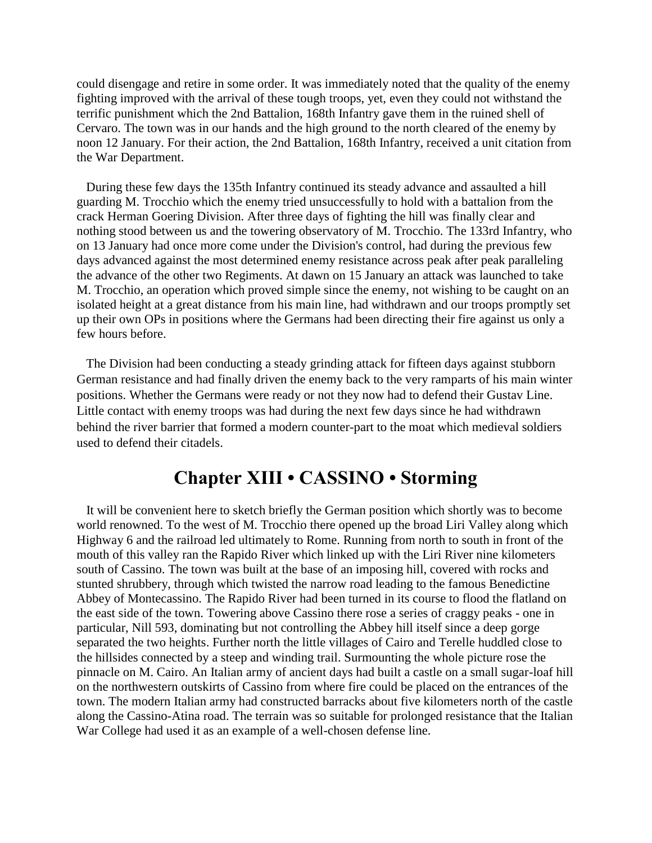could disengage and retire in some order. It was immediately noted that the quality of the enemy fighting improved with the arrival of these tough troops, yet, even they could not withstand the terrific punishment which the 2nd Battalion, 168th Infantry gave them in the ruined shell of Cervaro. The town was in our hands and the high ground to the north cleared of the enemy by noon 12 January. For their action, the 2nd Battalion, 168th Infantry, received a unit citation from the War Department.

 During these few days the 135th Infantry continued its steady advance and assaulted a hill guarding M. Trocchio which the enemy tried unsuccessfully to hold with a battalion from the crack Herman Goering Division. After three days of fighting the hill was finally clear and nothing stood between us and the towering observatory of M. Trocchio. The 133rd Infantry, who on 13 January had once more come under the Division's control, had during the previous few days advanced against the most determined enemy resistance across peak after peak paralleling the advance of the other two Regiments. At dawn on 15 January an attack was launched to take M. Trocchio, an operation which proved simple since the enemy, not wishing to be caught on an isolated height at a great distance from his main line, had withdrawn and our troops promptly set up their own OPs in positions where the Germans had been directing their fire against us only a few hours before.

 The Division had been conducting a steady grinding attack for fifteen days against stubborn German resistance and had finally driven the enemy back to the very ramparts of his main winter positions. Whether the Germans were ready or not they now had to defend their Gustav Line. Little contact with enemy troops was had during the next few days since he had withdrawn behind the river barrier that formed a modern counter-part to the moat which medieval soldiers used to defend their citadels.

## **Chapter XIII • CASSINO • Storming**

 It will be convenient here to sketch briefly the German position which shortly was to become world renowned. To the west of M. Trocchio there opened up the broad Liri Valley along which Highway 6 and the railroad led ultimately to Rome. Running from north to south in front of the mouth of this valley ran the Rapido River which linked up with the Liri River nine kilometers south of Cassino. The town was built at the base of an imposing hill, covered with rocks and stunted shrubbery, through which twisted the narrow road leading to the famous Benedictine Abbey of Montecassino. The Rapido River had been turned in its course to flood the flatland on the east side of the town. Towering above Cassino there rose a series of craggy peaks - one in particular, Nill 593, dominating but not controlling the Abbey hill itself since a deep gorge separated the two heights. Further north the little villages of Cairo and Terelle huddled close to the hillsides connected by a steep and winding trail. Surmounting the whole picture rose the pinnacle on M. Cairo. An Italian army of ancient days had built a castle on a small sugar-loaf hill on the northwestern outskirts of Cassino from where fire could be placed on the entrances of the town. The modern Italian army had constructed barracks about five kilometers north of the castle along the Cassino-Atina road. The terrain was so suitable for prolonged resistance that the Italian War College had used it as an example of a well-chosen defense line.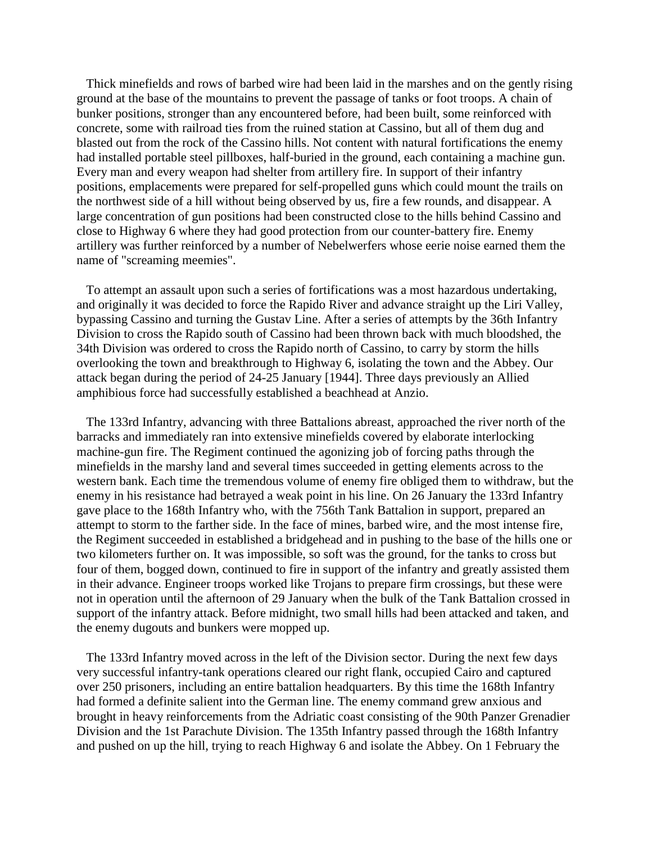Thick minefields and rows of barbed wire had been laid in the marshes and on the gently rising ground at the base of the mountains to prevent the passage of tanks or foot troops. A chain of bunker positions, stronger than any encountered before, had been built, some reinforced with concrete, some with railroad ties from the ruined station at Cassino, but all of them dug and blasted out from the rock of the Cassino hills. Not content with natural fortifications the enemy had installed portable steel pillboxes, half-buried in the ground, each containing a machine gun. Every man and every weapon had shelter from artillery fire. In support of their infantry positions, emplacements were prepared for self-propelled guns which could mount the trails on the northwest side of a hill without being observed by us, fire a few rounds, and disappear. A large concentration of gun positions had been constructed close to the hills behind Cassino and close to Highway 6 where they had good protection from our counter-battery fire. Enemy artillery was further reinforced by a number of Nebelwerfers whose eerie noise earned them the name of "screaming meemies".

 To attempt an assault upon such a series of fortifications was a most hazardous undertaking, and originally it was decided to force the Rapido River and advance straight up the Liri Valley, bypassing Cassino and turning the Gustav Line. After a series of attempts by the 36th Infantry Division to cross the Rapido south of Cassino had been thrown back with much bloodshed, the 34th Division was ordered to cross the Rapido north of Cassino, to carry by storm the hills overlooking the town and breakthrough to Highway 6, isolating the town and the Abbey. Our attack began during the period of 24-25 January [1944]. Three days previously an Allied amphibious force had successfully established a beachhead at Anzio.

 The 133rd Infantry, advancing with three Battalions abreast, approached the river north of the barracks and immediately ran into extensive minefields covered by elaborate interlocking machine-gun fire. The Regiment continued the agonizing job of forcing paths through the minefields in the marshy land and several times succeeded in getting elements across to the western bank. Each time the tremendous volume of enemy fire obliged them to withdraw, but the enemy in his resistance had betrayed a weak point in his line. On 26 January the 133rd Infantry gave place to the 168th Infantry who, with the 756th Tank Battalion in support, prepared an attempt to storm to the farther side. In the face of mines, barbed wire, and the most intense fire, the Regiment succeeded in established a bridgehead and in pushing to the base of the hills one or two kilometers further on. It was impossible, so soft was the ground, for the tanks to cross but four of them, bogged down, continued to fire in support of the infantry and greatly assisted them in their advance. Engineer troops worked like Trojans to prepare firm crossings, but these were not in operation until the afternoon of 29 January when the bulk of the Tank Battalion crossed in support of the infantry attack. Before midnight, two small hills had been attacked and taken, and the enemy dugouts and bunkers were mopped up.

 The 133rd Infantry moved across in the left of the Division sector. During the next few days very successful infantry-tank operations cleared our right flank, occupied Cairo and captured over 250 prisoners, including an entire battalion headquarters. By this time the 168th Infantry had formed a definite salient into the German line. The enemy command grew anxious and brought in heavy reinforcements from the Adriatic coast consisting of the 90th Panzer Grenadier Division and the 1st Parachute Division. The 135th Infantry passed through the 168th Infantry and pushed on up the hill, trying to reach Highway 6 and isolate the Abbey. On 1 February the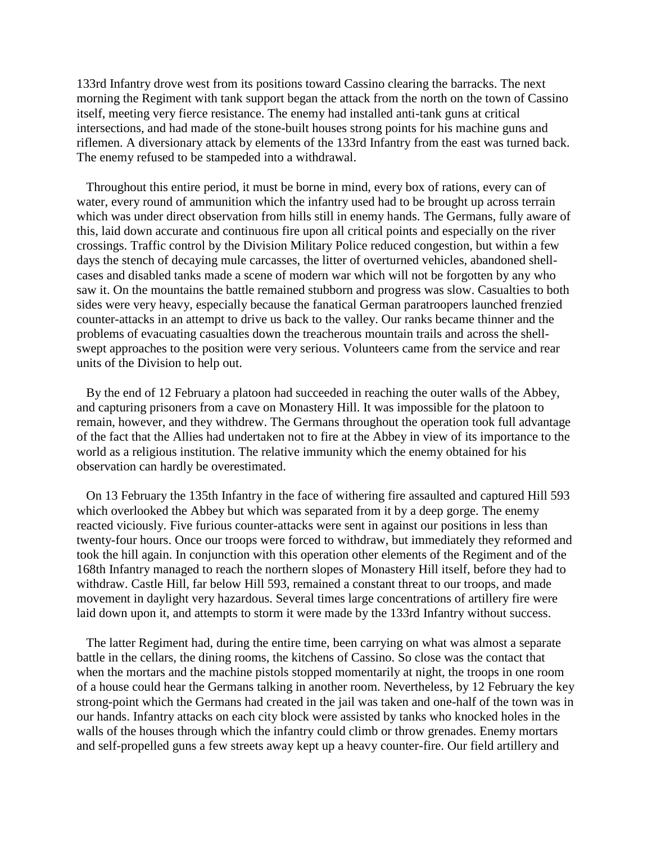133rd Infantry drove west from its positions toward Cassino clearing the barracks. The next morning the Regiment with tank support began the attack from the north on the town of Cassino itself, meeting very fierce resistance. The enemy had installed anti-tank guns at critical intersections, and had made of the stone-built houses strong points for his machine guns and riflemen. A diversionary attack by elements of the 133rd Infantry from the east was turned back. The enemy refused to be stampeded into a withdrawal.

 Throughout this entire period, it must be borne in mind, every box of rations, every can of water, every round of ammunition which the infantry used had to be brought up across terrain which was under direct observation from hills still in enemy hands. The Germans, fully aware of this, laid down accurate and continuous fire upon all critical points and especially on the river crossings. Traffic control by the Division Military Police reduced congestion, but within a few days the stench of decaying mule carcasses, the litter of overturned vehicles, abandoned shellcases and disabled tanks made a scene of modern war which will not be forgotten by any who saw it. On the mountains the battle remained stubborn and progress was slow. Casualties to both sides were very heavy, especially because the fanatical German paratroopers launched frenzied counter-attacks in an attempt to drive us back to the valley. Our ranks became thinner and the problems of evacuating casualties down the treacherous mountain trails and across the shellswept approaches to the position were very serious. Volunteers came from the service and rear units of the Division to help out.

 By the end of 12 February a platoon had succeeded in reaching the outer walls of the Abbey, and capturing prisoners from a cave on Monastery Hill. It was impossible for the platoon to remain, however, and they withdrew. The Germans throughout the operation took full advantage of the fact that the Allies had undertaken not to fire at the Abbey in view of its importance to the world as a religious institution. The relative immunity which the enemy obtained for his observation can hardly be overestimated.

 On 13 February the 135th Infantry in the face of withering fire assaulted and captured Hill 593 which overlooked the Abbey but which was separated from it by a deep gorge. The enemy reacted viciously. Five furious counter-attacks were sent in against our positions in less than twenty-four hours. Once our troops were forced to withdraw, but immediately they reformed and took the hill again. In conjunction with this operation other elements of the Regiment and of the 168th Infantry managed to reach the northern slopes of Monastery Hill itself, before they had to withdraw. Castle Hill, far below Hill 593, remained a constant threat to our troops, and made movement in daylight very hazardous. Several times large concentrations of artillery fire were laid down upon it, and attempts to storm it were made by the 133rd Infantry without success.

 The latter Regiment had, during the entire time, been carrying on what was almost a separate battle in the cellars, the dining rooms, the kitchens of Cassino. So close was the contact that when the mortars and the machine pistols stopped momentarily at night, the troops in one room of a house could hear the Germans talking in another room. Nevertheless, by 12 February the key strong-point which the Germans had created in the jail was taken and one-half of the town was in our hands. Infantry attacks on each city block were assisted by tanks who knocked holes in the walls of the houses through which the infantry could climb or throw grenades. Enemy mortars and self-propelled guns a few streets away kept up a heavy counter-fire. Our field artillery and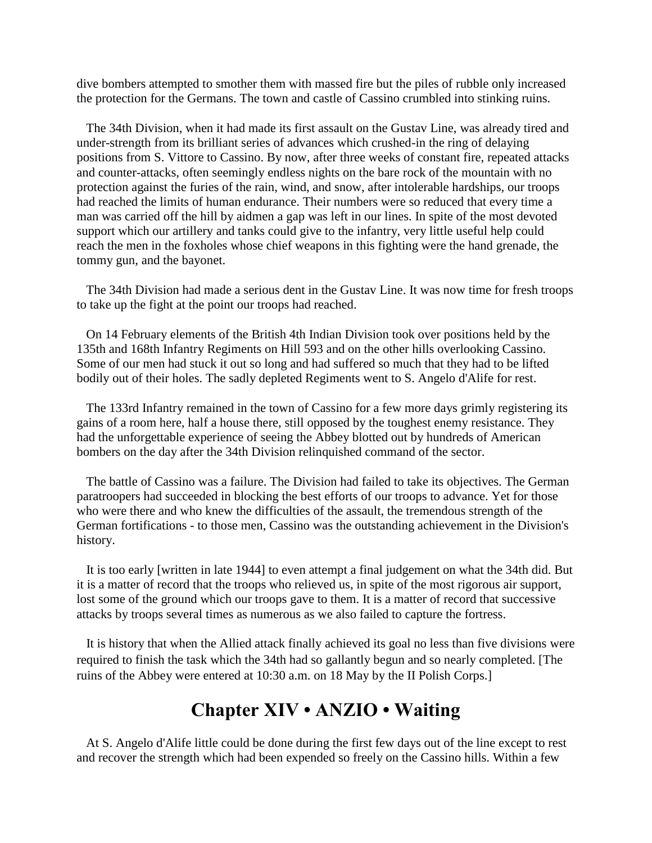dive bombers attempted to smother them with massed fire but the piles of rubble only increased the protection for the Germans. The town and castle of Cassino crumbled into stinking ruins.

 The 34th Division, when it had made its first assault on the Gustav Line, was already tired and under-strength from its brilliant series of advances which crushed-in the ring of delaying positions from S. Vittore to Cassino. By now, after three weeks of constant fire, repeated attacks and counter-attacks, often seemingly endless nights on the bare rock of the mountain with no protection against the furies of the rain, wind, and snow, after intolerable hardships, our troops had reached the limits of human endurance. Their numbers were so reduced that every time a man was carried off the hill by aidmen a gap was left in our lines. In spite of the most devoted support which our artillery and tanks could give to the infantry, very little useful help could reach the men in the foxholes whose chief weapons in this fighting were the hand grenade, the tommy gun, and the bayonet.

 The 34th Division had made a serious dent in the Gustav Line. It was now time for fresh troops to take up the fight at the point our troops had reached.

 On 14 February elements of the British 4th Indian Division took over positions held by the 135th and 168th Infantry Regiments on Hill 593 and on the other hills overlooking Cassino. Some of our men had stuck it out so long and had suffered so much that they had to be lifted bodily out of their holes. The sadly depleted Regiments went to S. Angelo d'Alife for rest.

 The 133rd Infantry remained in the town of Cassino for a few more days grimly registering its gains of a room here, half a house there, still opposed by the toughest enemy resistance. They had the unforgettable experience of seeing the Abbey blotted out by hundreds of American bombers on the day after the 34th Division relinquished command of the sector.

 The battle of Cassino was a failure. The Division had failed to take its objectives. The German paratroopers had succeeded in blocking the best efforts of our troops to advance. Yet for those who were there and who knew the difficulties of the assault, the tremendous strength of the German fortifications - to those men, Cassino was the outstanding achievement in the Division's history.

 It is too early [written in late 1944] to even attempt a final judgement on what the 34th did. But it is a matter of record that the troops who relieved us, in spite of the most rigorous air support, lost some of the ground which our troops gave to them. It is a matter of record that successive attacks by troops several times as numerous as we also failed to capture the fortress.

 It is history that when the Allied attack finally achieved its goal no less than five divisions were required to finish the task which the 34th had so gallantly begun and so nearly completed. [The ruins of the Abbey were entered at 10:30 a.m. on 18 May by the II Polish Corps.]

# **Chapter XIV • ANZIO • Waiting**

 At S. Angelo d'Alife little could be done during the first few days out of the line except to rest and recover the strength which had been expended so freely on the Cassino hills. Within a few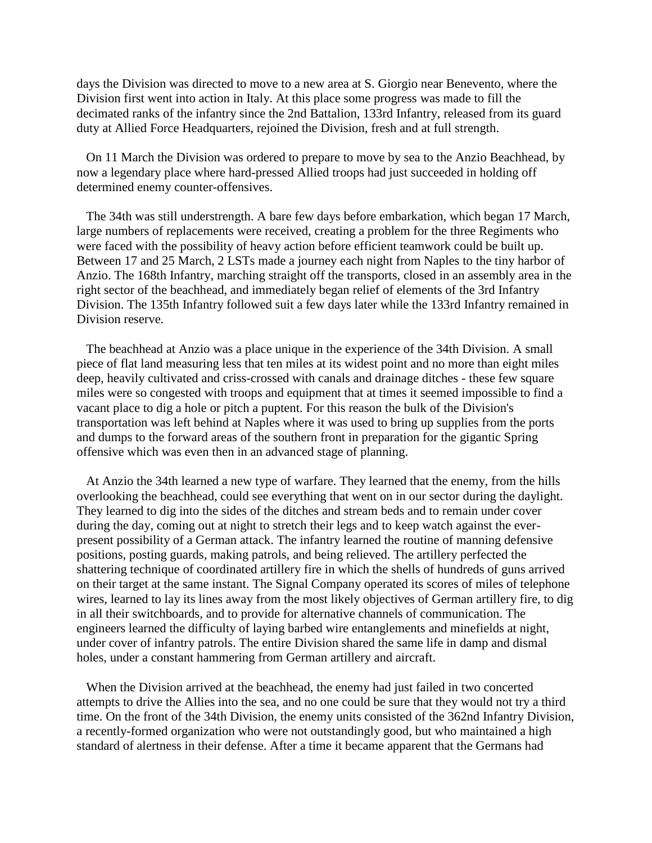days the Division was directed to move to a new area at S. Giorgio near Benevento, where the Division first went into action in Italy. At this place some progress was made to fill the decimated ranks of the infantry since the 2nd Battalion, 133rd Infantry, released from its guard duty at Allied Force Headquarters, rejoined the Division, fresh and at full strength.

 On 11 March the Division was ordered to prepare to move by sea to the Anzio Beachhead, by now a legendary place where hard-pressed Allied troops had just succeeded in holding off determined enemy counter-offensives.

 The 34th was still understrength. A bare few days before embarkation, which began 17 March, large numbers of replacements were received, creating a problem for the three Regiments who were faced with the possibility of heavy action before efficient teamwork could be built up. Between 17 and 25 March, 2 LSTs made a journey each night from Naples to the tiny harbor of Anzio. The 168th Infantry, marching straight off the transports, closed in an assembly area in the right sector of the beachhead, and immediately began relief of elements of the 3rd Infantry Division. The 135th Infantry followed suit a few days later while the 133rd Infantry remained in Division reserve.

 The beachhead at Anzio was a place unique in the experience of the 34th Division. A small piece of flat land measuring less that ten miles at its widest point and no more than eight miles deep, heavily cultivated and criss-crossed with canals and drainage ditches - these few square miles were so congested with troops and equipment that at times it seemed impossible to find a vacant place to dig a hole or pitch a puptent. For this reason the bulk of the Division's transportation was left behind at Naples where it was used to bring up supplies from the ports and dumps to the forward areas of the southern front in preparation for the gigantic Spring offensive which was even then in an advanced stage of planning.

 At Anzio the 34th learned a new type of warfare. They learned that the enemy, from the hills overlooking the beachhead, could see everything that went on in our sector during the daylight. They learned to dig into the sides of the ditches and stream beds and to remain under cover during the day, coming out at night to stretch their legs and to keep watch against the everpresent possibility of a German attack. The infantry learned the routine of manning defensive positions, posting guards, making patrols, and being relieved. The artillery perfected the shattering technique of coordinated artillery fire in which the shells of hundreds of guns arrived on their target at the same instant. The Signal Company operated its scores of miles of telephone wires, learned to lay its lines away from the most likely objectives of German artillery fire, to dig in all their switchboards, and to provide for alternative channels of communication. The engineers learned the difficulty of laying barbed wire entanglements and minefields at night, under cover of infantry patrols. The entire Division shared the same life in damp and dismal holes, under a constant hammering from German artillery and aircraft.

 When the Division arrived at the beachhead, the enemy had just failed in two concerted attempts to drive the Allies into the sea, and no one could be sure that they would not try a third time. On the front of the 34th Division, the enemy units consisted of the 362nd Infantry Division, a recently-formed organization who were not outstandingly good, but who maintained a high standard of alertness in their defense. After a time it became apparent that the Germans had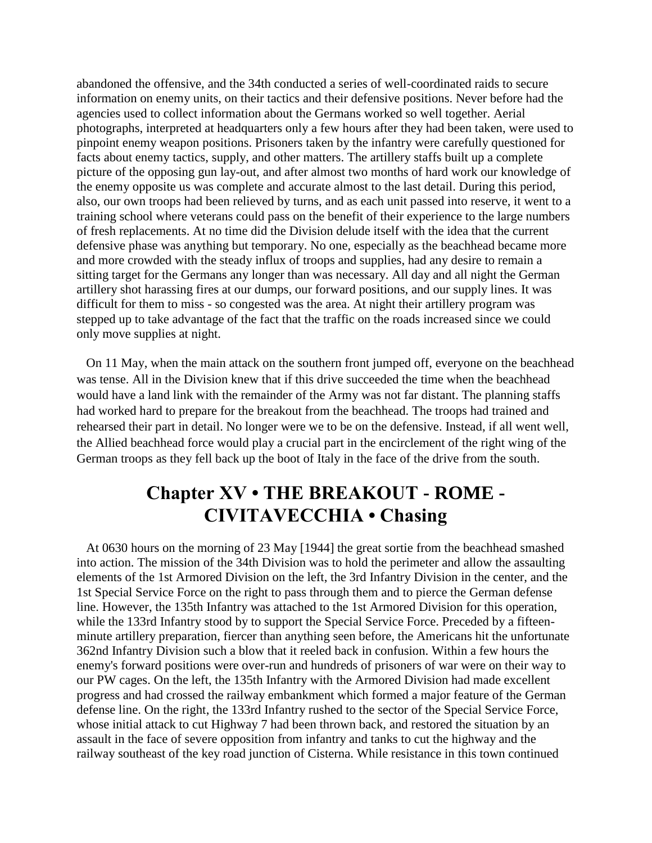abandoned the offensive, and the 34th conducted a series of well-coordinated raids to secure information on enemy units, on their tactics and their defensive positions. Never before had the agencies used to collect information about the Germans worked so well together. Aerial photographs, interpreted at headquarters only a few hours after they had been taken, were used to pinpoint enemy weapon positions. Prisoners taken by the infantry were carefully questioned for facts about enemy tactics, supply, and other matters. The artillery staffs built up a complete picture of the opposing gun lay-out, and after almost two months of hard work our knowledge of the enemy opposite us was complete and accurate almost to the last detail. During this period, also, our own troops had been relieved by turns, and as each unit passed into reserve, it went to a training school where veterans could pass on the benefit of their experience to the large numbers of fresh replacements. At no time did the Division delude itself with the idea that the current defensive phase was anything but temporary. No one, especially as the beachhead became more and more crowded with the steady influx of troops and supplies, had any desire to remain a sitting target for the Germans any longer than was necessary. All day and all night the German artillery shot harassing fires at our dumps, our forward positions, and our supply lines. It was difficult for them to miss - so congested was the area. At night their artillery program was stepped up to take advantage of the fact that the traffic on the roads increased since we could only move supplies at night.

 On 11 May, when the main attack on the southern front jumped off, everyone on the beachhead was tense. All in the Division knew that if this drive succeeded the time when the beachhead would have a land link with the remainder of the Army was not far distant. The planning staffs had worked hard to prepare for the breakout from the beachhead. The troops had trained and rehearsed their part in detail. No longer were we to be on the defensive. Instead, if all went well, the Allied beachhead force would play a crucial part in the encirclement of the right wing of the German troops as they fell back up the boot of Italy in the face of the drive from the south.

## **Chapter XV • THE BREAKOUT - ROME - CIVITAVECCHIA • Chasing**

 At 0630 hours on the morning of 23 May [1944] the great sortie from the beachhead smashed into action. The mission of the 34th Division was to hold the perimeter and allow the assaulting elements of the 1st Armored Division on the left, the 3rd Infantry Division in the center, and the 1st Special Service Force on the right to pass through them and to pierce the German defense line. However, the 135th Infantry was attached to the 1st Armored Division for this operation, while the 133rd Infantry stood by to support the Special Service Force. Preceded by a fifteenminute artillery preparation, fiercer than anything seen before, the Americans hit the unfortunate 362nd Infantry Division such a blow that it reeled back in confusion. Within a few hours the enemy's forward positions were over-run and hundreds of prisoners of war were on their way to our PW cages. On the left, the 135th Infantry with the Armored Division had made excellent progress and had crossed the railway embankment which formed a major feature of the German defense line. On the right, the 133rd Infantry rushed to the sector of the Special Service Force, whose initial attack to cut Highway 7 had been thrown back, and restored the situation by an assault in the face of severe opposition from infantry and tanks to cut the highway and the railway southeast of the key road junction of Cisterna. While resistance in this town continued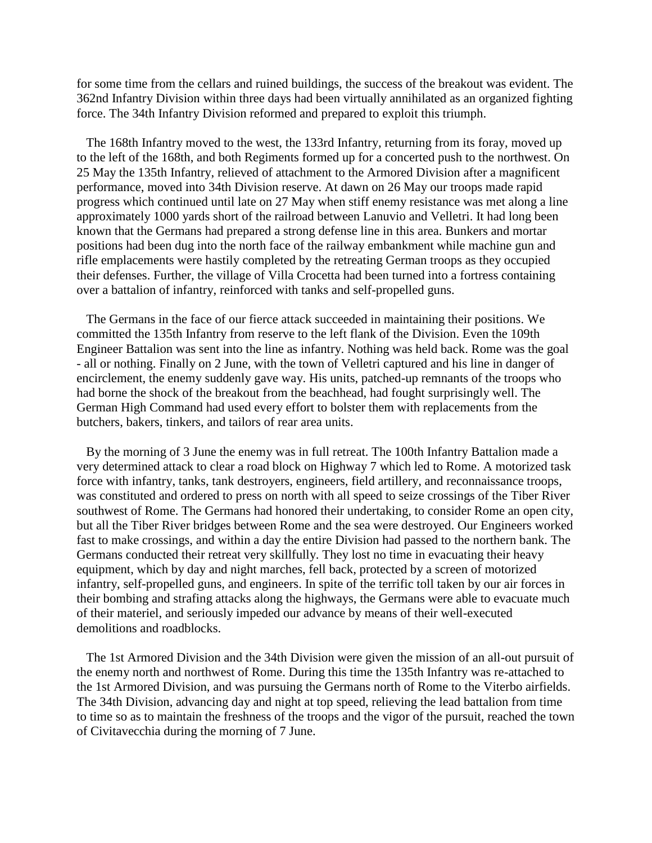for some time from the cellars and ruined buildings, the success of the breakout was evident. The 362nd Infantry Division within three days had been virtually annihilated as an organized fighting force. The 34th Infantry Division reformed and prepared to exploit this triumph.

 The 168th Infantry moved to the west, the 133rd Infantry, returning from its foray, moved up to the left of the 168th, and both Regiments formed up for a concerted push to the northwest. On 25 May the 135th Infantry, relieved of attachment to the Armored Division after a magnificent performance, moved into 34th Division reserve. At dawn on 26 May our troops made rapid progress which continued until late on 27 May when stiff enemy resistance was met along a line approximately 1000 yards short of the railroad between Lanuvio and Velletri. It had long been known that the Germans had prepared a strong defense line in this area. Bunkers and mortar positions had been dug into the north face of the railway embankment while machine gun and rifle emplacements were hastily completed by the retreating German troops as they occupied their defenses. Further, the village of Villa Crocetta had been turned into a fortress containing over a battalion of infantry, reinforced with tanks and self-propelled guns.

 The Germans in the face of our fierce attack succeeded in maintaining their positions. We committed the 135th Infantry from reserve to the left flank of the Division. Even the 109th Engineer Battalion was sent into the line as infantry. Nothing was held back. Rome was the goal - all or nothing. Finally on 2 June, with the town of Velletri captured and his line in danger of encirclement, the enemy suddenly gave way. His units, patched-up remnants of the troops who had borne the shock of the breakout from the beachhead, had fought surprisingly well. The German High Command had used every effort to bolster them with replacements from the butchers, bakers, tinkers, and tailors of rear area units.

 By the morning of 3 June the enemy was in full retreat. The 100th Infantry Battalion made a very determined attack to clear a road block on Highway 7 which led to Rome. A motorized task force with infantry, tanks, tank destroyers, engineers, field artillery, and reconnaissance troops, was constituted and ordered to press on north with all speed to seize crossings of the Tiber River southwest of Rome. The Germans had honored their undertaking, to consider Rome an open city, but all the Tiber River bridges between Rome and the sea were destroyed. Our Engineers worked fast to make crossings, and within a day the entire Division had passed to the northern bank. The Germans conducted their retreat very skillfully. They lost no time in evacuating their heavy equipment, which by day and night marches, fell back, protected by a screen of motorized infantry, self-propelled guns, and engineers. In spite of the terrific toll taken by our air forces in their bombing and strafing attacks along the highways, the Germans were able to evacuate much of their materiel, and seriously impeded our advance by means of their well-executed demolitions and roadblocks.

 The 1st Armored Division and the 34th Division were given the mission of an all-out pursuit of the enemy north and northwest of Rome. During this time the 135th Infantry was re-attached to the 1st Armored Division, and was pursuing the Germans north of Rome to the Viterbo airfields. The 34th Division, advancing day and night at top speed, relieving the lead battalion from time to time so as to maintain the freshness of the troops and the vigor of the pursuit, reached the town of Civitavecchia during the morning of 7 June.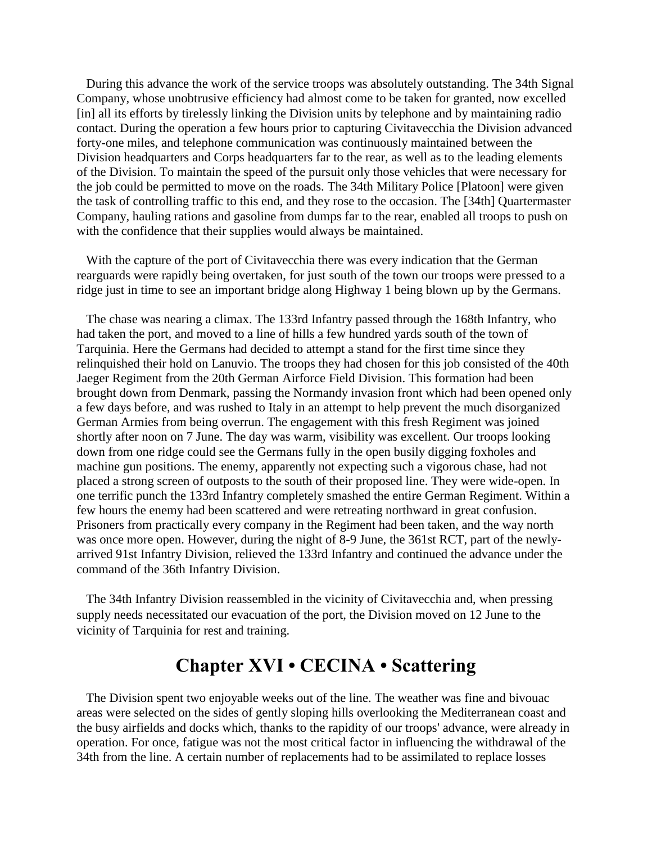During this advance the work of the service troops was absolutely outstanding. The 34th Signal Company, whose unobtrusive efficiency had almost come to be taken for granted, now excelled [in] all its efforts by tirelessly linking the Division units by telephone and by maintaining radio contact. During the operation a few hours prior to capturing Civitavecchia the Division advanced forty-one miles, and telephone communication was continuously maintained between the Division headquarters and Corps headquarters far to the rear, as well as to the leading elements of the Division. To maintain the speed of the pursuit only those vehicles that were necessary for the job could be permitted to move on the roads. The 34th Military Police [Platoon] were given the task of controlling traffic to this end, and they rose to the occasion. The [34th] Quartermaster Company, hauling rations and gasoline from dumps far to the rear, enabled all troops to push on with the confidence that their supplies would always be maintained.

 With the capture of the port of Civitavecchia there was every indication that the German rearguards were rapidly being overtaken, for just south of the town our troops were pressed to a ridge just in time to see an important bridge along Highway 1 being blown up by the Germans.

 The chase was nearing a climax. The 133rd Infantry passed through the 168th Infantry, who had taken the port, and moved to a line of hills a few hundred yards south of the town of Tarquinia. Here the Germans had decided to attempt a stand for the first time since they relinquished their hold on Lanuvio. The troops they had chosen for this job consisted of the 40th Jaeger Regiment from the 20th German Airforce Field Division. This formation had been brought down from Denmark, passing the Normandy invasion front which had been opened only a few days before, and was rushed to Italy in an attempt to help prevent the much disorganized German Armies from being overrun. The engagement with this fresh Regiment was joined shortly after noon on 7 June. The day was warm, visibility was excellent. Our troops looking down from one ridge could see the Germans fully in the open busily digging foxholes and machine gun positions. The enemy, apparently not expecting such a vigorous chase, had not placed a strong screen of outposts to the south of their proposed line. They were wide-open. In one terrific punch the 133rd Infantry completely smashed the entire German Regiment. Within a few hours the enemy had been scattered and were retreating northward in great confusion. Prisoners from practically every company in the Regiment had been taken, and the way north was once more open. However, during the night of 8-9 June, the 361st RCT, part of the newlyarrived 91st Infantry Division, relieved the 133rd Infantry and continued the advance under the command of the 36th Infantry Division.

 The 34th Infantry Division reassembled in the vicinity of Civitavecchia and, when pressing supply needs necessitated our evacuation of the port, the Division moved on 12 June to the vicinity of Tarquinia for rest and training.

## **Chapter XVI • CECINA • Scattering**

 The Division spent two enjoyable weeks out of the line. The weather was fine and bivouac areas were selected on the sides of gently sloping hills overlooking the Mediterranean coast and the busy airfields and docks which, thanks to the rapidity of our troops' advance, were already in operation. For once, fatigue was not the most critical factor in influencing the withdrawal of the 34th from the line. A certain number of replacements had to be assimilated to replace losses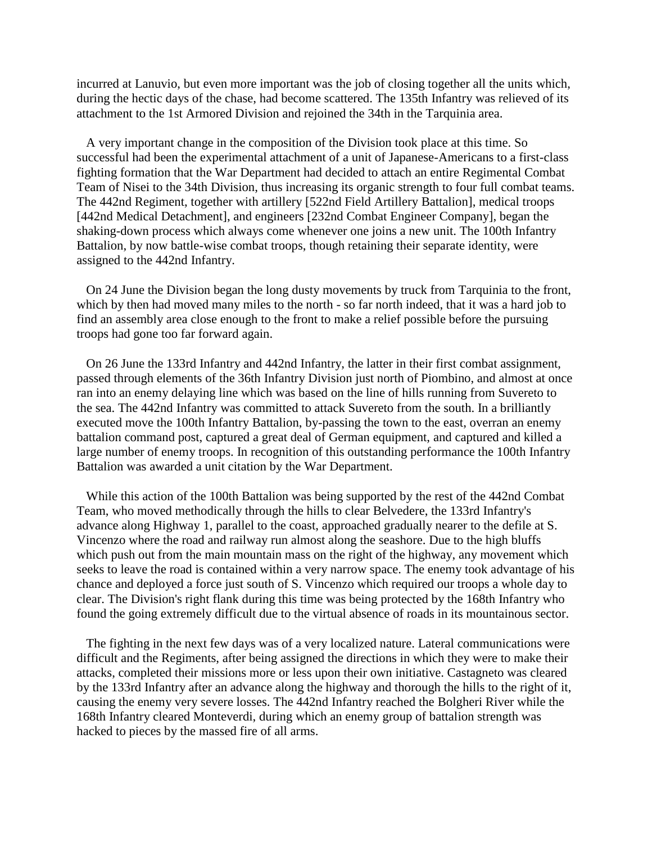incurred at Lanuvio, but even more important was the job of closing together all the units which, during the hectic days of the chase, had become scattered. The 135th Infantry was relieved of its attachment to the 1st Armored Division and rejoined the 34th in the Tarquinia area.

 A very important change in the composition of the Division took place at this time. So successful had been the experimental attachment of a unit of Japanese-Americans to a first-class fighting formation that the War Department had decided to attach an entire Regimental Combat Team of Nisei to the 34th Division, thus increasing its organic strength to four full combat teams. The 442nd Regiment, together with artillery [522nd Field Artillery Battalion], medical troops [442nd Medical Detachment], and engineers [232nd Combat Engineer Company], began the shaking-down process which always come whenever one joins a new unit. The 100th Infantry Battalion, by now battle-wise combat troops, though retaining their separate identity, were assigned to the 442nd Infantry.

 On 24 June the Division began the long dusty movements by truck from Tarquinia to the front, which by then had moved many miles to the north - so far north indeed, that it was a hard job to find an assembly area close enough to the front to make a relief possible before the pursuing troops had gone too far forward again.

 On 26 June the 133rd Infantry and 442nd Infantry, the latter in their first combat assignment, passed through elements of the 36th Infantry Division just north of Piombino, and almost at once ran into an enemy delaying line which was based on the line of hills running from Suvereto to the sea. The 442nd Infantry was committed to attack Suvereto from the south. In a brilliantly executed move the 100th Infantry Battalion, by-passing the town to the east, overran an enemy battalion command post, captured a great deal of German equipment, and captured and killed a large number of enemy troops. In recognition of this outstanding performance the 100th Infantry Battalion was awarded a unit citation by the War Department.

 While this action of the 100th Battalion was being supported by the rest of the 442nd Combat Team, who moved methodically through the hills to clear Belvedere, the 133rd Infantry's advance along Highway 1, parallel to the coast, approached gradually nearer to the defile at S. Vincenzo where the road and railway run almost along the seashore. Due to the high bluffs which push out from the main mountain mass on the right of the highway, any movement which seeks to leave the road is contained within a very narrow space. The enemy took advantage of his chance and deployed a force just south of S. Vincenzo which required our troops a whole day to clear. The Division's right flank during this time was being protected by the 168th Infantry who found the going extremely difficult due to the virtual absence of roads in its mountainous sector.

 The fighting in the next few days was of a very localized nature. Lateral communications were difficult and the Regiments, after being assigned the directions in which they were to make their attacks, completed their missions more or less upon their own initiative. Castagneto was cleared by the 133rd Infantry after an advance along the highway and thorough the hills to the right of it, causing the enemy very severe losses. The 442nd Infantry reached the Bolgheri River while the 168th Infantry cleared Monteverdi, during which an enemy group of battalion strength was hacked to pieces by the massed fire of all arms.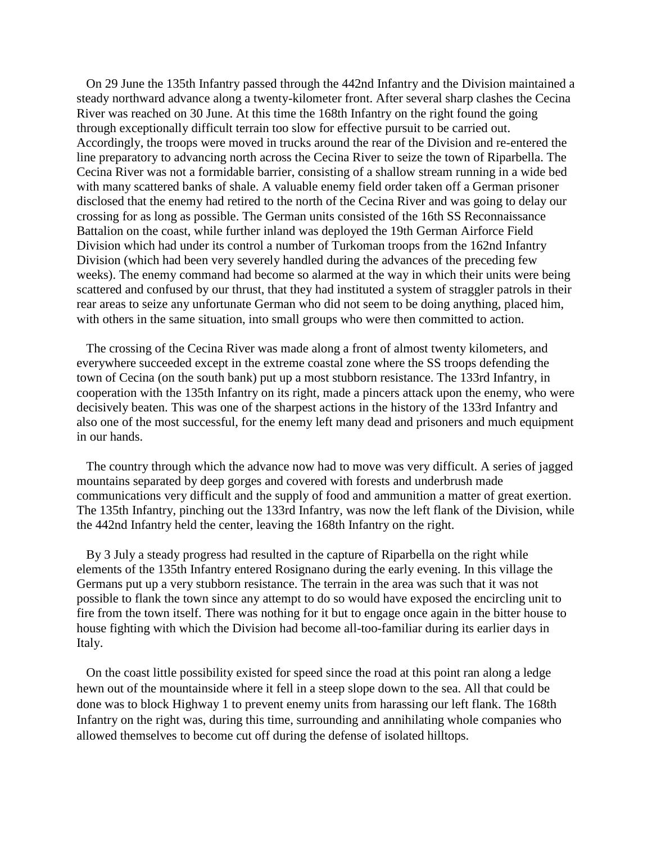On 29 June the 135th Infantry passed through the 442nd Infantry and the Division maintained a steady northward advance along a twenty-kilometer front. After several sharp clashes the Cecina River was reached on 30 June. At this time the 168th Infantry on the right found the going through exceptionally difficult terrain too slow for effective pursuit to be carried out. Accordingly, the troops were moved in trucks around the rear of the Division and re-entered the line preparatory to advancing north across the Cecina River to seize the town of Riparbella. The Cecina River was not a formidable barrier, consisting of a shallow stream running in a wide bed with many scattered banks of shale. A valuable enemy field order taken off a German prisoner disclosed that the enemy had retired to the north of the Cecina River and was going to delay our crossing for as long as possible. The German units consisted of the 16th SS Reconnaissance Battalion on the coast, while further inland was deployed the 19th German Airforce Field Division which had under its control a number of Turkoman troops from the 162nd Infantry Division (which had been very severely handled during the advances of the preceding few weeks). The enemy command had become so alarmed at the way in which their units were being scattered and confused by our thrust, that they had instituted a system of straggler patrols in their rear areas to seize any unfortunate German who did not seem to be doing anything, placed him, with others in the same situation, into small groups who were then committed to action.

 The crossing of the Cecina River was made along a front of almost twenty kilometers, and everywhere succeeded except in the extreme coastal zone where the SS troops defending the town of Cecina (on the south bank) put up a most stubborn resistance. The 133rd Infantry, in cooperation with the 135th Infantry on its right, made a pincers attack upon the enemy, who were decisively beaten. This was one of the sharpest actions in the history of the 133rd Infantry and also one of the most successful, for the enemy left many dead and prisoners and much equipment in our hands.

 The country through which the advance now had to move was very difficult. A series of jagged mountains separated by deep gorges and covered with forests and underbrush made communications very difficult and the supply of food and ammunition a matter of great exertion. The 135th Infantry, pinching out the 133rd Infantry, was now the left flank of the Division, while the 442nd Infantry held the center, leaving the 168th Infantry on the right.

 By 3 July a steady progress had resulted in the capture of Riparbella on the right while elements of the 135th Infantry entered Rosignano during the early evening. In this village the Germans put up a very stubborn resistance. The terrain in the area was such that it was not possible to flank the town since any attempt to do so would have exposed the encircling unit to fire from the town itself. There was nothing for it but to engage once again in the bitter house to house fighting with which the Division had become all-too-familiar during its earlier days in Italy.

 On the coast little possibility existed for speed since the road at this point ran along a ledge hewn out of the mountainside where it fell in a steep slope down to the sea. All that could be done was to block Highway 1 to prevent enemy units from harassing our left flank. The 168th Infantry on the right was, during this time, surrounding and annihilating whole companies who allowed themselves to become cut off during the defense of isolated hilltops.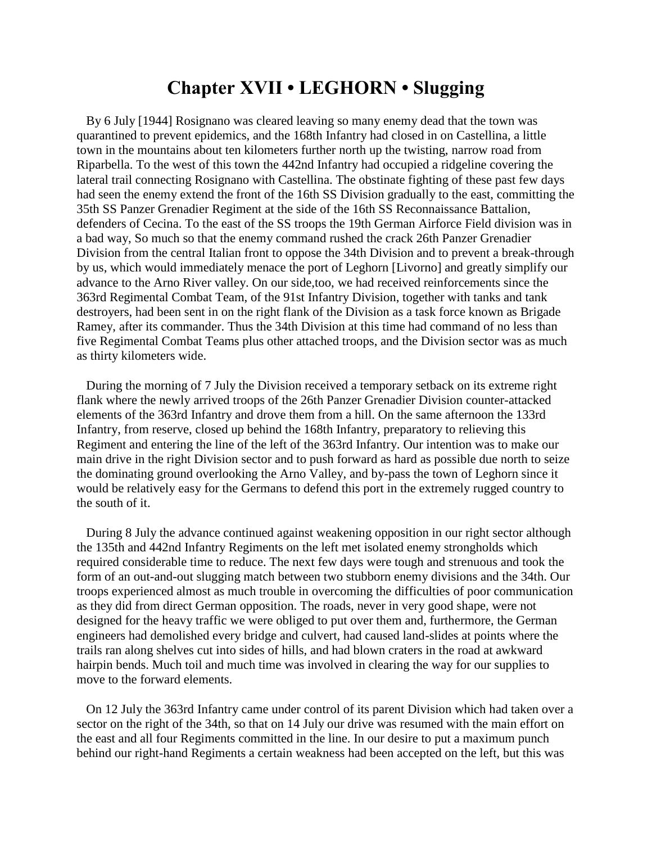### **Chapter XVII • LEGHORN • Slugging**

 By 6 July [1944] Rosignano was cleared leaving so many enemy dead that the town was quarantined to prevent epidemics, and the 168th Infantry had closed in on Castellina, a little town in the mountains about ten kilometers further north up the twisting, narrow road from Riparbella. To the west of this town the 442nd Infantry had occupied a ridgeline covering the lateral trail connecting Rosignano with Castellina. The obstinate fighting of these past few days had seen the enemy extend the front of the 16th SS Division gradually to the east, committing the 35th SS Panzer Grenadier Regiment at the side of the 16th SS Reconnaissance Battalion, defenders of Cecina. To the east of the SS troops the 19th German Airforce Field division was in a bad way, So much so that the enemy command rushed the crack 26th Panzer Grenadier Division from the central Italian front to oppose the 34th Division and to prevent a break-through by us, which would immediately menace the port of Leghorn [Livorno] and greatly simplify our advance to the Arno River valley. On our side,too, we had received reinforcements since the 363rd Regimental Combat Team, of the 91st Infantry Division, together with tanks and tank destroyers, had been sent in on the right flank of the Division as a task force known as Brigade Ramey, after its commander. Thus the 34th Division at this time had command of no less than five Regimental Combat Teams plus other attached troops, and the Division sector was as much as thirty kilometers wide.

 During the morning of 7 July the Division received a temporary setback on its extreme right flank where the newly arrived troops of the 26th Panzer Grenadier Division counter-attacked elements of the 363rd Infantry and drove them from a hill. On the same afternoon the 133rd Infantry, from reserve, closed up behind the 168th Infantry, preparatory to relieving this Regiment and entering the line of the left of the 363rd Infantry. Our intention was to make our main drive in the right Division sector and to push forward as hard as possible due north to seize the dominating ground overlooking the Arno Valley, and by-pass the town of Leghorn since it would be relatively easy for the Germans to defend this port in the extremely rugged country to the south of it.

 During 8 July the advance continued against weakening opposition in our right sector although the 135th and 442nd Infantry Regiments on the left met isolated enemy strongholds which required considerable time to reduce. The next few days were tough and strenuous and took the form of an out-and-out slugging match between two stubborn enemy divisions and the 34th. Our troops experienced almost as much trouble in overcoming the difficulties of poor communication as they did from direct German opposition. The roads, never in very good shape, were not designed for the heavy traffic we were obliged to put over them and, furthermore, the German engineers had demolished every bridge and culvert, had caused land-slides at points where the trails ran along shelves cut into sides of hills, and had blown craters in the road at awkward hairpin bends. Much toil and much time was involved in clearing the way for our supplies to move to the forward elements.

 On 12 July the 363rd Infantry came under control of its parent Division which had taken over a sector on the right of the 34th, so that on 14 July our drive was resumed with the main effort on the east and all four Regiments committed in the line. In our desire to put a maximum punch behind our right-hand Regiments a certain weakness had been accepted on the left, but this was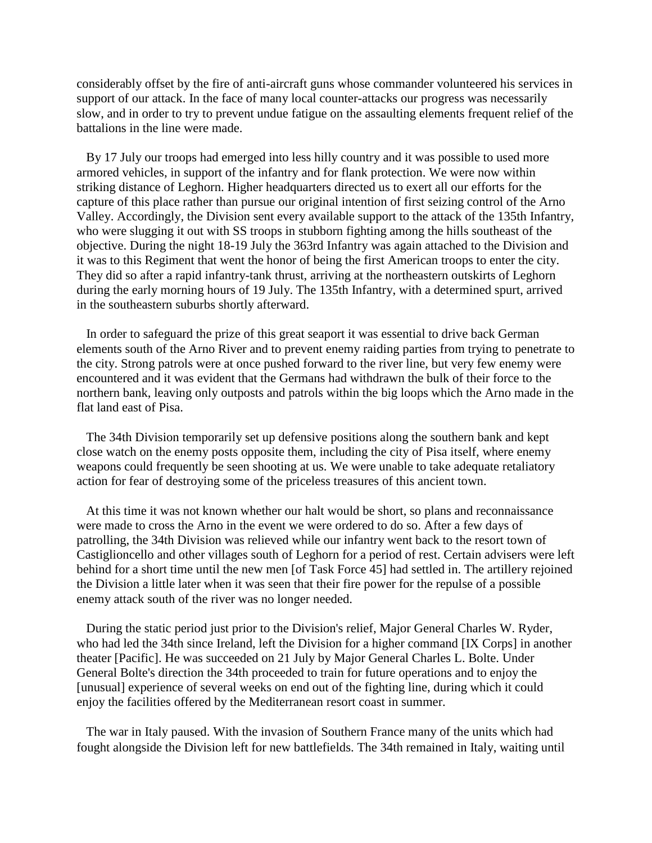considerably offset by the fire of anti-aircraft guns whose commander volunteered his services in support of our attack. In the face of many local counter-attacks our progress was necessarily slow, and in order to try to prevent undue fatigue on the assaulting elements frequent relief of the battalions in the line were made.

 By 17 July our troops had emerged into less hilly country and it was possible to used more armored vehicles, in support of the infantry and for flank protection. We were now within striking distance of Leghorn. Higher headquarters directed us to exert all our efforts for the capture of this place rather than pursue our original intention of first seizing control of the Arno Valley. Accordingly, the Division sent every available support to the attack of the 135th Infantry, who were slugging it out with SS troops in stubborn fighting among the hills southeast of the objective. During the night 18-19 July the 363rd Infantry was again attached to the Division and it was to this Regiment that went the honor of being the first American troops to enter the city. They did so after a rapid infantry-tank thrust, arriving at the northeastern outskirts of Leghorn during the early morning hours of 19 July. The 135th Infantry, with a determined spurt, arrived in the southeastern suburbs shortly afterward.

 In order to safeguard the prize of this great seaport it was essential to drive back German elements south of the Arno River and to prevent enemy raiding parties from trying to penetrate to the city. Strong patrols were at once pushed forward to the river line, but very few enemy were encountered and it was evident that the Germans had withdrawn the bulk of their force to the northern bank, leaving only outposts and patrols within the big loops which the Arno made in the flat land east of Pisa.

 The 34th Division temporarily set up defensive positions along the southern bank and kept close watch on the enemy posts opposite them, including the city of Pisa itself, where enemy weapons could frequently be seen shooting at us. We were unable to take adequate retaliatory action for fear of destroying some of the priceless treasures of this ancient town.

 At this time it was not known whether our halt would be short, so plans and reconnaissance were made to cross the Arno in the event we were ordered to do so. After a few days of patrolling, the 34th Division was relieved while our infantry went back to the resort town of Castiglioncello and other villages south of Leghorn for a period of rest. Certain advisers were left behind for a short time until the new men [of Task Force 45] had settled in. The artillery rejoined the Division a little later when it was seen that their fire power for the repulse of a possible enemy attack south of the river was no longer needed.

 During the static period just prior to the Division's relief, Major General Charles W. Ryder, who had led the 34th since Ireland, left the Division for a higher command [IX Corps] in another theater [Pacific]. He was succeeded on 21 July by Major General Charles L. Bolte. Under General Bolte's direction the 34th proceeded to train for future operations and to enjoy the [unusual] experience of several weeks on end out of the fighting line, during which it could enjoy the facilities offered by the Mediterranean resort coast in summer.

 The war in Italy paused. With the invasion of Southern France many of the units which had fought alongside the Division left for new battlefields. The 34th remained in Italy, waiting until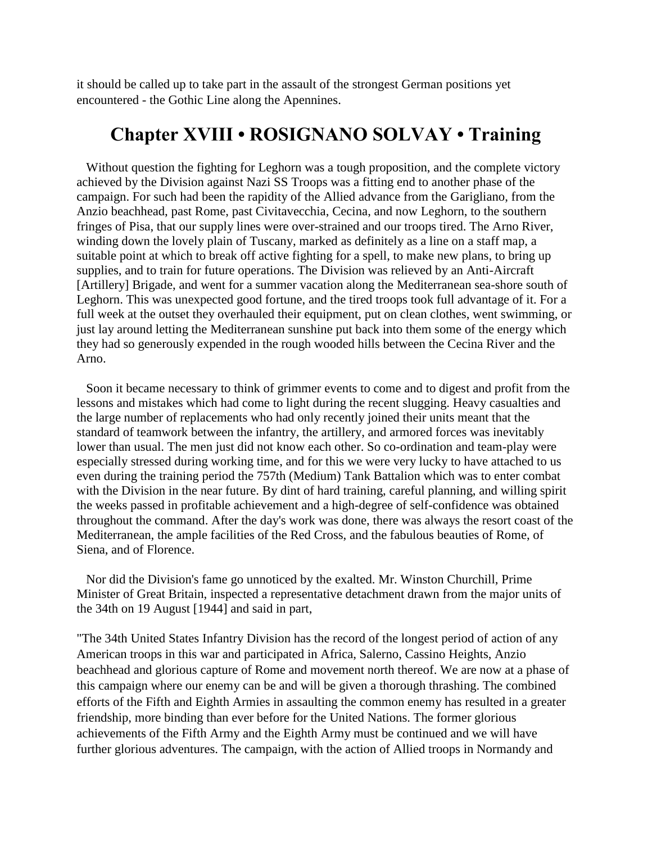it should be called up to take part in the assault of the strongest German positions yet encountered - the Gothic Line along the Apennines.

#### **Chapter XVIII • ROSIGNANO SOLVAY • Training**

 Without question the fighting for Leghorn was a tough proposition, and the complete victory achieved by the Division against Nazi SS Troops was a fitting end to another phase of the campaign. For such had been the rapidity of the Allied advance from the Garigliano, from the Anzio beachhead, past Rome, past Civitavecchia, Cecina, and now Leghorn, to the southern fringes of Pisa, that our supply lines were over-strained and our troops tired. The Arno River, winding down the lovely plain of Tuscany, marked as definitely as a line on a staff map, a suitable point at which to break off active fighting for a spell, to make new plans, to bring up supplies, and to train for future operations. The Division was relieved by an Anti-Aircraft [Artillery] Brigade, and went for a summer vacation along the Mediterranean sea-shore south of Leghorn. This was unexpected good fortune, and the tired troops took full advantage of it. For a full week at the outset they overhauled their equipment, put on clean clothes, went swimming, or just lay around letting the Mediterranean sunshine put back into them some of the energy which they had so generously expended in the rough wooded hills between the Cecina River and the Arno.

 Soon it became necessary to think of grimmer events to come and to digest and profit from the lessons and mistakes which had come to light during the recent slugging. Heavy casualties and the large number of replacements who had only recently joined their units meant that the standard of teamwork between the infantry, the artillery, and armored forces was inevitably lower than usual. The men just did not know each other. So co-ordination and team-play were especially stressed during working time, and for this we were very lucky to have attached to us even during the training period the 757th (Medium) Tank Battalion which was to enter combat with the Division in the near future. By dint of hard training, careful planning, and willing spirit the weeks passed in profitable achievement and a high-degree of self-confidence was obtained throughout the command. After the day's work was done, there was always the resort coast of the Mediterranean, the ample facilities of the Red Cross, and the fabulous beauties of Rome, of Siena, and of Florence.

 Nor did the Division's fame go unnoticed by the exalted. Mr. Winston Churchill, Prime Minister of Great Britain, inspected a representative detachment drawn from the major units of the 34th on 19 August [1944] and said in part,

"The 34th United States Infantry Division has the record of the longest period of action of any American troops in this war and participated in Africa, Salerno, Cassino Heights, Anzio beachhead and glorious capture of Rome and movement north thereof. We are now at a phase of this campaign where our enemy can be and will be given a thorough thrashing. The combined efforts of the Fifth and Eighth Armies in assaulting the common enemy has resulted in a greater friendship, more binding than ever before for the United Nations. The former glorious achievements of the Fifth Army and the Eighth Army must be continued and we will have further glorious adventures. The campaign, with the action of Allied troops in Normandy and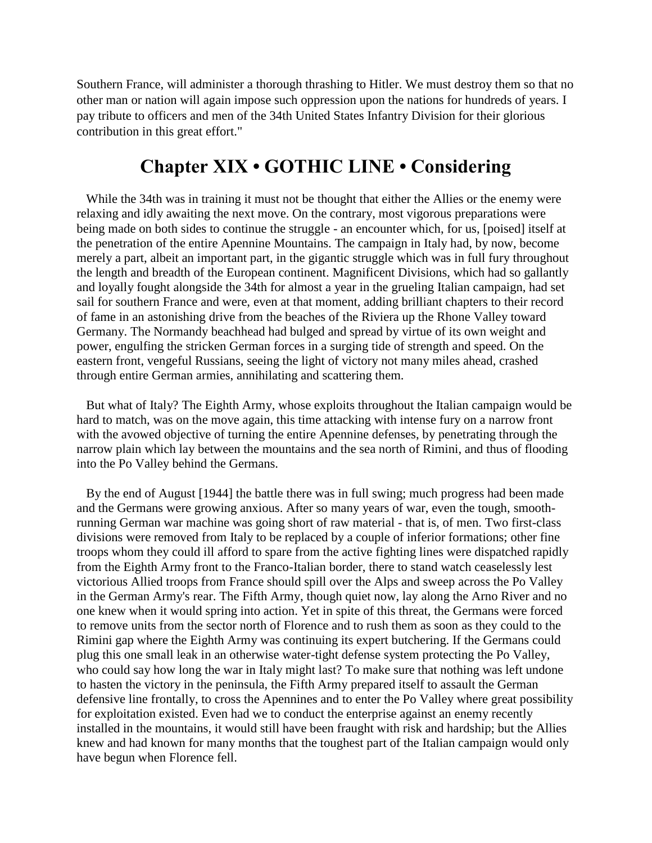Southern France, will administer a thorough thrashing to Hitler. We must destroy them so that no other man or nation will again impose such oppression upon the nations for hundreds of years. I pay tribute to officers and men of the 34th United States Infantry Division for their glorious contribution in this great effort."

# **Chapter XIX • GOTHIC LINE • Considering**

While the 34th was in training it must not be thought that either the Allies or the enemy were relaxing and idly awaiting the next move. On the contrary, most vigorous preparations were being made on both sides to continue the struggle - an encounter which, for us, [poised] itself at the penetration of the entire Apennine Mountains. The campaign in Italy had, by now, become merely a part, albeit an important part, in the gigantic struggle which was in full fury throughout the length and breadth of the European continent. Magnificent Divisions, which had so gallantly and loyally fought alongside the 34th for almost a year in the grueling Italian campaign, had set sail for southern France and were, even at that moment, adding brilliant chapters to their record of fame in an astonishing drive from the beaches of the Riviera up the Rhone Valley toward Germany. The Normandy beachhead had bulged and spread by virtue of its own weight and power, engulfing the stricken German forces in a surging tide of strength and speed. On the eastern front, vengeful Russians, seeing the light of victory not many miles ahead, crashed through entire German armies, annihilating and scattering them.

 But what of Italy? The Eighth Army, whose exploits throughout the Italian campaign would be hard to match, was on the move again, this time attacking with intense fury on a narrow front with the avowed objective of turning the entire Apennine defenses, by penetrating through the narrow plain which lay between the mountains and the sea north of Rimini, and thus of flooding into the Po Valley behind the Germans.

 By the end of August [1944] the battle there was in full swing; much progress had been made and the Germans were growing anxious. After so many years of war, even the tough, smoothrunning German war machine was going short of raw material - that is, of men. Two first-class divisions were removed from Italy to be replaced by a couple of inferior formations; other fine troops whom they could ill afford to spare from the active fighting lines were dispatched rapidly from the Eighth Army front to the Franco-Italian border, there to stand watch ceaselessly lest victorious Allied troops from France should spill over the Alps and sweep across the Po Valley in the German Army's rear. The Fifth Army, though quiet now, lay along the Arno River and no one knew when it would spring into action. Yet in spite of this threat, the Germans were forced to remove units from the sector north of Florence and to rush them as soon as they could to the Rimini gap where the Eighth Army was continuing its expert butchering. If the Germans could plug this one small leak in an otherwise water-tight defense system protecting the Po Valley, who could say how long the war in Italy might last? To make sure that nothing was left undone to hasten the victory in the peninsula, the Fifth Army prepared itself to assault the German defensive line frontally, to cross the Apennines and to enter the Po Valley where great possibility for exploitation existed. Even had we to conduct the enterprise against an enemy recently installed in the mountains, it would still have been fraught with risk and hardship; but the Allies knew and had known for many months that the toughest part of the Italian campaign would only have begun when Florence fell.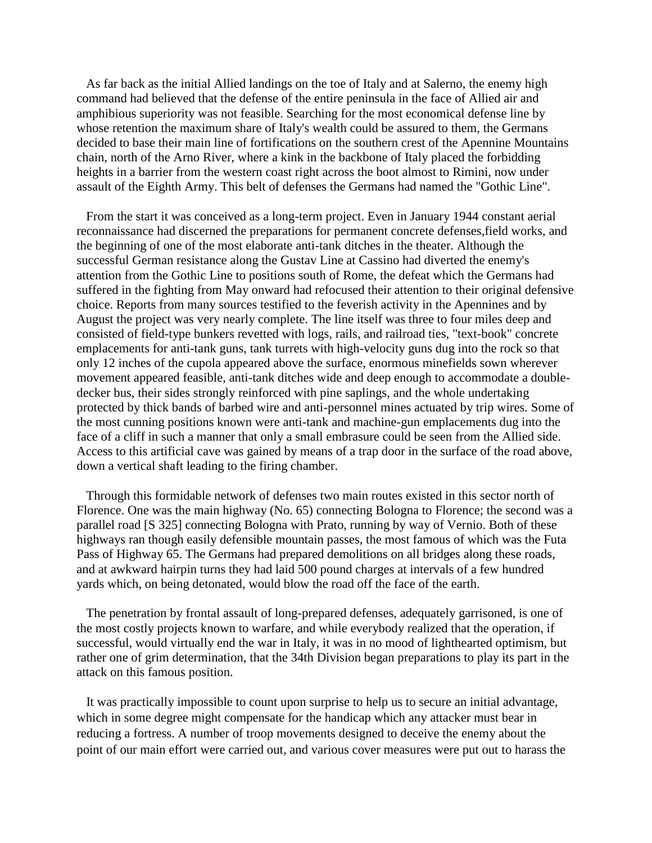As far back as the initial Allied landings on the toe of Italy and at Salerno, the enemy high command had believed that the defense of the entire peninsula in the face of Allied air and amphibious superiority was not feasible. Searching for the most economical defense line by whose retention the maximum share of Italy's wealth could be assured to them, the Germans decided to base their main line of fortifications on the southern crest of the Apennine Mountains chain, north of the Arno River, where a kink in the backbone of Italy placed the forbidding heights in a barrier from the western coast right across the boot almost to Rimini, now under assault of the Eighth Army. This belt of defenses the Germans had named the "Gothic Line".

 From the start it was conceived as a long-term project. Even in January 1944 constant aerial reconnaissance had discerned the preparations for permanent concrete defenses,field works, and the beginning of one of the most elaborate anti-tank ditches in the theater. Although the successful German resistance along the Gustav Line at Cassino had diverted the enemy's attention from the Gothic Line to positions south of Rome, the defeat which the Germans had suffered in the fighting from May onward had refocused their attention to their original defensive choice. Reports from many sources testified to the feverish activity in the Apennines and by August the project was very nearly complete. The line itself was three to four miles deep and consisted of field-type bunkers revetted with logs, rails, and railroad ties, "text-book" concrete emplacements for anti-tank guns, tank turrets with high-velocity guns dug into the rock so that only 12 inches of the cupola appeared above the surface, enormous minefields sown wherever movement appeared feasible, anti-tank ditches wide and deep enough to accommodate a doubledecker bus, their sides strongly reinforced with pine saplings, and the whole undertaking protected by thick bands of barbed wire and anti-personnel mines actuated by trip wires. Some of the most cunning positions known were anti-tank and machine-gun emplacements dug into the face of a cliff in such a manner that only a small embrasure could be seen from the Allied side. Access to this artificial cave was gained by means of a trap door in the surface of the road above, down a vertical shaft leading to the firing chamber.

 Through this formidable network of defenses two main routes existed in this sector north of Florence. One was the main highway (No. 65) connecting Bologna to Florence; the second was a parallel road [S 325] connecting Bologna with Prato, running by way of Vernio. Both of these highways ran though easily defensible mountain passes, the most famous of which was the Futa Pass of Highway 65. The Germans had prepared demolitions on all bridges along these roads, and at awkward hairpin turns they had laid 500 pound charges at intervals of a few hundred yards which, on being detonated, would blow the road off the face of the earth.

 The penetration by frontal assault of long-prepared defenses, adequately garrisoned, is one of the most costly projects known to warfare, and while everybody realized that the operation, if successful, would virtually end the war in Italy, it was in no mood of lighthearted optimism, but rather one of grim determination, that the 34th Division began preparations to play its part in the attack on this famous position.

 It was practically impossible to count upon surprise to help us to secure an initial advantage, which in some degree might compensate for the handicap which any attacker must bear in reducing a fortress. A number of troop movements designed to deceive the enemy about the point of our main effort were carried out, and various cover measures were put out to harass the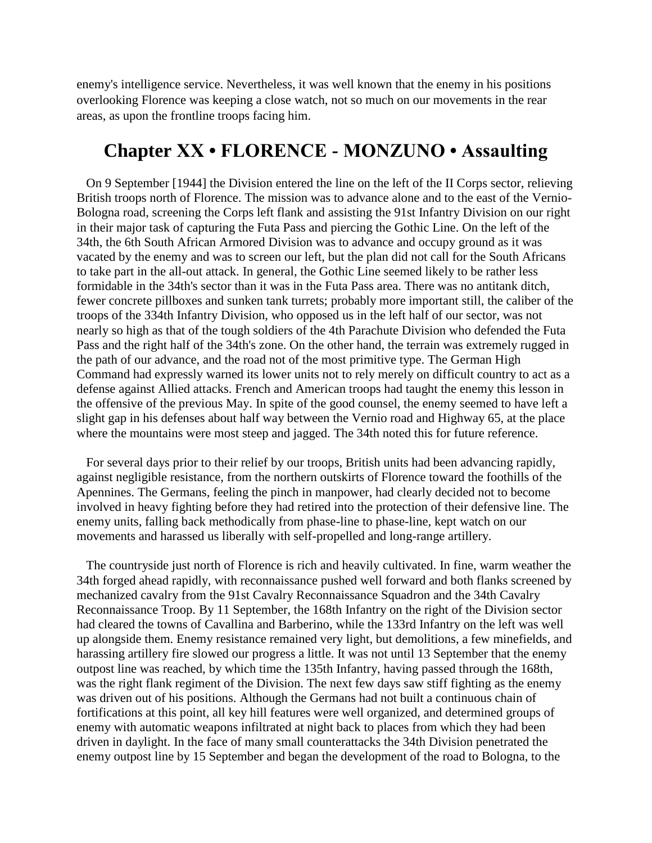enemy's intelligence service. Nevertheless, it was well known that the enemy in his positions overlooking Florence was keeping a close watch, not so much on our movements in the rear areas, as upon the frontline troops facing him.

#### **Chapter XX • FLORENCE - MONZUNO • Assaulting**

 On 9 September [1944] the Division entered the line on the left of the II Corps sector, relieving British troops north of Florence. The mission was to advance alone and to the east of the Vernio-Bologna road, screening the Corps left flank and assisting the 91st Infantry Division on our right in their major task of capturing the Futa Pass and piercing the Gothic Line. On the left of the 34th, the 6th South African Armored Division was to advance and occupy ground as it was vacated by the enemy and was to screen our left, but the plan did not call for the South Africans to take part in the all-out attack. In general, the Gothic Line seemed likely to be rather less formidable in the 34th's sector than it was in the Futa Pass area. There was no antitank ditch, fewer concrete pillboxes and sunken tank turrets; probably more important still, the caliber of the troops of the 334th Infantry Division, who opposed us in the left half of our sector, was not nearly so high as that of the tough soldiers of the 4th Parachute Division who defended the Futa Pass and the right half of the 34th's zone. On the other hand, the terrain was extremely rugged in the path of our advance, and the road not of the most primitive type. The German High Command had expressly warned its lower units not to rely merely on difficult country to act as a defense against Allied attacks. French and American troops had taught the enemy this lesson in the offensive of the previous May. In spite of the good counsel, the enemy seemed to have left a slight gap in his defenses about half way between the Vernio road and Highway 65, at the place where the mountains were most steep and jagged. The 34th noted this for future reference.

 For several days prior to their relief by our troops, British units had been advancing rapidly, against negligible resistance, from the northern outskirts of Florence toward the foothills of the Apennines. The Germans, feeling the pinch in manpower, had clearly decided not to become involved in heavy fighting before they had retired into the protection of their defensive line. The enemy units, falling back methodically from phase-line to phase-line, kept watch on our movements and harassed us liberally with self-propelled and long-range artillery.

 The countryside just north of Florence is rich and heavily cultivated. In fine, warm weather the 34th forged ahead rapidly, with reconnaissance pushed well forward and both flanks screened by mechanized cavalry from the 91st Cavalry Reconnaissance Squadron and the 34th Cavalry Reconnaissance Troop. By 11 September, the 168th Infantry on the right of the Division sector had cleared the towns of Cavallina and Barberino, while the 133rd Infantry on the left was well up alongside them. Enemy resistance remained very light, but demolitions, a few minefields, and harassing artillery fire slowed our progress a little. It was not until 13 September that the enemy outpost line was reached, by which time the 135th Infantry, having passed through the 168th, was the right flank regiment of the Division. The next few days saw stiff fighting as the enemy was driven out of his positions. Although the Germans had not built a continuous chain of fortifications at this point, all key hill features were well organized, and determined groups of enemy with automatic weapons infiltrated at night back to places from which they had been driven in daylight. In the face of many small counterattacks the 34th Division penetrated the enemy outpost line by 15 September and began the development of the road to Bologna, to the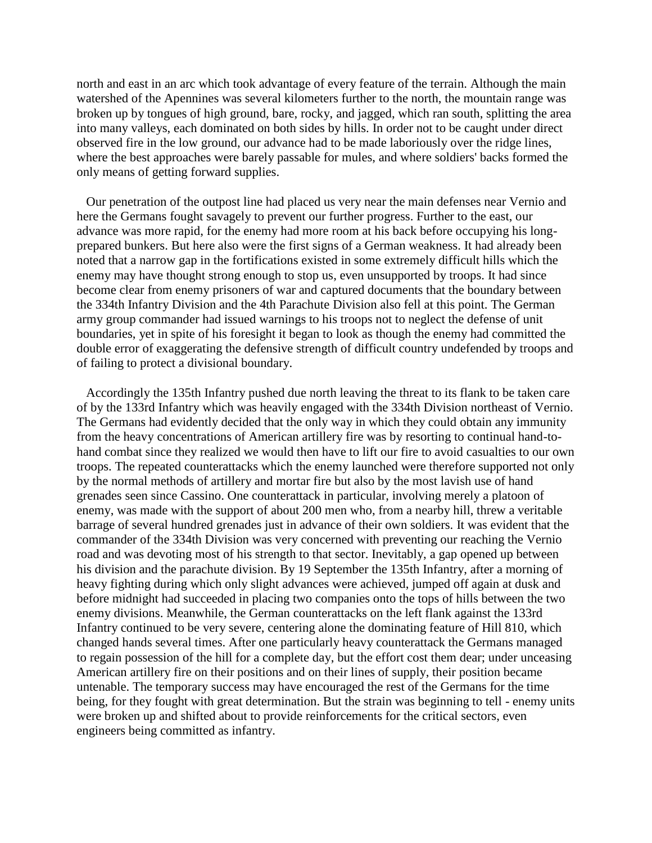north and east in an arc which took advantage of every feature of the terrain. Although the main watershed of the Apennines was several kilometers further to the north, the mountain range was broken up by tongues of high ground, bare, rocky, and jagged, which ran south, splitting the area into many valleys, each dominated on both sides by hills. In order not to be caught under direct observed fire in the low ground, our advance had to be made laboriously over the ridge lines, where the best approaches were barely passable for mules, and where soldiers' backs formed the only means of getting forward supplies.

 Our penetration of the outpost line had placed us very near the main defenses near Vernio and here the Germans fought savagely to prevent our further progress. Further to the east, our advance was more rapid, for the enemy had more room at his back before occupying his longprepared bunkers. But here also were the first signs of a German weakness. It had already been noted that a narrow gap in the fortifications existed in some extremely difficult hills which the enemy may have thought strong enough to stop us, even unsupported by troops. It had since become clear from enemy prisoners of war and captured documents that the boundary between the 334th Infantry Division and the 4th Parachute Division also fell at this point. The German army group commander had issued warnings to his troops not to neglect the defense of unit boundaries, yet in spite of his foresight it began to look as though the enemy had committed the double error of exaggerating the defensive strength of difficult country undefended by troops and of failing to protect a divisional boundary.

 Accordingly the 135th Infantry pushed due north leaving the threat to its flank to be taken care of by the 133rd Infantry which was heavily engaged with the 334th Division northeast of Vernio. The Germans had evidently decided that the only way in which they could obtain any immunity from the heavy concentrations of American artillery fire was by resorting to continual hand-tohand combat since they realized we would then have to lift our fire to avoid casualties to our own troops. The repeated counterattacks which the enemy launched were therefore supported not only by the normal methods of artillery and mortar fire but also by the most lavish use of hand grenades seen since Cassino. One counterattack in particular, involving merely a platoon of enemy, was made with the support of about 200 men who, from a nearby hill, threw a veritable barrage of several hundred grenades just in advance of their own soldiers. It was evident that the commander of the 334th Division was very concerned with preventing our reaching the Vernio road and was devoting most of his strength to that sector. Inevitably, a gap opened up between his division and the parachute division. By 19 September the 135th Infantry, after a morning of heavy fighting during which only slight advances were achieved, jumped off again at dusk and before midnight had succeeded in placing two companies onto the tops of hills between the two enemy divisions. Meanwhile, the German counterattacks on the left flank against the 133rd Infantry continued to be very severe, centering alone the dominating feature of Hill 810, which changed hands several times. After one particularly heavy counterattack the Germans managed to regain possession of the hill for a complete day, but the effort cost them dear; under unceasing American artillery fire on their positions and on their lines of supply, their position became untenable. The temporary success may have encouraged the rest of the Germans for the time being, for they fought with great determination. But the strain was beginning to tell - enemy units were broken up and shifted about to provide reinforcements for the critical sectors, even engineers being committed as infantry.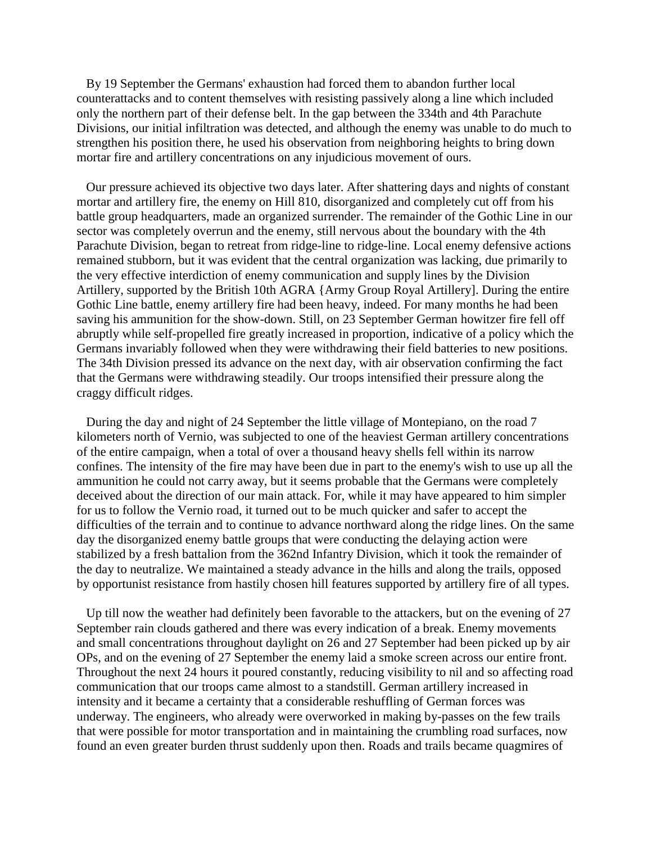By 19 September the Germans' exhaustion had forced them to abandon further local counterattacks and to content themselves with resisting passively along a line which included only the northern part of their defense belt. In the gap between the 334th and 4th Parachute Divisions, our initial infiltration was detected, and although the enemy was unable to do much to strengthen his position there, he used his observation from neighboring heights to bring down mortar fire and artillery concentrations on any injudicious movement of ours.

 Our pressure achieved its objective two days later. After shattering days and nights of constant mortar and artillery fire, the enemy on Hill 810, disorganized and completely cut off from his battle group headquarters, made an organized surrender. The remainder of the Gothic Line in our sector was completely overrun and the enemy, still nervous about the boundary with the 4th Parachute Division, began to retreat from ridge-line to ridge-line. Local enemy defensive actions remained stubborn, but it was evident that the central organization was lacking, due primarily to the very effective interdiction of enemy communication and supply lines by the Division Artillery, supported by the British 10th AGRA {Army Group Royal Artillery]. During the entire Gothic Line battle, enemy artillery fire had been heavy, indeed. For many months he had been saving his ammunition for the show-down. Still, on 23 September German howitzer fire fell off abruptly while self-propelled fire greatly increased in proportion, indicative of a policy which the Germans invariably followed when they were withdrawing their field batteries to new positions. The 34th Division pressed its advance on the next day, with air observation confirming the fact that the Germans were withdrawing steadily. Our troops intensified their pressure along the craggy difficult ridges.

 During the day and night of 24 September the little village of Montepiano, on the road 7 kilometers north of Vernio, was subjected to one of the heaviest German artillery concentrations of the entire campaign, when a total of over a thousand heavy shells fell within its narrow confines. The intensity of the fire may have been due in part to the enemy's wish to use up all the ammunition he could not carry away, but it seems probable that the Germans were completely deceived about the direction of our main attack. For, while it may have appeared to him simpler for us to follow the Vernio road, it turned out to be much quicker and safer to accept the difficulties of the terrain and to continue to advance northward along the ridge lines. On the same day the disorganized enemy battle groups that were conducting the delaying action were stabilized by a fresh battalion from the 362nd Infantry Division, which it took the remainder of the day to neutralize. We maintained a steady advance in the hills and along the trails, opposed by opportunist resistance from hastily chosen hill features supported by artillery fire of all types.

 Up till now the weather had definitely been favorable to the attackers, but on the evening of 27 September rain clouds gathered and there was every indication of a break. Enemy movements and small concentrations throughout daylight on 26 and 27 September had been picked up by air OPs, and on the evening of 27 September the enemy laid a smoke screen across our entire front. Throughout the next 24 hours it poured constantly, reducing visibility to nil and so affecting road communication that our troops came almost to a standstill. German artillery increased in intensity and it became a certainty that a considerable reshuffling of German forces was underway. The engineers, who already were overworked in making by-passes on the few trails that were possible for motor transportation and in maintaining the crumbling road surfaces, now found an even greater burden thrust suddenly upon then. Roads and trails became quagmires of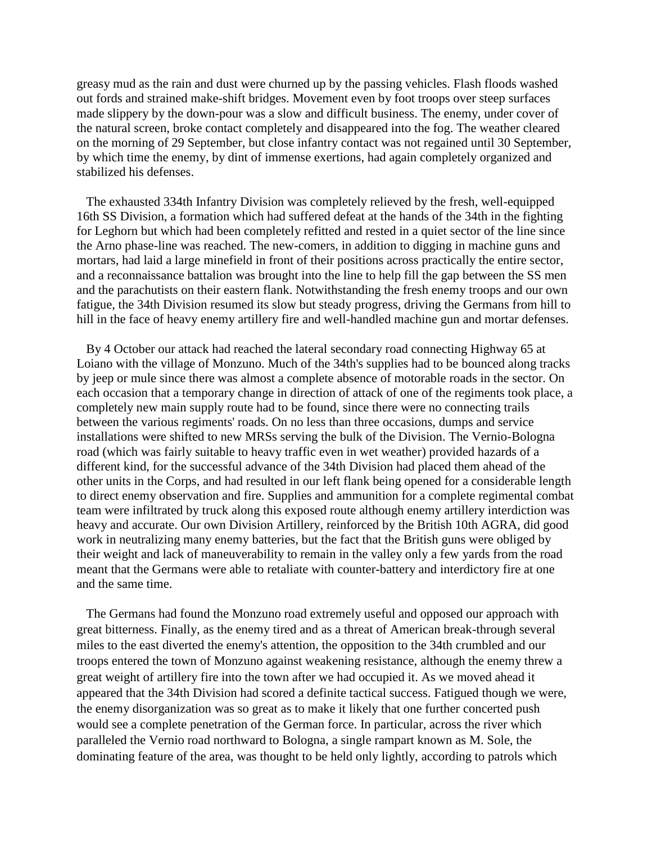greasy mud as the rain and dust were churned up by the passing vehicles. Flash floods washed out fords and strained make-shift bridges. Movement even by foot troops over steep surfaces made slippery by the down-pour was a slow and difficult business. The enemy, under cover of the natural screen, broke contact completely and disappeared into the fog. The weather cleared on the morning of 29 September, but close infantry contact was not regained until 30 September, by which time the enemy, by dint of immense exertions, had again completely organized and stabilized his defenses.

 The exhausted 334th Infantry Division was completely relieved by the fresh, well-equipped 16th SS Division, a formation which had suffered defeat at the hands of the 34th in the fighting for Leghorn but which had been completely refitted and rested in a quiet sector of the line since the Arno phase-line was reached. The new-comers, in addition to digging in machine guns and mortars, had laid a large minefield in front of their positions across practically the entire sector, and a reconnaissance battalion was brought into the line to help fill the gap between the SS men and the parachutists on their eastern flank. Notwithstanding the fresh enemy troops and our own fatigue, the 34th Division resumed its slow but steady progress, driving the Germans from hill to hill in the face of heavy enemy artillery fire and well-handled machine gun and mortar defenses.

 By 4 October our attack had reached the lateral secondary road connecting Highway 65 at Loiano with the village of Monzuno. Much of the 34th's supplies had to be bounced along tracks by jeep or mule since there was almost a complete absence of motorable roads in the sector. On each occasion that a temporary change in direction of attack of one of the regiments took place, a completely new main supply route had to be found, since there were no connecting trails between the various regiments' roads. On no less than three occasions, dumps and service installations were shifted to new MRSs serving the bulk of the Division. The Vernio-Bologna road (which was fairly suitable to heavy traffic even in wet weather) provided hazards of a different kind, for the successful advance of the 34th Division had placed them ahead of the other units in the Corps, and had resulted in our left flank being opened for a considerable length to direct enemy observation and fire. Supplies and ammunition for a complete regimental combat team were infiltrated by truck along this exposed route although enemy artillery interdiction was heavy and accurate. Our own Division Artillery, reinforced by the British 10th AGRA, did good work in neutralizing many enemy batteries, but the fact that the British guns were obliged by their weight and lack of maneuverability to remain in the valley only a few yards from the road meant that the Germans were able to retaliate with counter-battery and interdictory fire at one and the same time.

 The Germans had found the Monzuno road extremely useful and opposed our approach with great bitterness. Finally, as the enemy tired and as a threat of American break-through several miles to the east diverted the enemy's attention, the opposition to the 34th crumbled and our troops entered the town of Monzuno against weakening resistance, although the enemy threw a great weight of artillery fire into the town after we had occupied it. As we moved ahead it appeared that the 34th Division had scored a definite tactical success. Fatigued though we were, the enemy disorganization was so great as to make it likely that one further concerted push would see a complete penetration of the German force. In particular, across the river which paralleled the Vernio road northward to Bologna, a single rampart known as M. Sole, the dominating feature of the area, was thought to be held only lightly, according to patrols which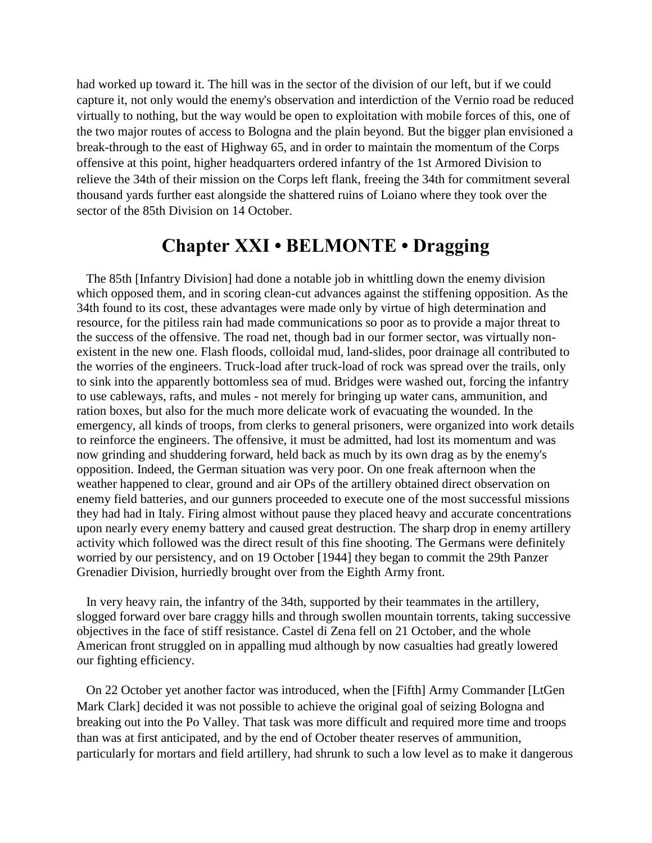had worked up toward it. The hill was in the sector of the division of our left, but if we could capture it, not only would the enemy's observation and interdiction of the Vernio road be reduced virtually to nothing, but the way would be open to exploitation with mobile forces of this, one of the two major routes of access to Bologna and the plain beyond. But the bigger plan envisioned a break-through to the east of Highway 65, and in order to maintain the momentum of the Corps offensive at this point, higher headquarters ordered infantry of the 1st Armored Division to relieve the 34th of their mission on the Corps left flank, freeing the 34th for commitment several thousand yards further east alongside the shattered ruins of Loiano where they took over the sector of the 85th Division on 14 October.

## **Chapter XXI • BELMONTE • Dragging**

 The 85th [Infantry Division] had done a notable job in whittling down the enemy division which opposed them, and in scoring clean-cut advances against the stiffening opposition. As the 34th found to its cost, these advantages were made only by virtue of high determination and resource, for the pitiless rain had made communications so poor as to provide a major threat to the success of the offensive. The road net, though bad in our former sector, was virtually nonexistent in the new one. Flash floods, colloidal mud, land-slides, poor drainage all contributed to the worries of the engineers. Truck-load after truck-load of rock was spread over the trails, only to sink into the apparently bottomless sea of mud. Bridges were washed out, forcing the infantry to use cableways, rafts, and mules - not merely for bringing up water cans, ammunition, and ration boxes, but also for the much more delicate work of evacuating the wounded. In the emergency, all kinds of troops, from clerks to general prisoners, were organized into work details to reinforce the engineers. The offensive, it must be admitted, had lost its momentum and was now grinding and shuddering forward, held back as much by its own drag as by the enemy's opposition. Indeed, the German situation was very poor. On one freak afternoon when the weather happened to clear, ground and air OPs of the artillery obtained direct observation on enemy field batteries, and our gunners proceeded to execute one of the most successful missions they had had in Italy. Firing almost without pause they placed heavy and accurate concentrations upon nearly every enemy battery and caused great destruction. The sharp drop in enemy artillery activity which followed was the direct result of this fine shooting. The Germans were definitely worried by our persistency, and on 19 October [1944] they began to commit the 29th Panzer Grenadier Division, hurriedly brought over from the Eighth Army front.

 In very heavy rain, the infantry of the 34th, supported by their teammates in the artillery, slogged forward over bare craggy hills and through swollen mountain torrents, taking successive objectives in the face of stiff resistance. Castel di Zena fell on 21 October, and the whole American front struggled on in appalling mud although by now casualties had greatly lowered our fighting efficiency.

 On 22 October yet another factor was introduced, when the [Fifth] Army Commander [LtGen Mark Clark] decided it was not possible to achieve the original goal of seizing Bologna and breaking out into the Po Valley. That task was more difficult and required more time and troops than was at first anticipated, and by the end of October theater reserves of ammunition, particularly for mortars and field artillery, had shrunk to such a low level as to make it dangerous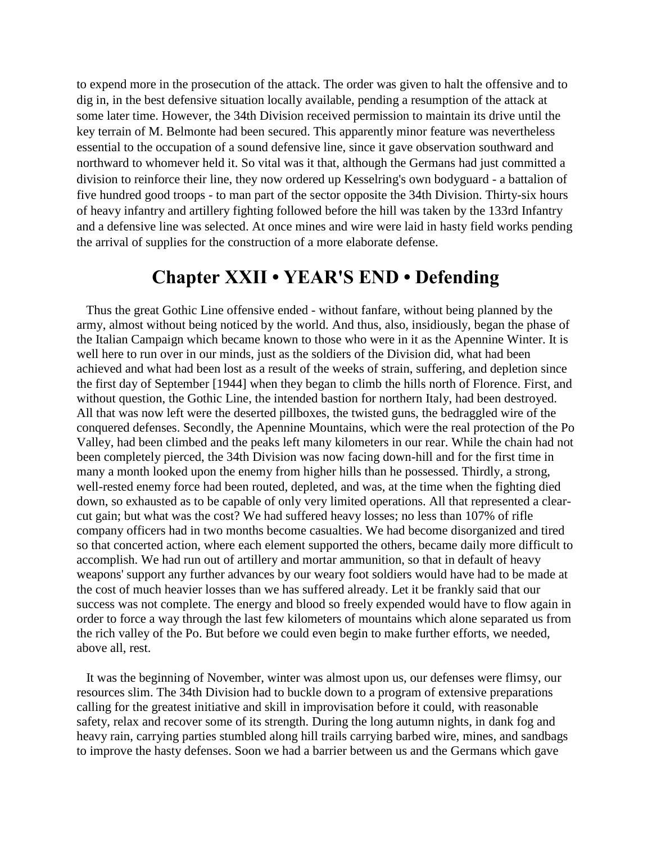to expend more in the prosecution of the attack. The order was given to halt the offensive and to dig in, in the best defensive situation locally available, pending a resumption of the attack at some later time. However, the 34th Division received permission to maintain its drive until the key terrain of M. Belmonte had been secured. This apparently minor feature was nevertheless essential to the occupation of a sound defensive line, since it gave observation southward and northward to whomever held it. So vital was it that, although the Germans had just committed a division to reinforce their line, they now ordered up Kesselring's own bodyguard - a battalion of five hundred good troops - to man part of the sector opposite the 34th Division. Thirty-six hours of heavy infantry and artillery fighting followed before the hill was taken by the 133rd Infantry and a defensive line was selected. At once mines and wire were laid in hasty field works pending the arrival of supplies for the construction of a more elaborate defense.

## **Chapter XXII • YEAR'S END • Defending**

 Thus the great Gothic Line offensive ended - without fanfare, without being planned by the army, almost without being noticed by the world. And thus, also, insidiously, began the phase of the Italian Campaign which became known to those who were in it as the Apennine Winter. It is well here to run over in our minds, just as the soldiers of the Division did, what had been achieved and what had been lost as a result of the weeks of strain, suffering, and depletion since the first day of September [1944] when they began to climb the hills north of Florence. First, and without question, the Gothic Line, the intended bastion for northern Italy, had been destroyed. All that was now left were the deserted pillboxes, the twisted guns, the bedraggled wire of the conquered defenses. Secondly, the Apennine Mountains, which were the real protection of the Po Valley, had been climbed and the peaks left many kilometers in our rear. While the chain had not been completely pierced, the 34th Division was now facing down-hill and for the first time in many a month looked upon the enemy from higher hills than he possessed. Thirdly, a strong, well-rested enemy force had been routed, depleted, and was, at the time when the fighting died down, so exhausted as to be capable of only very limited operations. All that represented a clearcut gain; but what was the cost? We had suffered heavy losses; no less than 107% of rifle company officers had in two months become casualties. We had become disorganized and tired so that concerted action, where each element supported the others, became daily more difficult to accomplish. We had run out of artillery and mortar ammunition, so that in default of heavy weapons' support any further advances by our weary foot soldiers would have had to be made at the cost of much heavier losses than we has suffered already. Let it be frankly said that our success was not complete. The energy and blood so freely expended would have to flow again in order to force a way through the last few kilometers of mountains which alone separated us from the rich valley of the Po. But before we could even begin to make further efforts, we needed, above all, rest.

 It was the beginning of November, winter was almost upon us, our defenses were flimsy, our resources slim. The 34th Division had to buckle down to a program of extensive preparations calling for the greatest initiative and skill in improvisation before it could, with reasonable safety, relax and recover some of its strength. During the long autumn nights, in dank fog and heavy rain, carrying parties stumbled along hill trails carrying barbed wire, mines, and sandbags to improve the hasty defenses. Soon we had a barrier between us and the Germans which gave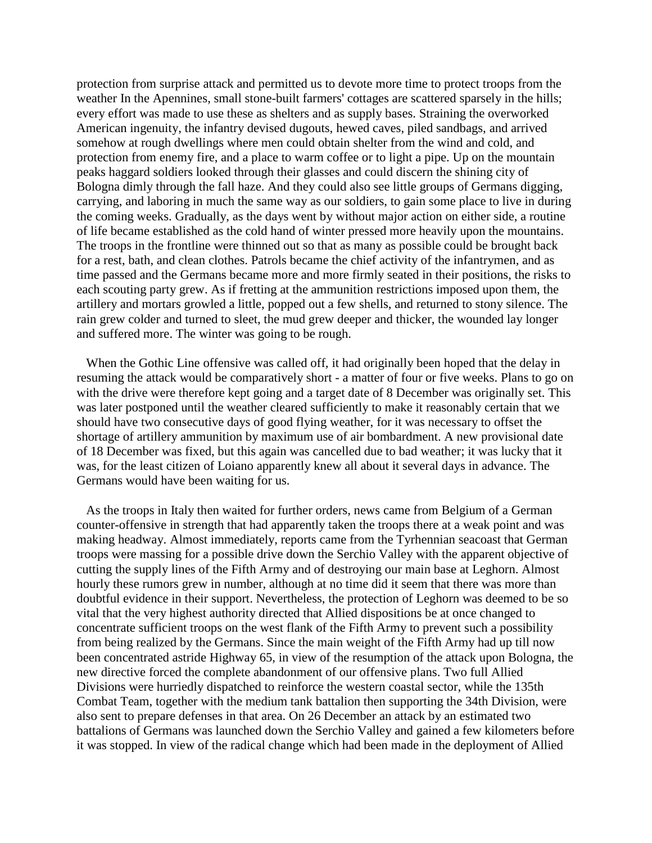protection from surprise attack and permitted us to devote more time to protect troops from the weather In the Apennines, small stone-built farmers' cottages are scattered sparsely in the hills; every effort was made to use these as shelters and as supply bases. Straining the overworked American ingenuity, the infantry devised dugouts, hewed caves, piled sandbags, and arrived somehow at rough dwellings where men could obtain shelter from the wind and cold, and protection from enemy fire, and a place to warm coffee or to light a pipe. Up on the mountain peaks haggard soldiers looked through their glasses and could discern the shining city of Bologna dimly through the fall haze. And they could also see little groups of Germans digging, carrying, and laboring in much the same way as our soldiers, to gain some place to live in during the coming weeks. Gradually, as the days went by without major action on either side, a routine of life became established as the cold hand of winter pressed more heavily upon the mountains. The troops in the frontline were thinned out so that as many as possible could be brought back for a rest, bath, and clean clothes. Patrols became the chief activity of the infantrymen, and as time passed and the Germans became more and more firmly seated in their positions, the risks to each scouting party grew. As if fretting at the ammunition restrictions imposed upon them, the artillery and mortars growled a little, popped out a few shells, and returned to stony silence. The rain grew colder and turned to sleet, the mud grew deeper and thicker, the wounded lay longer and suffered more. The winter was going to be rough.

When the Gothic Line offensive was called off, it had originally been hoped that the delay in resuming the attack would be comparatively short - a matter of four or five weeks. Plans to go on with the drive were therefore kept going and a target date of 8 December was originally set. This was later postponed until the weather cleared sufficiently to make it reasonably certain that we should have two consecutive days of good flying weather, for it was necessary to offset the shortage of artillery ammunition by maximum use of air bombardment. A new provisional date of 18 December was fixed, but this again was cancelled due to bad weather; it was lucky that it was, for the least citizen of Loiano apparently knew all about it several days in advance. The Germans would have been waiting for us.

 As the troops in Italy then waited for further orders, news came from Belgium of a German counter-offensive in strength that had apparently taken the troops there at a weak point and was making headway. Almost immediately, reports came from the Tyrhennian seacoast that German troops were massing for a possible drive down the Serchio Valley with the apparent objective of cutting the supply lines of the Fifth Army and of destroying our main base at Leghorn. Almost hourly these rumors grew in number, although at no time did it seem that there was more than doubtful evidence in their support. Nevertheless, the protection of Leghorn was deemed to be so vital that the very highest authority directed that Allied dispositions be at once changed to concentrate sufficient troops on the west flank of the Fifth Army to prevent such a possibility from being realized by the Germans. Since the main weight of the Fifth Army had up till now been concentrated astride Highway 65, in view of the resumption of the attack upon Bologna, the new directive forced the complete abandonment of our offensive plans. Two full Allied Divisions were hurriedly dispatched to reinforce the western coastal sector, while the 135th Combat Team, together with the medium tank battalion then supporting the 34th Division, were also sent to prepare defenses in that area. On 26 December an attack by an estimated two battalions of Germans was launched down the Serchio Valley and gained a few kilometers before it was stopped. In view of the radical change which had been made in the deployment of Allied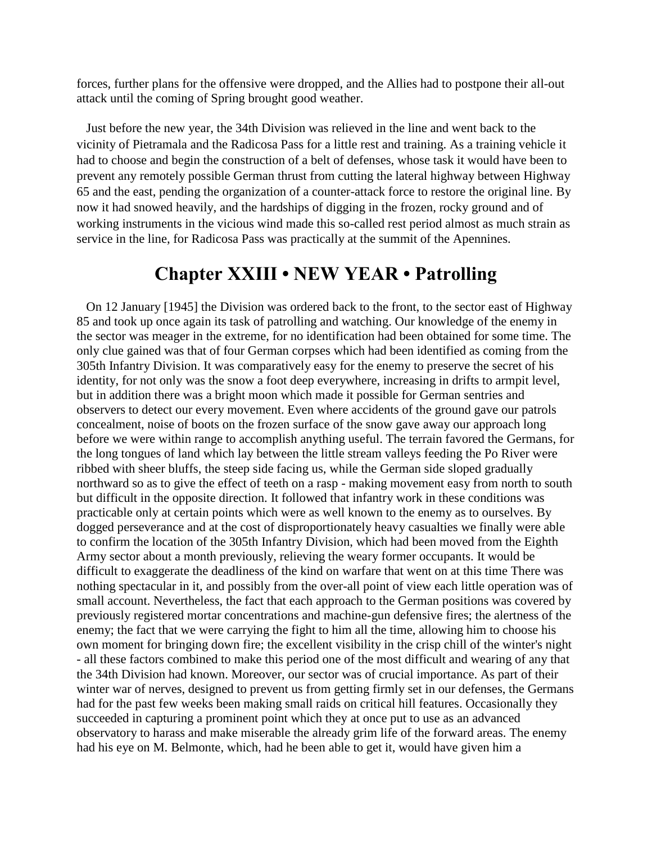forces, further plans for the offensive were dropped, and the Allies had to postpone their all-out attack until the coming of Spring brought good weather.

 Just before the new year, the 34th Division was relieved in the line and went back to the vicinity of Pietramala and the Radicosa Pass for a little rest and training. As a training vehicle it had to choose and begin the construction of a belt of defenses, whose task it would have been to prevent any remotely possible German thrust from cutting the lateral highway between Highway 65 and the east, pending the organization of a counter-attack force to restore the original line. By now it had snowed heavily, and the hardships of digging in the frozen, rocky ground and of working instruments in the vicious wind made this so-called rest period almost as much strain as service in the line, for Radicosa Pass was practically at the summit of the Apennines.

## **Chapter XXIII • NEW YEAR • Patrolling**

 On 12 January [1945] the Division was ordered back to the front, to the sector east of Highway 85 and took up once again its task of patrolling and watching. Our knowledge of the enemy in the sector was meager in the extreme, for no identification had been obtained for some time. The only clue gained was that of four German corpses which had been identified as coming from the 305th Infantry Division. It was comparatively easy for the enemy to preserve the secret of his identity, for not only was the snow a foot deep everywhere, increasing in drifts to armpit level, but in addition there was a bright moon which made it possible for German sentries and observers to detect our every movement. Even where accidents of the ground gave our patrols concealment, noise of boots on the frozen surface of the snow gave away our approach long before we were within range to accomplish anything useful. The terrain favored the Germans, for the long tongues of land which lay between the little stream valleys feeding the Po River were ribbed with sheer bluffs, the steep side facing us, while the German side sloped gradually northward so as to give the effect of teeth on a rasp - making movement easy from north to south but difficult in the opposite direction. It followed that infantry work in these conditions was practicable only at certain points which were as well known to the enemy as to ourselves. By dogged perseverance and at the cost of disproportionately heavy casualties we finally were able to confirm the location of the 305th Infantry Division, which had been moved from the Eighth Army sector about a month previously, relieving the weary former occupants. It would be difficult to exaggerate the deadliness of the kind on warfare that went on at this time There was nothing spectacular in it, and possibly from the over-all point of view each little operation was of small account. Nevertheless, the fact that each approach to the German positions was covered by previously registered mortar concentrations and machine-gun defensive fires; the alertness of the enemy; the fact that we were carrying the fight to him all the time, allowing him to choose his own moment for bringing down fire; the excellent visibility in the crisp chill of the winter's night - all these factors combined to make this period one of the most difficult and wearing of any that the 34th Division had known. Moreover, our sector was of crucial importance. As part of their winter war of nerves, designed to prevent us from getting firmly set in our defenses, the Germans had for the past few weeks been making small raids on critical hill features. Occasionally they succeeded in capturing a prominent point which they at once put to use as an advanced observatory to harass and make miserable the already grim life of the forward areas. The enemy had his eye on M. Belmonte, which, had he been able to get it, would have given him a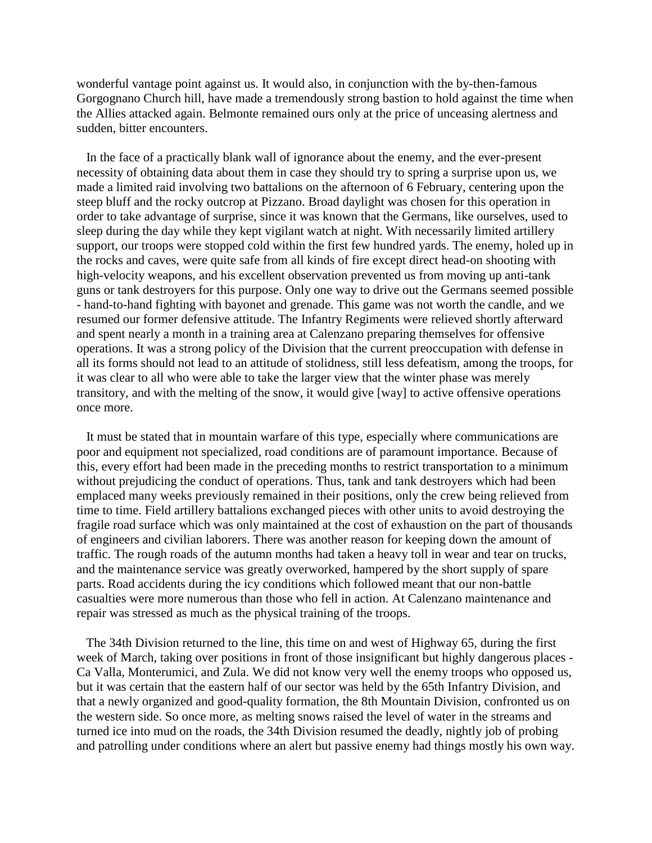wonderful vantage point against us. It would also, in conjunction with the by-then-famous Gorgognano Church hill, have made a tremendously strong bastion to hold against the time when the Allies attacked again. Belmonte remained ours only at the price of unceasing alertness and sudden, bitter encounters.

 In the face of a practically blank wall of ignorance about the enemy, and the ever-present necessity of obtaining data about them in case they should try to spring a surprise upon us, we made a limited raid involving two battalions on the afternoon of 6 February, centering upon the steep bluff and the rocky outcrop at Pizzano. Broad daylight was chosen for this operation in order to take advantage of surprise, since it was known that the Germans, like ourselves, used to sleep during the day while they kept vigilant watch at night. With necessarily limited artillery support, our troops were stopped cold within the first few hundred yards. The enemy, holed up in the rocks and caves, were quite safe from all kinds of fire except direct head-on shooting with high-velocity weapons, and his excellent observation prevented us from moving up anti-tank guns or tank destroyers for this purpose. Only one way to drive out the Germans seemed possible - hand-to-hand fighting with bayonet and grenade. This game was not worth the candle, and we resumed our former defensive attitude. The Infantry Regiments were relieved shortly afterward and spent nearly a month in a training area at Calenzano preparing themselves for offensive operations. It was a strong policy of the Division that the current preoccupation with defense in all its forms should not lead to an attitude of stolidness, still less defeatism, among the troops, for it was clear to all who were able to take the larger view that the winter phase was merely transitory, and with the melting of the snow, it would give [way] to active offensive operations once more.

 It must be stated that in mountain warfare of this type, especially where communications are poor and equipment not specialized, road conditions are of paramount importance. Because of this, every effort had been made in the preceding months to restrict transportation to a minimum without prejudicing the conduct of operations. Thus, tank and tank destroyers which had been emplaced many weeks previously remained in their positions, only the crew being relieved from time to time. Field artillery battalions exchanged pieces with other units to avoid destroying the fragile road surface which was only maintained at the cost of exhaustion on the part of thousands of engineers and civilian laborers. There was another reason for keeping down the amount of traffic. The rough roads of the autumn months had taken a heavy toll in wear and tear on trucks, and the maintenance service was greatly overworked, hampered by the short supply of spare parts. Road accidents during the icy conditions which followed meant that our non-battle casualties were more numerous than those who fell in action. At Calenzano maintenance and repair was stressed as much as the physical training of the troops.

 The 34th Division returned to the line, this time on and west of Highway 65, during the first week of March, taking over positions in front of those insignificant but highly dangerous places - Ca Valla, Monterumici, and Zula. We did not know very well the enemy troops who opposed us, but it was certain that the eastern half of our sector was held by the 65th Infantry Division, and that a newly organized and good-quality formation, the 8th Mountain Division, confronted us on the western side. So once more, as melting snows raised the level of water in the streams and turned ice into mud on the roads, the 34th Division resumed the deadly, nightly job of probing and patrolling under conditions where an alert but passive enemy had things mostly his own way.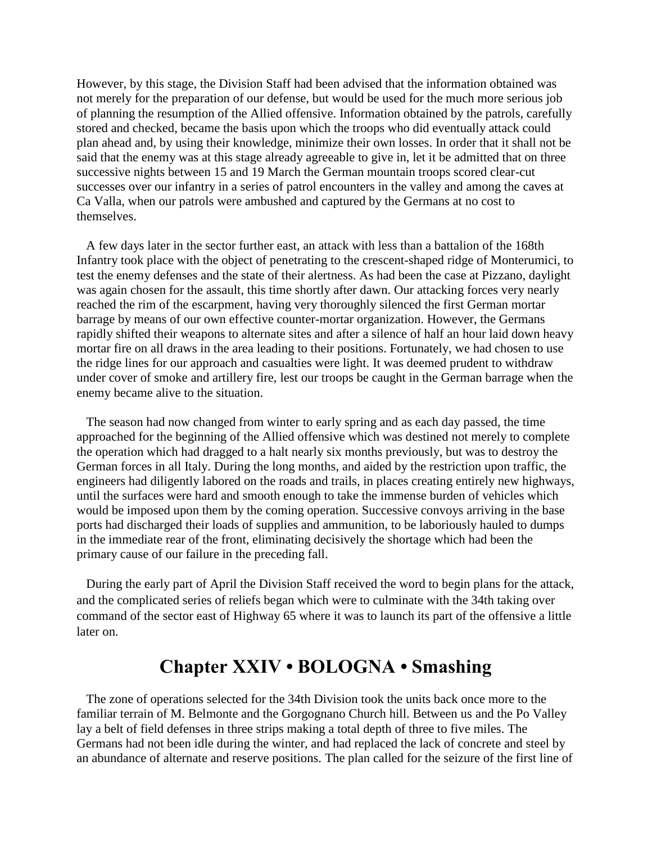However, by this stage, the Division Staff had been advised that the information obtained was not merely for the preparation of our defense, but would be used for the much more serious job of planning the resumption of the Allied offensive. Information obtained by the patrols, carefully stored and checked, became the basis upon which the troops who did eventually attack could plan ahead and, by using their knowledge, minimize their own losses. In order that it shall not be said that the enemy was at this stage already agreeable to give in, let it be admitted that on three successive nights between 15 and 19 March the German mountain troops scored clear-cut successes over our infantry in a series of patrol encounters in the valley and among the caves at Ca Valla, when our patrols were ambushed and captured by the Germans at no cost to themselves.

 A few days later in the sector further east, an attack with less than a battalion of the 168th Infantry took place with the object of penetrating to the crescent-shaped ridge of Monterumici, to test the enemy defenses and the state of their alertness. As had been the case at Pizzano, daylight was again chosen for the assault, this time shortly after dawn. Our attacking forces very nearly reached the rim of the escarpment, having very thoroughly silenced the first German mortar barrage by means of our own effective counter-mortar organization. However, the Germans rapidly shifted their weapons to alternate sites and after a silence of half an hour laid down heavy mortar fire on all draws in the area leading to their positions. Fortunately, we had chosen to use the ridge lines for our approach and casualties were light. It was deemed prudent to withdraw under cover of smoke and artillery fire, lest our troops be caught in the German barrage when the enemy became alive to the situation.

 The season had now changed from winter to early spring and as each day passed, the time approached for the beginning of the Allied offensive which was destined not merely to complete the operation which had dragged to a halt nearly six months previously, but was to destroy the German forces in all Italy. During the long months, and aided by the restriction upon traffic, the engineers had diligently labored on the roads and trails, in places creating entirely new highways, until the surfaces were hard and smooth enough to take the immense burden of vehicles which would be imposed upon them by the coming operation. Successive convoys arriving in the base ports had discharged their loads of supplies and ammunition, to be laboriously hauled to dumps in the immediate rear of the front, eliminating decisively the shortage which had been the primary cause of our failure in the preceding fall.

 During the early part of April the Division Staff received the word to begin plans for the attack, and the complicated series of reliefs began which were to culminate with the 34th taking over command of the sector east of Highway 65 where it was to launch its part of the offensive a little later on.

### **Chapter XXIV • BOLOGNA • Smashing**

 The zone of operations selected for the 34th Division took the units back once more to the familiar terrain of M. Belmonte and the Gorgognano Church hill. Between us and the Po Valley lay a belt of field defenses in three strips making a total depth of three to five miles. The Germans had not been idle during the winter, and had replaced the lack of concrete and steel by an abundance of alternate and reserve positions. The plan called for the seizure of the first line of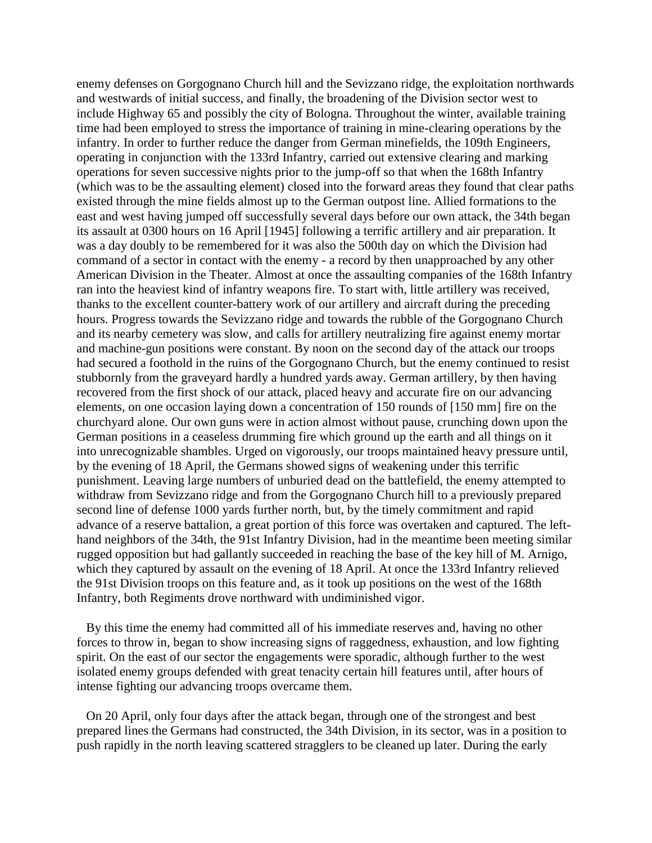enemy defenses on Gorgognano Church hill and the Sevizzano ridge, the exploitation northwards and westwards of initial success, and finally, the broadening of the Division sector west to include Highway 65 and possibly the city of Bologna. Throughout the winter, available training time had been employed to stress the importance of training in mine-clearing operations by the infantry. In order to further reduce the danger from German minefields, the 109th Engineers, operating in conjunction with the 133rd Infantry, carried out extensive clearing and marking operations for seven successive nights prior to the jump-off so that when the 168th Infantry (which was to be the assaulting element) closed into the forward areas they found that clear paths existed through the mine fields almost up to the German outpost line. Allied formations to the east and west having jumped off successfully several days before our own attack, the 34th began its assault at 0300 hours on 16 April [1945] following a terrific artillery and air preparation. It was a day doubly to be remembered for it was also the 500th day on which the Division had command of a sector in contact with the enemy - a record by then unapproached by any other American Division in the Theater. Almost at once the assaulting companies of the 168th Infantry ran into the heaviest kind of infantry weapons fire. To start with, little artillery was received, thanks to the excellent counter-battery work of our artillery and aircraft during the preceding hours. Progress towards the Sevizzano ridge and towards the rubble of the Gorgognano Church and its nearby cemetery was slow, and calls for artillery neutralizing fire against enemy mortar and machine-gun positions were constant. By noon on the second day of the attack our troops had secured a foothold in the ruins of the Gorgognano Church, but the enemy continued to resist stubbornly from the graveyard hardly a hundred yards away. German artillery, by then having recovered from the first shock of our attack, placed heavy and accurate fire on our advancing elements, on one occasion laying down a concentration of 150 rounds of [150 mm] fire on the churchyard alone. Our own guns were in action almost without pause, crunching down upon the German positions in a ceaseless drumming fire which ground up the earth and all things on it into unrecognizable shambles. Urged on vigorously, our troops maintained heavy pressure until, by the evening of 18 April, the Germans showed signs of weakening under this terrific punishment. Leaving large numbers of unburied dead on the battlefield, the enemy attempted to withdraw from Sevizzano ridge and from the Gorgognano Church hill to a previously prepared second line of defense 1000 yards further north, but, by the timely commitment and rapid advance of a reserve battalion, a great portion of this force was overtaken and captured. The lefthand neighbors of the 34th, the 91st Infantry Division, had in the meantime been meeting similar rugged opposition but had gallantly succeeded in reaching the base of the key hill of M. Arnigo, which they captured by assault on the evening of 18 April. At once the 133rd Infantry relieved the 91st Division troops on this feature and, as it took up positions on the west of the 168th Infantry, both Regiments drove northward with undiminished vigor.

 By this time the enemy had committed all of his immediate reserves and, having no other forces to throw in, began to show increasing signs of raggedness, exhaustion, and low fighting spirit. On the east of our sector the engagements were sporadic, although further to the west isolated enemy groups defended with great tenacity certain hill features until, after hours of intense fighting our advancing troops overcame them.

 On 20 April, only four days after the attack began, through one of the strongest and best prepared lines the Germans had constructed, the 34th Division, in its sector, was in a position to push rapidly in the north leaving scattered stragglers to be cleaned up later. During the early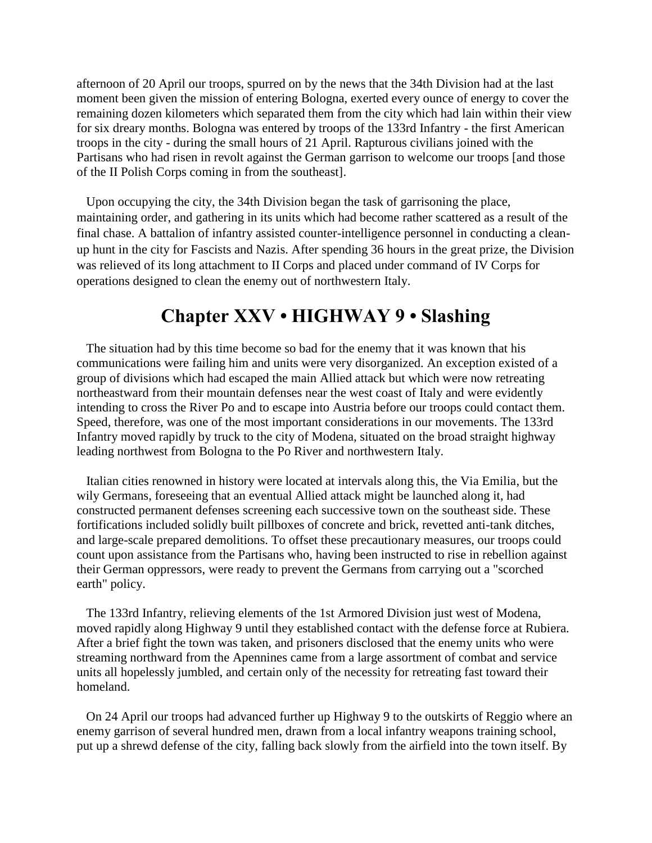afternoon of 20 April our troops, spurred on by the news that the 34th Division had at the last moment been given the mission of entering Bologna, exerted every ounce of energy to cover the remaining dozen kilometers which separated them from the city which had lain within their view for six dreary months. Bologna was entered by troops of the 133rd Infantry - the first American troops in the city - during the small hours of 21 April. Rapturous civilians joined with the Partisans who had risen in revolt against the German garrison to welcome our troops [and those of the II Polish Corps coming in from the southeast].

 Upon occupying the city, the 34th Division began the task of garrisoning the place, maintaining order, and gathering in its units which had become rather scattered as a result of the final chase. A battalion of infantry assisted counter-intelligence personnel in conducting a cleanup hunt in the city for Fascists and Nazis. After spending 36 hours in the great prize, the Division was relieved of its long attachment to II Corps and placed under command of IV Corps for operations designed to clean the enemy out of northwestern Italy.

## **Chapter XXV • HIGHWAY 9 • Slashing**

 The situation had by this time become so bad for the enemy that it was known that his communications were failing him and units were very disorganized. An exception existed of a group of divisions which had escaped the main Allied attack but which were now retreating northeastward from their mountain defenses near the west coast of Italy and were evidently intending to cross the River Po and to escape into Austria before our troops could contact them. Speed, therefore, was one of the most important considerations in our movements. The 133rd Infantry moved rapidly by truck to the city of Modena, situated on the broad straight highway leading northwest from Bologna to the Po River and northwestern Italy.

 Italian cities renowned in history were located at intervals along this, the Via Emilia, but the wily Germans, foreseeing that an eventual Allied attack might be launched along it, had constructed permanent defenses screening each successive town on the southeast side. These fortifications included solidly built pillboxes of concrete and brick, revetted anti-tank ditches, and large-scale prepared demolitions. To offset these precautionary measures, our troops could count upon assistance from the Partisans who, having been instructed to rise in rebellion against their German oppressors, were ready to prevent the Germans from carrying out a "scorched earth" policy.

 The 133rd Infantry, relieving elements of the 1st Armored Division just west of Modena, moved rapidly along Highway 9 until they established contact with the defense force at Rubiera. After a brief fight the town was taken, and prisoners disclosed that the enemy units who were streaming northward from the Apennines came from a large assortment of combat and service units all hopelessly jumbled, and certain only of the necessity for retreating fast toward their homeland.

 On 24 April our troops had advanced further up Highway 9 to the outskirts of Reggio where an enemy garrison of several hundred men, drawn from a local infantry weapons training school, put up a shrewd defense of the city, falling back slowly from the airfield into the town itself. By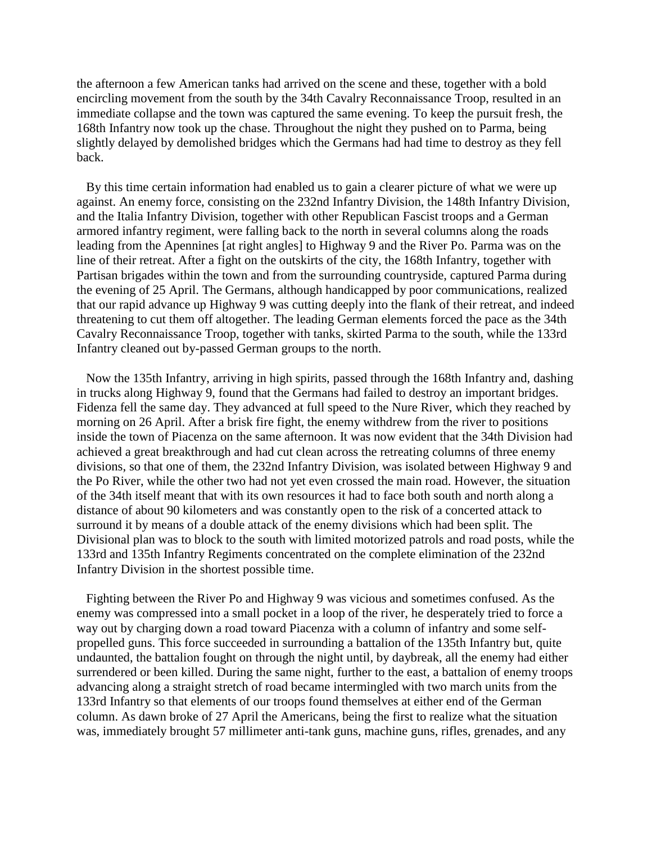the afternoon a few American tanks had arrived on the scene and these, together with a bold encircling movement from the south by the 34th Cavalry Reconnaissance Troop, resulted in an immediate collapse and the town was captured the same evening. To keep the pursuit fresh, the 168th Infantry now took up the chase. Throughout the night they pushed on to Parma, being slightly delayed by demolished bridges which the Germans had had time to destroy as they fell back.

 By this time certain information had enabled us to gain a clearer picture of what we were up against. An enemy force, consisting on the 232nd Infantry Division, the 148th Infantry Division, and the Italia Infantry Division, together with other Republican Fascist troops and a German armored infantry regiment, were falling back to the north in several columns along the roads leading from the Apennines [at right angles] to Highway 9 and the River Po. Parma was on the line of their retreat. After a fight on the outskirts of the city, the 168th Infantry, together with Partisan brigades within the town and from the surrounding countryside, captured Parma during the evening of 25 April. The Germans, although handicapped by poor communications, realized that our rapid advance up Highway 9 was cutting deeply into the flank of their retreat, and indeed threatening to cut them off altogether. The leading German elements forced the pace as the 34th Cavalry Reconnaissance Troop, together with tanks, skirted Parma to the south, while the 133rd Infantry cleaned out by-passed German groups to the north.

 Now the 135th Infantry, arriving in high spirits, passed through the 168th Infantry and, dashing in trucks along Highway 9, found that the Germans had failed to destroy an important bridges. Fidenza fell the same day. They advanced at full speed to the Nure River, which they reached by morning on 26 April. After a brisk fire fight, the enemy withdrew from the river to positions inside the town of Piacenza on the same afternoon. It was now evident that the 34th Division had achieved a great breakthrough and had cut clean across the retreating columns of three enemy divisions, so that one of them, the 232nd Infantry Division, was isolated between Highway 9 and the Po River, while the other two had not yet even crossed the main road. However, the situation of the 34th itself meant that with its own resources it had to face both south and north along a distance of about 90 kilometers and was constantly open to the risk of a concerted attack to surround it by means of a double attack of the enemy divisions which had been split. The Divisional plan was to block to the south with limited motorized patrols and road posts, while the 133rd and 135th Infantry Regiments concentrated on the complete elimination of the 232nd Infantry Division in the shortest possible time.

 Fighting between the River Po and Highway 9 was vicious and sometimes confused. As the enemy was compressed into a small pocket in a loop of the river, he desperately tried to force a way out by charging down a road toward Piacenza with a column of infantry and some selfpropelled guns. This force succeeded in surrounding a battalion of the 135th Infantry but, quite undaunted, the battalion fought on through the night until, by daybreak, all the enemy had either surrendered or been killed. During the same night, further to the east, a battalion of enemy troops advancing along a straight stretch of road became intermingled with two march units from the 133rd Infantry so that elements of our troops found themselves at either end of the German column. As dawn broke of 27 April the Americans, being the first to realize what the situation was, immediately brought 57 millimeter anti-tank guns, machine guns, rifles, grenades, and any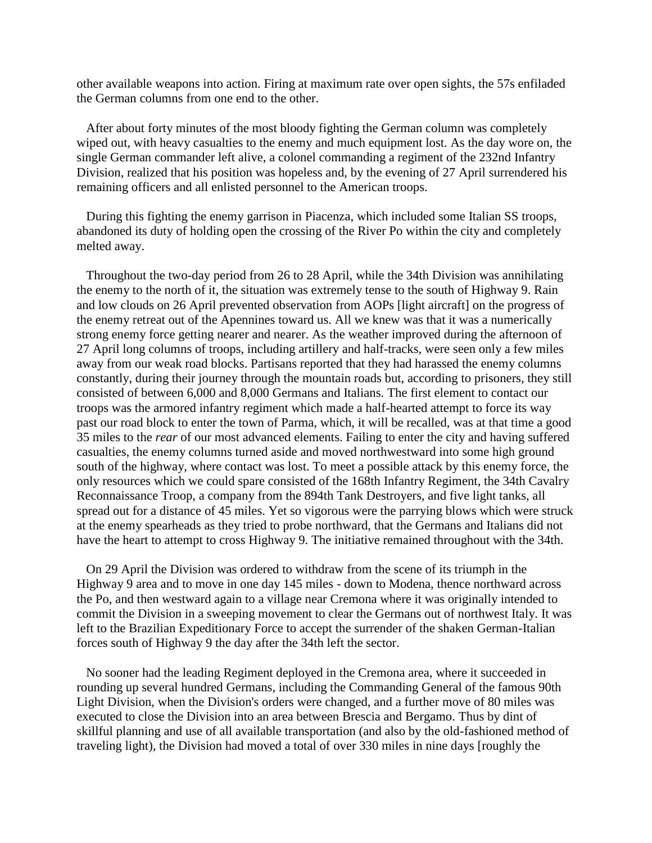other available weapons into action. Firing at maximum rate over open sights, the 57s enfiladed the German columns from one end to the other.

 After about forty minutes of the most bloody fighting the German column was completely wiped out, with heavy casualties to the enemy and much equipment lost. As the day wore on, the single German commander left alive, a colonel commanding a regiment of the 232nd Infantry Division, realized that his position was hopeless and, by the evening of 27 April surrendered his remaining officers and all enlisted personnel to the American troops.

 During this fighting the enemy garrison in Piacenza, which included some Italian SS troops, abandoned its duty of holding open the crossing of the River Po within the city and completely melted away.

 Throughout the two-day period from 26 to 28 April, while the 34th Division was annihilating the enemy to the north of it, the situation was extremely tense to the south of Highway 9. Rain and low clouds on 26 April prevented observation from AOPs [light aircraft] on the progress of the enemy retreat out of the Apennines toward us. All we knew was that it was a numerically strong enemy force getting nearer and nearer. As the weather improved during the afternoon of 27 April long columns of troops, including artillery and half-tracks, were seen only a few miles away from our weak road blocks. Partisans reported that they had harassed the enemy columns constantly, during their journey through the mountain roads but, according to prisoners, they still consisted of between 6,000 and 8,000 Germans and Italians. The first element to contact our troops was the armored infantry regiment which made a half-hearted attempt to force its way past our road block to enter the town of Parma, which, it will be recalled, was at that time a good 35 miles to the *rear* of our most advanced elements. Failing to enter the city and having suffered casualties, the enemy columns turned aside and moved northwestward into some high ground south of the highway, where contact was lost. To meet a possible attack by this enemy force, the only resources which we could spare consisted of the 168th Infantry Regiment, the 34th Cavalry Reconnaissance Troop, a company from the 894th Tank Destroyers, and five light tanks, all spread out for a distance of 45 miles. Yet so vigorous were the parrying blows which were struck at the enemy spearheads as they tried to probe northward, that the Germans and Italians did not have the heart to attempt to cross Highway 9. The initiative remained throughout with the 34th.

 On 29 April the Division was ordered to withdraw from the scene of its triumph in the Highway 9 area and to move in one day 145 miles - down to Modena, thence northward across the Po, and then westward again to a village near Cremona where it was originally intended to commit the Division in a sweeping movement to clear the Germans out of northwest Italy. It was left to the Brazilian Expeditionary Force to accept the surrender of the shaken German-Italian forces south of Highway 9 the day after the 34th left the sector.

 No sooner had the leading Regiment deployed in the Cremona area, where it succeeded in rounding up several hundred Germans, including the Commanding General of the famous 90th Light Division, when the Division's orders were changed, and a further move of 80 miles was executed to close the Division into an area between Brescia and Bergamo. Thus by dint of skillful planning and use of all available transportation (and also by the old-fashioned method of traveling light), the Division had moved a total of over 330 miles in nine days [roughly the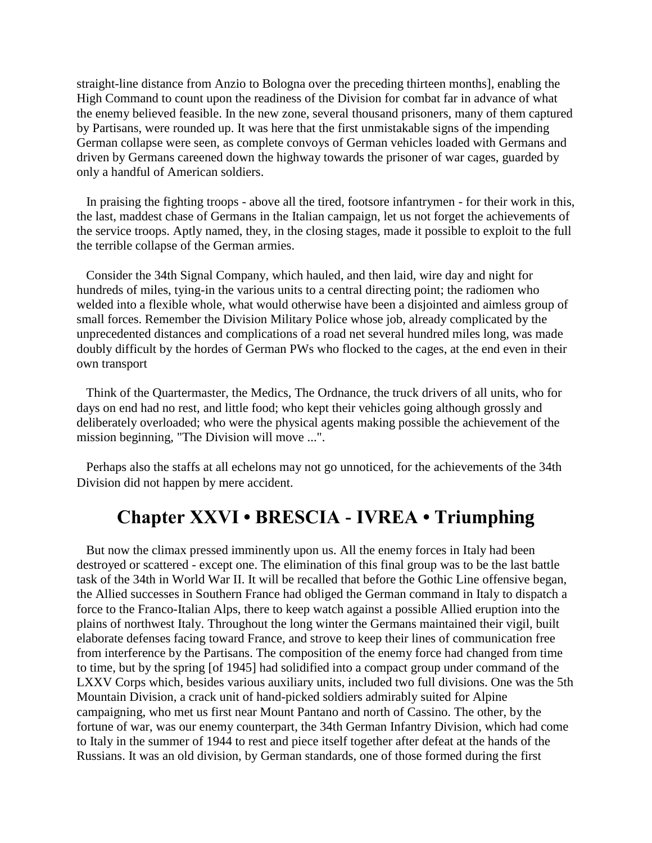straight-line distance from Anzio to Bologna over the preceding thirteen months], enabling the High Command to count upon the readiness of the Division for combat far in advance of what the enemy believed feasible. In the new zone, several thousand prisoners, many of them captured by Partisans, were rounded up. It was here that the first unmistakable signs of the impending German collapse were seen, as complete convoys of German vehicles loaded with Germans and driven by Germans careened down the highway towards the prisoner of war cages, guarded by only a handful of American soldiers.

 In praising the fighting troops - above all the tired, footsore infantrymen - for their work in this, the last, maddest chase of Germans in the Italian campaign, let us not forget the achievements of the service troops. Aptly named, they, in the closing stages, made it possible to exploit to the full the terrible collapse of the German armies.

 Consider the 34th Signal Company, which hauled, and then laid, wire day and night for hundreds of miles, tying-in the various units to a central directing point; the radiomen who welded into a flexible whole, what would otherwise have been a disjointed and aimless group of small forces. Remember the Division Military Police whose job, already complicated by the unprecedented distances and complications of a road net several hundred miles long, was made doubly difficult by the hordes of German PWs who flocked to the cages, at the end even in their own transport

 Think of the Quartermaster, the Medics, The Ordnance, the truck drivers of all units, who for days on end had no rest, and little food; who kept their vehicles going although grossly and deliberately overloaded; who were the physical agents making possible the achievement of the mission beginning, "The Division will move ...".

 Perhaps also the staffs at all echelons may not go unnoticed, for the achievements of the 34th Division did not happen by mere accident.

### **Chapter XXVI • BRESCIA - IVREA • Triumphing**

 But now the climax pressed imminently upon us. All the enemy forces in Italy had been destroyed or scattered - except one. The elimination of this final group was to be the last battle task of the 34th in World War II. It will be recalled that before the Gothic Line offensive began, the Allied successes in Southern France had obliged the German command in Italy to dispatch a force to the Franco-Italian Alps, there to keep watch against a possible Allied eruption into the plains of northwest Italy. Throughout the long winter the Germans maintained their vigil, built elaborate defenses facing toward France, and strove to keep their lines of communication free from interference by the Partisans. The composition of the enemy force had changed from time to time, but by the spring [of 1945] had solidified into a compact group under command of the LXXV Corps which, besides various auxiliary units, included two full divisions. One was the 5th Mountain Division, a crack unit of hand-picked soldiers admirably suited for Alpine campaigning, who met us first near Mount Pantano and north of Cassino. The other, by the fortune of war, was our enemy counterpart, the 34th German Infantry Division, which had come to Italy in the summer of 1944 to rest and piece itself together after defeat at the hands of the Russians. It was an old division, by German standards, one of those formed during the first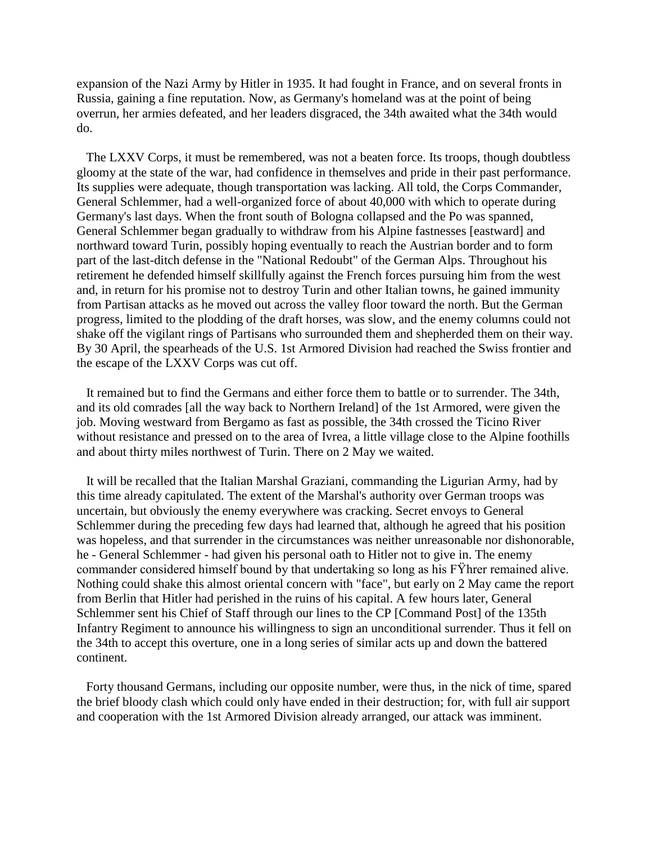expansion of the Nazi Army by Hitler in 1935. It had fought in France, and on several fronts in Russia, gaining a fine reputation. Now, as Germany's homeland was at the point of being overrun, her armies defeated, and her leaders disgraced, the 34th awaited what the 34th would do.

 The LXXV Corps, it must be remembered, was not a beaten force. Its troops, though doubtless gloomy at the state of the war, had confidence in themselves and pride in their past performance. Its supplies were adequate, though transportation was lacking. All told, the Corps Commander, General Schlemmer, had a well-organized force of about 40,000 with which to operate during Germany's last days. When the front south of Bologna collapsed and the Po was spanned, General Schlemmer began gradually to withdraw from his Alpine fastnesses [eastward] and northward toward Turin, possibly hoping eventually to reach the Austrian border and to form part of the last-ditch defense in the "National Redoubt" of the German Alps. Throughout his retirement he defended himself skillfully against the French forces pursuing him from the west and, in return for his promise not to destroy Turin and other Italian towns, he gained immunity from Partisan attacks as he moved out across the valley floor toward the north. But the German progress, limited to the plodding of the draft horses, was slow, and the enemy columns could not shake off the vigilant rings of Partisans who surrounded them and shepherded them on their way. By 30 April, the spearheads of the U.S. 1st Armored Division had reached the Swiss frontier and the escape of the LXXV Corps was cut off.

 It remained but to find the Germans and either force them to battle or to surrender. The 34th, and its old comrades [all the way back to Northern Ireland] of the 1st Armored, were given the job. Moving westward from Bergamo as fast as possible, the 34th crossed the Ticino River without resistance and pressed on to the area of Ivrea, a little village close to the Alpine foothills and about thirty miles northwest of Turin. There on 2 May we waited.

 It will be recalled that the Italian Marshal Graziani, commanding the Ligurian Army, had by this time already capitulated. The extent of the Marshal's authority over German troops was uncertain, but obviously the enemy everywhere was cracking. Secret envoys to General Schlemmer during the preceding few days had learned that, although he agreed that his position was hopeless, and that surrender in the circumstances was neither unreasonable nor dishonorable, he - General Schlemmer - had given his personal oath to Hitler not to give in. The enemy commander considered himself bound by that undertaking so long as his FŸhrer remained alive. Nothing could shake this almost oriental concern with "face", but early on 2 May came the report from Berlin that Hitler had perished in the ruins of his capital. A few hours later, General Schlemmer sent his Chief of Staff through our lines to the CP [Command Post] of the 135th Infantry Regiment to announce his willingness to sign an unconditional surrender. Thus it fell on the 34th to accept this overture, one in a long series of similar acts up and down the battered continent.

 Forty thousand Germans, including our opposite number, were thus, in the nick of time, spared the brief bloody clash which could only have ended in their destruction; for, with full air support and cooperation with the 1st Armored Division already arranged, our attack was imminent.